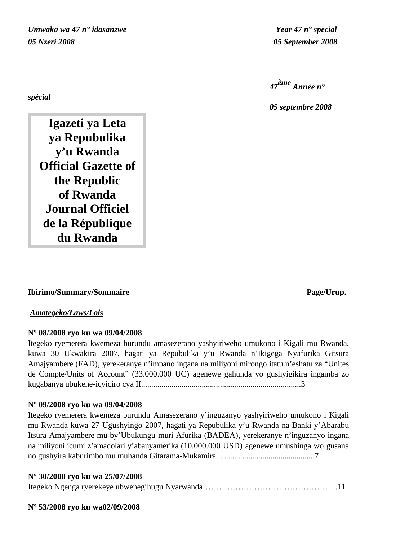*Umwaka wa 47 n° idasanzwe Year 47 n° special 05 Nzeri 2008 05 September 2008*

*47ème Année n°* 

*05 septembre 2008*

**Igazeti ya Leta ya Repubulika y'u Rwanda Official Gazette of the Republic of Rwanda Journal Officiel de la République du Rwanda**

## **Ibirimo/Summary/Sommaire Page/Urup.**

## *Amategeko/Laws/Lois*

## **Nº 08/2008 ryo ku wa 09/04/2008**

Itegeko ryemerera kwemeza burundu amasezerano yashyiriweho umukono i Kigali mu Rwanda, kuwa 30 Ukwakira 2007, hagati ya Repubulika y'u Rwanda n'Ikigega Nyafurika Gitsura Amajyambere (FAD), yerekeranye n'impano ingana na miliyoni mirongo itatu n'eshatu za "Unites de Compte/Units of Account" (33.000.000 UC) agenewe gahunda yo gushyigikira ingamba zo kugabanya ubukene-icyiciro cya II...............................................................................3

## **Nº 09/2008 ryo ku wa 09/04/2008**

Itegeko ryemerera kwemeza burundu Amasezerano y'inguzanyo yashyiriweho umukono i Kigali mu Rwanda kuwa 27 Ugushyingo 2007, hagati ya Repubulika y'u Rwanda na Banki y'Abarabu Itsura Amajyambere mu by'Ubukungu muri Afurika (BADEA), yerekeranye n'inguzanyo ingana na miliyoni icumi z'amadolari y'abanyamerika (10.000.000 USD) agenewe umushinga wo gusana no gushyira kaburimbo mu muhanda Gitarama-Mukamira.................................................7

# **Nº 30/2008 ryo ku wa 25/07/2008**

|--|--|--|--|--|--|--|--|

## **Nº 53/2008 ryo ku wa02/09/2008**

*spécial*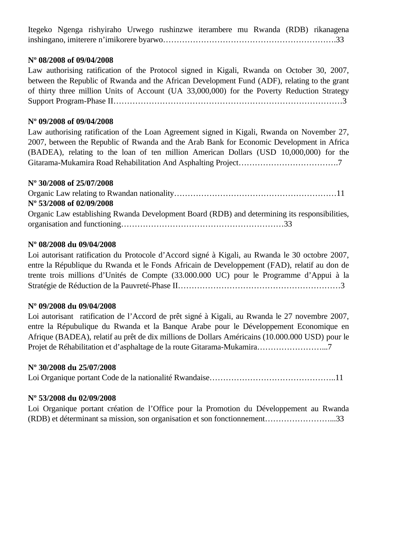Itegeko Ngenga rishyiraho Urwego rushinzwe iterambere mu Rwanda (RDB) rikanagena inshingano, imiterere n'imikorere byarwo……………………………………………………….33

## **Nº 08/2008 of 09/04/2008**

Law authorising ratification of the Protocol signed in Kigali, Rwanda on October 30, 2007, between the Republic of Rwanda and the African Development Fund (ADF), relating to the grant of thirty three million Units of Account (UA 33,000,000) for the Poverty Reduction Strategy Support Program-Phase II…………………………………………………………………………3

## **Nº 09/2008 of 09/04/2008**

Law authorising ratification of the Loan Agreement signed in Kigali, Rwanda on November 27, 2007, between the Republic of Rwanda and the Arab Bank for Economic Development in Africa (BADEA), relating to the loan of ten million American Dollars (USD 10,000,000) for the Gitarama-Mukamira Road Rehabilitation And Asphalting Project……………………………….7

## **Nº 30/2008 of 25/07/2008**

Organic Law relating to Rwandan nationality……………………………………………………11 **Nº 53/2008 of 02/09/2008** Organic Law establishing Rwanda Development Board (RDB) and determining its responsibilities, organisation and functioning……………………………………………………33

## **Nº 08/2008 du 09/04/2008**

Loi autorisant ratification du Protocole d'Accord signé à Kigali, au Rwanda le 30 octobre 2007, entre la République du Rwanda et le Fonds Africain de Developpement (FAD), relatif au don de trente trois millions d'Unités de Compte (33.000.000 UC) pour le Programme d'Appui à la Stratégie de Réduction de la Pauvreté-Phase II……………………………………………………3

## **Nº 09/2008 du 09/04/2008**

Loi autorisant ratification de l'Accord de prêt signé à Kigali, au Rwanda le 27 novembre 2007, entre la Répubulique du Rwanda et la Banque Arabe pour le Développement Economique en Afrique (BADEA), relatif au prêt de dix millions de Dollars Américains (10.000.000 USD) pour le Projet de Réhabilitation et d'asphaltage de la route Gitarama-Mukamira……………………...7

## **Nº 30/2008 du 25/07/2008**

Loi Organique portant Code de la nationalité Rwandaise………………………………………..11

## **Nº 53/2008 du 02/09/2008**

Loi Organique portant création de l'Office pour la Promotion du Développement au Rwanda (RDB) et déterminant sa mission, son organisation et son fonctionnement……………………...33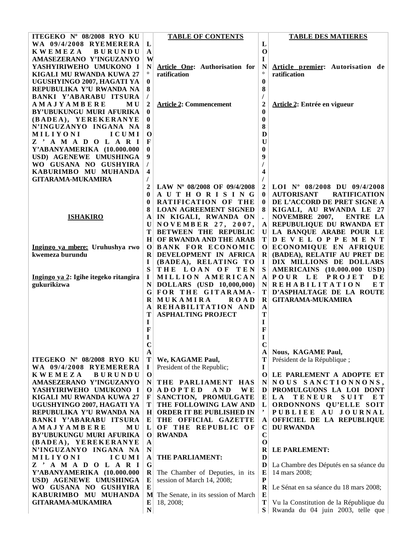| ITEGEKO Nº 08/2008 RYO KU                          |                  | <b>TABLE OF CONTENTS</b>                                   |                         | <b>TABLE DES MATIERES</b>                                     |
|----------------------------------------------------|------------------|------------------------------------------------------------|-------------------------|---------------------------------------------------------------|
| WA 09/4/2008 RYEMERERA                             | L                |                                                            | L                       |                                                               |
| <b>KWEMEZA</b><br><b>BURUNDU</b>                   | $\mathbf A$      |                                                            | $\mathbf 0$             |                                                               |
| AMASEZERANO Y'INGUZANYO                            | W                |                                                            | 1                       |                                                               |
| YASHYIRIWEHO UMUKONO I                             | N                | Article One: Authorisation for                             | N                       | Article premier: Autorisation de                              |
| KIGALI MU RWANDA KUWA 27                           |                  | ratification                                               |                         | ratification                                                  |
| UGUSHYINGO 2007, HAGATI YA                         | $\bf{0}$         |                                                            | $\boldsymbol{0}$        |                                                               |
| REPUBULIKA Y'U RWANDA NA                           | 8                |                                                            | 8                       |                                                               |
| BANKI Y'ABARABU ITSURA                             | $\prime$         |                                                            |                         |                                                               |
| <b>AMAJYAMBERE</b><br><b>MU</b>                    | $\boldsymbol{2}$ | <b>Article 2: Commencement</b>                             | $\overline{\mathbf{c}}$ | <b>Article 2: Entrée en vigueur</b>                           |
| BY'UBUKUNGU MURI AFURIKA                           | 0                |                                                            | $\bf{0}$                |                                                               |
| (BADEA), YEREKERANYE                               | $\bf{0}$         |                                                            | $\bf{0}$                |                                                               |
| N'INGUZANYO INGANA NA                              | 8                |                                                            | 8                       |                                                               |
| <b>MILIYONI</b><br>ICUMI                           | $\mathbf 0$      |                                                            | D                       |                                                               |
| Z ' A M A D O L A R I                              | F                |                                                            | $\bf{U}$                |                                                               |
| Y'ABANYAMERIKA (10.000.000                         | $\bf{0}$         |                                                            | $\bf{0}$                |                                                               |
| USD) AGENEWE UMUSHINGA                             | 9                |                                                            | 9                       |                                                               |
| WO GUSANA NO GUSHYIRA                              |                  |                                                            |                         |                                                               |
| KABURIMBO MU MUHANDA                               | 4                |                                                            | 4                       |                                                               |
| <b>GITARAMA-MUKAMIRA</b>                           |                  |                                                            |                         |                                                               |
|                                                    | $\mathbf{2}$     | LAW Nº 08/2008 OF 09/4/2008                                | $\overline{2}$          | LOI Nº 08/2008 DU 09/4/2008                                   |
|                                                    | $\bf{0}$         | AUTHORISING                                                | $\bf{0}$                | <b>AUTORISANT</b><br><b>RATIFICATION</b>                      |
|                                                    | $\bf{0}$         | RATIFICATION OF THE                                        | $\bf{0}$                | DE L'ACCORD DE PRET SIGNE A                                   |
|                                                    |                  | <b>LOAN AGREEMENT SIGNED</b>                               |                         | KIGALI, AU RWANDA LE 27                                       |
| <b>ISHAKIRO</b>                                    | A<br> U          | IN KIGALI, RWANDA ON<br>NOVEMBER 27, 2007,                 | A                       | NOVEMBRE 2007,<br><b>ENTRE LA</b><br>REPUBULIQUE DU RWANDA ET |
|                                                    | T                | <b>BETWEEN THE REPUBLIC</b>                                |                         | U LA BANQUE ARABE POUR LE                                     |
|                                                    | H <sup>2</sup>   | OF RWANDA AND THE ARAB                                     |                         | TDEVELOPPEMENT                                                |
| Ingingo ya mbere: Uruhushya rwo                    | $\mathbf{O}$     | <b>BANK FOR ECONOMIC</b>                                   |                         | O ECONOMIQUE EN AFRIQUE                                       |
| kwemeza burundu                                    | $\bf{R}$         | DEVELOPMENT IN AFRICA                                      | $\bf R$                 | (BADEA), RELATIF AU PRET DE                                   |
|                                                    | I                | (BADEA), RELATING TO                                       | $\bf{I}$                | DIX MILLIONS DE DOLLARS                                       |
|                                                    | S                | THE LOAN OF TEN                                            | ${\bf S}$               | <b>AMERICAINS</b> (10.000.000 USD)                            |
| Ingingo ya 2: Igihe itegeko ritangira              | $\bf{I}$         | MILLION AMERICAN                                           |                         | A POUR LE PROJET<br><b>DE</b>                                 |
| gukurikizwa                                        | N                | DOLLARS (USD 10,000,000)                                   |                         | NREHABILITATION<br>E T                                        |
|                                                    | G                | FOR THE GITARAMA-                                          | Т                       | D'ASPHALTAGE DE LA ROUTE                                      |
|                                                    | R                | MUKAMIRA<br><b>ROAD</b>                                    | $\bf R$                 | <b>GITARAMA-MUKAMIRA</b>                                      |
|                                                    | A                | REHABILITATION AND                                         | $\mathbf A$             |                                                               |
|                                                    | Т                | <b>ASPHALTING PROJECT</b>                                  | T                       |                                                               |
|                                                    | $\bf{I}$         |                                                            | I                       |                                                               |
|                                                    | F                |                                                            | F                       |                                                               |
|                                                    | T                |                                                            | $\mathbf{I}$            |                                                               |
|                                                    | $\mathbf C$      |                                                            | $\mathbf C$             |                                                               |
|                                                    | A                |                                                            | $\bf{A}$                | Nous, KAGAME Paul,                                            |
| ITEGEKO Nº 08/2008 RYO KU                          | T                | We, KAGAME Paul,                                           | Т                       | Président de la République;                                   |
| WA 09/4/2008 RYEMERERA                             | $\bf{I}$         | President of the Republic;                                 | $\bf{I}$                |                                                               |
| <b>KWEMEZA</b><br><b>BURUNDU</b>                   | $\mathbf 0$      |                                                            |                         | O LE PARLEMENT A ADOPTE ET                                    |
| AMASEZERANO Y'INGUZANYO                            | N                | THE PARLIAMENT HAS                                         | $\mathbf N$             | NOUS SANCTIONNONS,                                            |
| YASHYIRIWEHO UMUKONO I<br>KIGALI MU RWANDA KUWA 27 | $\bf o$<br>F     | <b>ADOPTED</b><br>AND<br><b>WE</b><br>SANCTION, PROMULGATE | D                       | PROMULGUONS LA LOI DONT<br>$E\vert L A$<br>SUIT<br>E T        |
| UGUSHYINGO 2007, HAGATI YA                         | T                | THE FOLLOWING LAW AND                                      | $\mathbf{L}$            | <b>TENEUR</b><br>ORDONNONS QU'ELLE SOIT                       |
| REPUBULIKA Y'U RWANDA NA                           |                  | H ORDER IT BE PUBLISHED IN                                 |                         | PUBLIEE AU JOURNAL                                            |
| BANKI Y'ABARABU ITSURA                             | $\mathbf{E}$     | THE OFFICIAL GAZETTE                                       | ${\bf A}$               | OFFICIEL DE LA REPUBLIQUE                                     |
| <b>AMAJYAMBERE</b><br>M U                          | $\mathbf{L}$     | OF THE REPUBLIC OF                                         | C                       | <b>DU RWANDA</b>                                              |
| BY'UBUKUNGU MURI AFURIKA                           | $\bf{O}$         | <b>RWANDA</b>                                              | $\mathbf C$             |                                                               |
| (BADEA), YEREKERANYE                               | A                |                                                            | $\mathbf 0$             |                                                               |
| N'INGUZANYO INGANA NA                              | ${\bf N}$        |                                                            | $\bf{R}$                | LE PARLEMENT:                                                 |
| ICUMI<br>MILIYONI                                  | A                | THE PARLIAMENT:                                            | D                       |                                                               |
| Z ' A M A D O L A R I                              | G                |                                                            | D                       | La Chambre des Députés en sa séance du                        |
| Y'ABANYAMERIKA (10.000.000                         | R                | The Chamber of Deputies, in its                            | E                       | 14 mars 2008;                                                 |
| USD) AGENEWE UMUSHINGA                             | E                | session of March 14, 2008;                                 | ${\bf P}$               |                                                               |
| WO GUSANA NO GUSHYIRA                              | ${\bf E}$        |                                                            | $\mathbf R$             | Le Sénat en sa séance du 18 mars 2008;                        |
| KABURIMBO MU MUHANDA                               | M                | The Senate, in its session of March                        | E                       |                                                               |
| <b>GITARAMA-MUKAMIRA</b>                           | E                | 18, 2008;                                                  | T                       | Vu la Constitution de la République du                        |
|                                                    | ${\bf N}$        |                                                            | S <sub>1</sub>          | Rwanda du 04 juin 2003, telle que                             |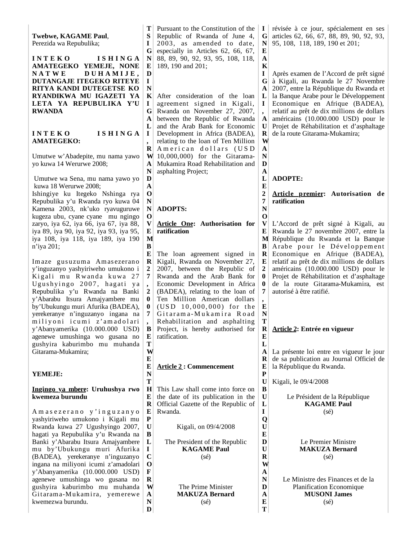**Twebwe, KAGAME Paul**, Perezida wa Repubulika;

**I N T E K O I S H I N G A AMATEGEKO YEMEJE, NONE N A T W E D U H A M I J E , DUTANGAJE ITEGEKO RITEYE RITYA KANDI DUTEGETSE KO RYANDIKWA MU IGAZETI YA LETA YA REPUBULIKA Y'U RWANDA**

#### **I N T E K O I S H I N G A AMATEGEKO:**

Umutwe w'Abadepite, mu nama yawo yo kuwa 14 Werurwe 2008;

Umutwe wa Sena, mu nama yawo yo kuwa 18 Werurwe 2008;

Ishingiye ku Itegeko Nshinga rya Repubulika y'u Rwanda ryo kuwa 04 Kamena 2003, nk'uko ryavuguruwe kugeza ubu, cyane cyane mu ngingo zaryo, iya 62, iya 66, iya 67, iya 88, iya 89, iya 90, iya 92, iya 93, iya 95, iya 108, iya 118, iya 189, iya 190 n'iya 201;

Imaze gusuzuma Amasezerano y'inguzanyo yashyiriweho umukono i Kigali mu Rwanda kuwa 27 Ugushyingo 2007, hagati ya Repubulika y'u Rwanda na Banki y'Abarabu Itsura Amajyambere mu by'Ubukungu muri Afurika (BADEA), yerekeranye n'inguzanyo ingana na miliyoni icumi z'amadolari y'Abanyamerika (10.000.000 USD) agenewe umushinga wo gusana no gushyira kaburimbo mu muhanda Gitarama-Mukamira;

### **YEMEJE:**

#### **Ingingo ya mbere: Uruhushya rwo kwemeza burundu**

A m a s e z e r a n o y ' i n g u z a n y o yashyiriweho umukono i Kigali mu Rwanda kuwa 27 Ugushyingo 2007, hagati ya Repubulika y'u Rwanda na Banki y'Abarabu Itsura Amajyambere mu by'Ubukungu muri Afurika (BADEA), yerekeranye n'inguzanyo ingana na miliyoni icumi z'amadolari y'Abanyamerika (10.000.000 USD) agenewe umushinga wo gusana no gushyira kaburimbo mu muhanda Gitarama-Mukamira, yemerewe kwemezwa burundu.

**T S I G N E D** Pursuant to the Constitution of the Republic of Rwanda of June 4, 2003, as amended to date, especially in Articles 62, 66, 67, 88, 89, 90, 92, 93, 95, 108, 118, 189, 190 and 201;

**N K** After consideration of the loan **I G A L I R W A N** agreement signed in Kigali, Rwanda on November 27, 2007, between the Republic of Rwanda and the Arab Bank for Economic Development in Africa (BADEA), relating to the loan of Ten Million American dollars (USD 10,000,000) for the Gitarama-Mukamira Road Rehabilitation and asphalting Project;

**N ADOPTS:**

**I**

**,** 

**D A O N**

**O**

**M B**

> **, 2**

> **,**

**T W E**

**N T**

**E**

**P U B L I C O F R W A N D**

**V E Article One: Authorisation for ratification**

**E** The loan agreement signed in **R 2 7 0 0 7 B E** Kigali, Rwanda on November 27, 2007, between the Republic of Rwanda and the Arab Bank for Economic Development in Africa (BADEA), relating to the loan of Ten Million American dollars  $(USD 10,000,000)$  for the Gitarama-Mukamira Road Rehabilitation and asphalting Project, is hereby authorised for ratification.

#### **E Article 2 : Commencement**

**H R E** This Law shall come into force on the date of its publication in the Official Gazette of the Republic of Rwanda.

Kigali, on 09/4/2008

The President of the Republic **KAGAME Paul** (sé)

> The Prime Minister **MAKUZA Bernard** (sé)

révisée à ce jour, spécialement en ses articles 62, 66, 67, 88, 89, 90, 92, 93, 95, 108, 118, 189, 190 et 201;

Après examen de l'Accord de prêt signé à Kigali, au Rwanda le 27 Novembre 2007, entre la République du Rwanda et la Banque Arabe pour le Développement Economique en Afrique (BADEA), relatif au prêt de dix millions de dollars américains (10.000.000 USD) pour le Projet de Réhabilitation et d'asphaltage de la route Gitarama-Mukamira;

### **ADOPTE:**

**I G N E A K I G A L I , A U R W A N D A L E 2 7 N O V E M B R E 2 0 0 7 , E N T R E L A R E P**  $U$ **B U L I Q U E D U R W A N D A E T**

### **Article premier: Autorisation de ratification**

L'Accord de prêt signé à Kigali, au Rwanda le 27 novembre 2007, entre la République du Rwanda et la Banque Arabe pour le Développement Economique en Afrique (BADEA), relatif au prêt de dix millions de dollars américains (10.000.000 USD) pour le Projet de Réhabilitation et d'asphaltage de la route Gitarama-Mukamira, est autorisé à être ratifié.

#### **Article 2: Entrée en vigueur**

La présente loi entre en vigueur le jour de sa publication au Journal Officiel de la République du Rwanda.

Kigali, le 09/4/2008

Le Président de la République **KAGAME Paul** (sé)

> Le Premier Ministre **MAKUZA Bernard** (sé)

Le Ministre des Finances et de la Planification Economique **MUSONI James** (sé)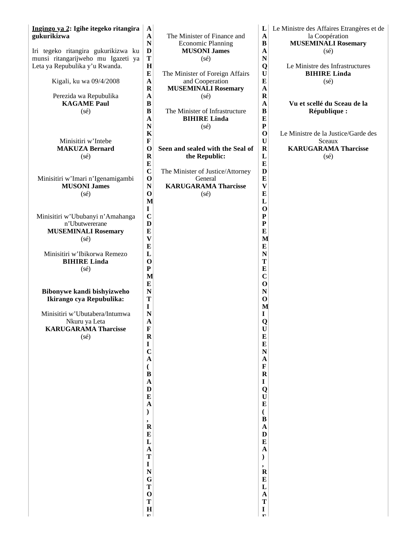| Ingingo ya 2: Igihe itegeko ritangira | $\mathbf A$                              |                                  | L                         | Le Ministre des Affaires Etrangères et de |
|---------------------------------------|------------------------------------------|----------------------------------|---------------------------|-------------------------------------------|
| gukurikizwa                           | $\mathbf A$                              | The Minister of Finance and      | $\mathbf A$               | la Coopération                            |
|                                       | N                                        | <b>Economic Planning</b>         | $\bf{B}$                  | <b>MUSEMINALI Rosemary</b>                |
| Iri tegeko ritangira gukurikizwa ku   | D                                        | <b>MUSONI James</b>              | $\mathbf A$               | $(s\acute{e})$                            |
| munsi ritangarijweho mu Igazeti ya    | T                                        | $(s\acute{e})$                   | N                         |                                           |
| Leta ya Repubulika y'u Rwanda.        | H                                        |                                  | Q                         | Le Ministre des Infrastructures           |
|                                       | ${\bf E}$                                | The Minister of Foreign Affairs  | $\mathbf U$               | <b>BIHIRE Linda</b>                       |
| Kigali, ku wa 09/4/2008               | $\mathbf A$                              | and Cooperation                  | $\bf{E}$                  | $(s\acute{e})$                            |
|                                       | $\bf R$                                  | <b>MUSEMINALI Rosemary</b>       | $\mathbf{A}$              |                                           |
| Perezida wa Repubulika                | $\mathbf A$                              | $(s\acute{e})$                   | $\mathbf R$               |                                           |
| <b>KAGAME</b> Paul                    | $\bf{B}$                                 |                                  | $\mathbf{A}$              | Vu et scellé du Sceau de la               |
| $(s\acute{e})$                        | $\bf{B}$                                 | The Minister of Infrastructure   | $\bf{B}$                  | République :                              |
|                                       | $\mathbf A$                              | <b>BIHIRE Linda</b>              | $\bf{E}$                  |                                           |
|                                       | N                                        | $(s\acute{e})$                   | ${\bf P}$                 |                                           |
| Minisitiri w'Intebe                   | $\bf K$<br>$\mathbf F$                   |                                  | $\mathbf 0$<br>U          | Le Ministre de la Justice/Garde des       |
| <b>MAKUZA Bernard</b>                 | $\mathbf{o}$                             | Seen and sealed with the Seal of | $\mathbf R$               | Sceaux<br><b>KARUGARAMA Tharcisse</b>     |
|                                       | $\mathbf R$                              | the Republic:                    | L                         |                                           |
| $(s\acute{e})$                        | ${\bf E}$                                |                                  | $\bf{E}$                  | $(s\acute{e})$                            |
|                                       | $\mathbf C$                              | The Minister of Justice/Attorney | $\mathbf{D}$              |                                           |
| Minisitiri w'Imari n'Igenamigambi     | $\mathbf 0$                              | General                          | $\bf{E}$                  |                                           |
| <b>MUSONI James</b>                   | $\mathbf N$                              | <b>KARUGARAMA Tharcisse</b>      | $\boldsymbol{\mathrm{V}}$ |                                           |
| (sé)                                  | $\mathbf 0$                              | (sé)                             | $\bf{E}$                  |                                           |
|                                       | M                                        |                                  | L                         |                                           |
|                                       | $\mathbf I$                              |                                  | $\mathbf 0$               |                                           |
| Minisitiri w'Ububanyi n'Amahanga      | $\mathbf C$                              |                                  | ${\bf P}$                 |                                           |
| n'Ubutwererane                        | D                                        |                                  | ${\bf P}$                 |                                           |
| <b>MUSEMINALI Rosemary</b>            | $\bf{E}$                                 |                                  | $\bf{E}$                  |                                           |
| (sé)                                  | $\boldsymbol{\mathrm{V}}$                |                                  | M                         |                                           |
|                                       | ${\bf E}$                                |                                  | $\bf{E}$                  |                                           |
| Minisitiri w'Ibikorwa Remezo          | $\mathbf{L}$                             |                                  | $\mathbf N$               |                                           |
| <b>BIHIRE Linda</b>                   | $\mathbf 0$                              |                                  | T                         |                                           |
| $(s\acute{e})$                        | $\mathbf P$                              |                                  | E                         |                                           |
|                                       | M                                        |                                  | $\mathbf C$               |                                           |
|                                       | $\bf{E}$                                 |                                  | $\mathbf{o}$              |                                           |
| Bibonywe kandi bishyizweho            | $\mathbf N$                              |                                  | $\mathbf N$               |                                           |
| Ikirango cya Repubulika:              | T                                        |                                  | $\mathbf 0$               |                                           |
|                                       | $\mathbf I$                              |                                  | M                         |                                           |
| Minisitiri w'Ubutabera/Intumwa        | $\mathbf N$                              |                                  | $\mathbf I$               |                                           |
| Nkuru ya Leta                         | $\mathbf A$                              |                                  | Q                         |                                           |
| <b>KARUGARAMA Tharcisse</b>           | $\mathbf F$                              |                                  | U                         |                                           |
| (sé)                                  | $\mathbf R$                              |                                  | $\frac{E}{E}$             |                                           |
|                                       | $\frac{I}{C}$                            |                                  | $\mathbf N$               |                                           |
|                                       | $\mathbf{A}$                             |                                  | $\mathbf{A}$              |                                           |
|                                       |                                          |                                  | $\mathbf F$               |                                           |
|                                       | $\overline{\mathcal{L}}$<br>$\mathbf{B}$ |                                  | $\overline{\mathbf{R}}$   |                                           |
|                                       | $\mathbf A$                              |                                  | $\mathbf I$               |                                           |
|                                       | $\mathbf{D}$                             |                                  |                           |                                           |
|                                       | $\bf{E}$                                 |                                  | Q<br>U                    |                                           |
|                                       | $\mathbf{A}$                             |                                  | $\bf{E}$                  |                                           |
|                                       | $\mathcal{E}$                            |                                  | $\overline{(\ }$          |                                           |
|                                       | ,                                        |                                  | $\mathbf{B}$              |                                           |
|                                       | $\mathbf R$                              |                                  | $\mathbf{A}$              |                                           |
|                                       | $\bf{E}$                                 |                                  | $\mathbf{D}$              |                                           |
|                                       | $\mathbf{L}$                             |                                  | $\bf{E}$                  |                                           |
|                                       | $\mathbf{A}$                             |                                  | $\mathbf{A}$              |                                           |
|                                       | T                                        |                                  | $\mathcal{L}$             |                                           |
|                                       | $\mathbf I$                              |                                  | ,                         |                                           |
|                                       | $\mathbf N$                              |                                  | $\mathbf R$               |                                           |
|                                       | G<br>T                                   |                                  | E<br>$\mathbf L$          |                                           |
|                                       | $\mathbf 0$                              |                                  | $\mathbf{A}$              |                                           |
|                                       | T                                        |                                  | T                         |                                           |
|                                       | $\mathbf H$                              |                                  | $\mathbf I$               |                                           |
|                                       | т.                                       |                                  | $\mathbf{r}_{\mathrm{B}}$ |                                           |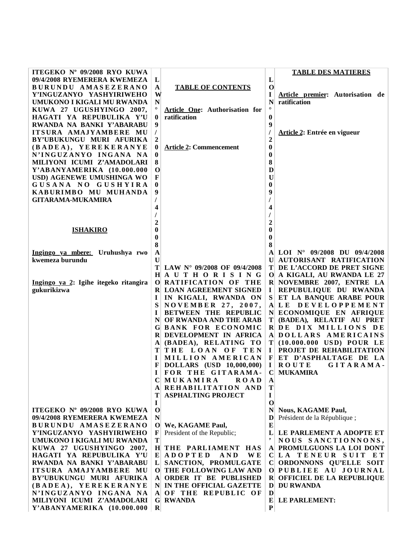| ITEGEKO Nº 09/2008 RYO KUWA           |                |                                      |                | <b>TABLE DES MATIERES</b>            |
|---------------------------------------|----------------|--------------------------------------|----------------|--------------------------------------|
| 09/4/2008 RYEMERERA KWEMEZA           | L              |                                      | L              |                                      |
| BURUNDU AMASEZERANO                   | $\mathbf{A}$   | <b>TABLE OF CONTENTS</b>             | $\mathbf 0$    |                                      |
| Y'INGUZANYO YASHYIRIWEHO              | W              |                                      | I              | Article premier: Autorisation de     |
| UMUKONO I KIGALI MU RWANDA            | N              |                                      | N              | ratification                         |
| KUWA 27 UGUSHYINGO 2007,              | $\circ$        | Article One: Authorisation for       | $\circ$        |                                      |
| HAGATI YA REPUBULIKA Y'U              | $\bf{0}$       | ratification                         | $\bf{0}$       |                                      |
| RWANDA NA BANKI Y'ABARABU             | 9              |                                      | 9              |                                      |
| ITSURA AMAJYAMBERE MU                 | $\overline{I}$ |                                      |                | Article 2: Entrée en vigueur         |
| BY'UBUKUNGU MURI AFURIKA              | 2              |                                      | $\overline{2}$ |                                      |
| (BADEA), YEREKERANYE                  | $\bf{0}$       | <b>Article 2: Commencement</b>       | $\bf{0}$       |                                      |
| N'INGUZANYO INGANA NA                 | $\bf{0}$       |                                      | $\bf{0}$       |                                      |
|                                       |                |                                      |                |                                      |
| MILIYONI ICUMI Z'AMADOLARI            | 8              |                                      | 8              |                                      |
| Y'ABANYAMERIKA (10.000.000            | $\mathbf{O}$   |                                      | $\bf{D}$       |                                      |
| USD) AGENEWE UMUSHINGA WO             | $\mathbf F$    |                                      | $\bf U$        |                                      |
| GUSANA NO GUSHYIRA                    | $\bf{0}$       |                                      | $\bf{0}$       |                                      |
| KABURIMBO MU MUHANDA                  | 9              |                                      | 9              |                                      |
| <b>GITARAMA-MUKAMIRA</b>              | T              |                                      |                |                                      |
|                                       | 4              |                                      | 4              |                                      |
|                                       |                |                                      | $\prime$       |                                      |
|                                       | $\mathbf{2}$   |                                      | $\overline{2}$ |                                      |
| <b>ISHAKIRO</b>                       | 0              |                                      | $\bf{0}$       |                                      |
|                                       | 0              |                                      | $\bf{0}$       |                                      |
|                                       | 8              |                                      | 8              |                                      |
| Ingingo ya mbere: Uruhushya rwo       | $\mathbf A$    |                                      | A              | LOI $N^{\circ}$ 09/2008 DU 09/4/2008 |
| kwemeza burundu                       | $\bf{U}$       |                                      | U              | AUTORISANT RATIFICATION              |
|                                       | T              | LAW $N^{\circ}$ 09/2008 OF 09/4/2008 |                | T DE L'ACCORD DE PRET SIGNE          |
|                                       |                | HAUTHORISING                         | $\mathbf{O}$   | A KIGALI, AU RWANDA LE 27            |
| Ingingo ya 2: Igihe itegeko ritangira |                | O RATIFICATION OF THE                |                | R NOVEMBRE 2007, ENTRE LA            |
| gukurikizwa                           |                | <b>R LOAN AGREEMENT SIGNED</b>       | 1              | REPUBULIQUE DU RWANDA                |
|                                       | 1              | IN KIGALI, RWANDA ON                 | S              | ET LA BANQUE ARABE POUR              |
|                                       | S              | <b>NOVEMBER 27, 2007,</b>            | $\mathbf A$    | LE DEVELOPPEMENT                     |
|                                       | I              | <b>BETWEEN THE REPUBLIC</b>          | $\mathbf{N}$   | ECONOMIQUE EN AFRIQUE                |
|                                       | N              | OF RWANDA AND THE ARAB               | T              | (BADEA), RELATIF AU PRET             |
|                                       | G              | <b>BANK FOR ECONOMIC</b>             |                | R DE DIX MILLIONS DE                 |
|                                       |                | R DEVELOPMENT IN AFRICA              | $\mathbf{A}$   | DOLLARS AMERICAINS                   |
|                                       | A              | (BADEA), RELATING TO                 | Т              | (10.000.000 USD) POUR LE             |
|                                       | т              | THE LOAN OF TEN                      | $\bf{I}$       | PROJET DE REHABILITATION             |
|                                       | I              | MILLION AMERICAN                     | F              | ET D'ASPHALTAGE DE LA                |
|                                       |                |                                      |                |                                      |
|                                       | F              | DOLLARS (USD 10,000,000)             | $\bf{I}$       | <b>ROUTE</b><br>GITARAMA-            |
|                                       | $\mathbf{I}$   | FOR THE GITARAMA-                    |                | C MUKAMIRA                           |
|                                       |                | MUKAMIRA<br><b>ROAD</b>              | $\mathbf A$    |                                      |
|                                       | A              | REHABILITATION AND                   | T              |                                      |
|                                       | т              | <b>ASPHALTING PROJECT</b>            | $\mathbf I$    |                                      |
|                                       | I              |                                      | $\mathbf 0$    |                                      |
| ITEGEKO Nº 09/2008 RYO KUWA           | $\mathbf 0$    |                                      | N              | <b>Nous, KAGAME Paul,</b>            |
| 09/4/2008 RYEMERERA KWEMEZA           | N              |                                      | D              | Président de la République;          |
| BURUNDU AMASEZERANO                   |                | O We, KAGAME Paul,                   | $\bf{E}$       |                                      |
| Y'INGUZANYO YASHYIRIWEHO              | $\mathbf F$    | President of the Republic;           | L              | LE PARLEMENT A ADOPTE ET             |
| UMUKONO I KIGALI MU RWANDA            | T              |                                      | ,              | NOUS SANCTIONNONS,                   |
| KUWA 27 UGUSHYINGO 2007,              |                | H THE PARLIAMENT HAS                 |                | A PROMULGUONS LA LOI DONT            |
| HAGATI YA REPUBULIKA Y'U              |                | $E$ ADOPTED<br>AND<br><b>WE</b>      |                | CLA TENEUR SUIT ET                   |
| RWANDA NA BANKI Y'ABARABU             |                | L SANCTION, PROMULGATE               | C              | ORDONNONS QU'ELLE SOIT               |
| ITSURA AMAJYAMBERE MU                 |                | O THE FOLLOWING LAW AND              |                | O PUBLIEE AU JOURNAL                 |
| BY'UBUKUNGU MURI AFURIKA              | A              | ORDER IT BE PUBLISHED                | $\bf R$        | OFFICIEL DE LA REPUBLIQUE            |
| (BADEA), YEREKERANYE                  |                | N IN THE OFFICIAL GAZETTE            | $\mathbf{D}$   | <b>DU RWANDA</b>                     |
| N'INGUZANYO INGANA NA                 |                | A OF THE REPUBLIC OF                 | D              |                                      |
| MILIYONI ICUMI Z'AMADOLARI            |                | <b>G</b> RWANDA                      | E              | LE PARLEMENT:                        |
| Y'ABANYAMERIKA (10.000.000            | $\bf{R}$       |                                      | $\mathbf P$    |                                      |
|                                       |                |                                      |                |                                      |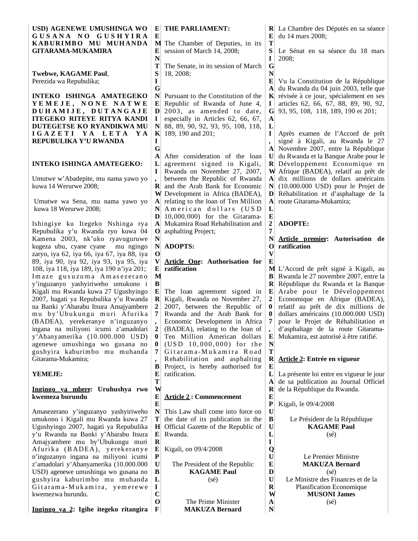| USD) AGENEWE UMUSHINGA WO<br>GUSANA NO GUSHYIRA<br>KABURIMBO MU MUHANDA                                                                                                                                                                                                                              | E<br>${\bf E}$                                                                       | THE PARLIAMENT:<br>M The Chamber of Deputies, in its                                                                                                                                                  | E<br>T                                                        | R La Chambre des Députés en sa séance<br>du 14 mars 2008;                                                                                                                                                                                                                                            |
|------------------------------------------------------------------------------------------------------------------------------------------------------------------------------------------------------------------------------------------------------------------------------------------------------|--------------------------------------------------------------------------------------|-------------------------------------------------------------------------------------------------------------------------------------------------------------------------------------------------------|---------------------------------------------------------------|------------------------------------------------------------------------------------------------------------------------------------------------------------------------------------------------------------------------------------------------------------------------------------------------------|
| <b>GITARAMA-MUKAMIRA</b>                                                                                                                                                                                                                                                                             | E<br>N                                                                               | session of March 14, 2008;                                                                                                                                                                            | S<br>I                                                        | Le Sénat en sa séance du 18 mars<br>2008:                                                                                                                                                                                                                                                            |
| Twebwe, KAGAME Paul,<br>Perezida wa Repubulika;                                                                                                                                                                                                                                                      | T<br>S<br>I<br>G                                                                     | The Senate, in its session of March<br>18, 2008;                                                                                                                                                      | $\mathbf G$<br>N<br>E<br>$ {\bf A} $                          | Vu la Constitution de la République<br>du Rwanda du 04 juin 2003, telle que                                                                                                                                                                                                                          |
| INTEKO ISHINGA AMATEGEKO<br>YEMEJE, NONE NATWE<br>DUHAMIJE, DUTANGAJE<br><b>ITEGEKO RITEYE RITYA KANDI</b><br>DUTEGETSE KO RYANDIKWA MU<br>IGAZETI YA LETA YA                                                                                                                                        | N<br>E<br>D<br>I<br>N<br>K                                                           | Pursuant to the Constitution of the<br>Republic of Rwanda of June 4,<br>2003, as amended to date,<br>especially in Articles 62, 66, 67,<br>88, 89, 90, 92, 93, 95, 108, 118,<br>189, 190 and 201;     | $\bf{l}$<br>G<br>A<br>L<br>1                                  | $\mathbf{K}$ révisée à ce jour, spécialement en ses<br>articles 62, 66, 67, 88, 89, 90, 92,<br>93, 95, 108, 118, 189, 190 et 201;<br>Après examen de l'Accord de prêt                                                                                                                                |
| REPUBULIKA Y'U RWANDA                                                                                                                                                                                                                                                                                | I<br>G<br>$\mathbf A$                                                                | After consideration of the loan                                                                                                                                                                       | $\mathbf{U}$                                                  | signé à Kigali, au Rwanda le 27<br>Novembre 2007, entre la République<br>du Rwanda et la Banque Arabe pour le                                                                                                                                                                                        |
| <b>INTEKO ISHINGA AMATEGEKO:</b>                                                                                                                                                                                                                                                                     | L<br>$\mathbf I$                                                                     | agreement signed in Kigali,<br>Rwanda on November 27, 2007,                                                                                                                                           |                                                               | $\mathbf{R}$ Développement Economique en<br>W Afrique (BADEA), relatif au prêt de                                                                                                                                                                                                                    |
| Umutwe w'Abadepite, mu nama yawo yo<br>kuwa 14 Werurwe 2008;                                                                                                                                                                                                                                         | $\overline{\phantom{a}}$<br>R<br>W                                                   | between the Republic of Rwanda<br>and the Arab Bank for Economic<br>Development in Africa (BADEA),                                                                                                    | A <br>N<br>D                                                  | dix millions de dollars américains<br>$(10.000.000$ USD) pour le Projet de<br>Réhabilitation et d'asphaltage de la                                                                                                                                                                                   |
| Umutwe wa Sena, mu nama yawo yo<br>kuwa 18 Werurwe 2008;                                                                                                                                                                                                                                             | A<br>N<br>D                                                                          | relating to the loan of Ten Million<br>American dollars (USD<br>10,000,000) for the Gitarama-                                                                                                         | A<br>L<br>E                                                   | route Gitarama-Mukamira;                                                                                                                                                                                                                                                                             |
| Ishingiye ku Itegeko Nshinga rya<br>Repubulika y'u Rwanda ryo kuwa 04<br>Kamena 2003, nk'uko ryavuguruwe<br>kugeza ubu, cyane cyane<br>mu ngingo                                                                                                                                                     | $\mathbf A$<br>$\mathbf 0$<br>$\mathbf N$<br>$\mathbf N$                             | Mukamira Road Rehabilitation and<br>asphalting Project;<br><b>ADOPTS:</b>                                                                                                                             | $\mathbf{2}$<br>7<br>N<br>O                                   | <b>ADOPTE:</b><br>Article premier: Autorisation de<br>ratification                                                                                                                                                                                                                                   |
| zaryo, iya 62, iya 66, iya 67, iya 88, iya<br>89, iya 90, iya 92, iya 93, iya 95, iya<br>108, iya 118, iya 189, iya 190 n'iya 201;                                                                                                                                                                   | $\mathbf 0$<br>$\mathbf{V}$<br>E                                                     | Article One: Authorisation for<br>ratification                                                                                                                                                        | V<br>Е                                                        | M L'Accord de prêt signé à Kigali, au                                                                                                                                                                                                                                                                |
| Imaze gusuzuma Amasezerano<br>y'inguzanyo yashyiriweho umukono i<br>Kigali mu Rwanda kuwa 27 Ugushyingo<br>2007, hagati ya Repubulika y'u Rwanda<br>na Banki y'Abarabu Itsura Amajyambere<br>mu by'Ubukungu muri Afurika<br>(BADEA), yerekeranye n'inguzanyo<br>ingana na miliyoni icumi z'amadolari | M<br>$\, {\bf B}$<br>E<br>$\mathbf R$<br>$\boldsymbol{2}$<br>7                       | The loan agreement signed in<br>Kigali, Rwanda on November 27,<br>2007, between the Republic of<br>Rwanda and the Arab Bank for<br>Economic Development in Africa<br>(BADEA), relating to the loan of | В<br>R<br>E<br>$\boldsymbol{2}$<br>$\bf{0}$<br>$\bf{0}$<br>7  | Rwanda le 27 novembre 2007, entre la<br>République du Rwanda et la Banque<br>Arabe pour le Développement<br>Economique en Afrique (BADEA),<br>relatif au prêt de dix millions de<br>dollars américains (10.000.000 USD)<br>pour le Projet de Réhabilitation et<br>d'asphaltage de la route Gitarama- |
| y'Abanyamerika (10.000.000 USD)<br>agenewe umushinga wo gusana no<br>gushyira kaburimbo mu muhanda<br>Gitarama-Mukamira;                                                                                                                                                                             | $\bf{0}$<br>$\bf{0}$<br>7<br>$\overline{\phantom{a}}$<br>B                           | Ten Million American dollars<br>(USD 10,000,000) for the<br>Gitarama-Mukamira Road<br>Rehabilitation and asphalting<br>Project, is hereby authorised for                                              | E<br>N<br>T<br>$\mathbf R$<br>$\bf{E}$                        | Mukamira, est autorisé à être ratifié.<br>Article 2: Entrée en vigueur                                                                                                                                                                                                                               |
| YEMEJE:                                                                                                                                                                                                                                                                                              | E<br>T                                                                               | ratification.                                                                                                                                                                                         | L<br>A                                                        | La présente loi entre en vigueur le jour<br>de sa publication au Journal Officiel                                                                                                                                                                                                                    |
| Ingingo ya mbere: Uruhushya rwo<br>kwemeza burundu                                                                                                                                                                                                                                                   | W<br>${\bf E}$<br>$\bf{E}$                                                           | <b>Article 2: Commencement</b>                                                                                                                                                                        | R<br>$\bf{E}$<br>${\bf P}$                                    | de la République du Rwanda.<br>Kigali, le 09/4/2008                                                                                                                                                                                                                                                  |
| Amasezerano y'inguzanyo yashyiriweho<br>umukono i Kigali mu Rwanda kuwa 27<br>Ugushyingo 2007, hagati ya Repubulika<br>y'u Rwanda na Banki y'Abarabu Itsura                                                                                                                                          | N<br>T<br>$\mathbf H$<br>${\bf E}$                                                   | This Law shall come into force on<br>the date of its publication in the<br>Official Gazette of the Republic of<br>Rwanda.                                                                             | $\mathbf U$<br>$\bf{B}$<br>$\mathbf U$<br>$\mathbf{L}$        | Le Président de la République<br><b>KAGAME Paul</b><br>$(s\acute{e})$                                                                                                                                                                                                                                |
| Amajyambere mu by'Ubukungu muri<br>Afurika (BADEA), yerekeranye<br>n'inguzanyo ingana na miliyoni icumi<br>z'amadolari y'Abanyamerika (10.000.000<br>USD) agenewe umushinga wo gusana no<br>gushyira kaburimbo mu muhanda<br>Gitarama-Mukamira, yemerewe                                             | $\mathbf R$<br>${\bf E}$<br>$\mathbf{P}$<br>$\mathbf U$<br>$\bf{B}$<br>L<br>$\bf{I}$ | Kigali, on 09/4/2008<br>The President of the Republic<br><b>KAGAME Paul</b><br>$(s\acute{e})$                                                                                                         | $\mathbf I$<br>Q<br>U<br>E<br>D<br>$\mathbf U$<br>$\mathbf R$ | Le Premier Ministre<br><b>MAKUZA Bernard</b><br>$(s\acute{e})$<br>Le Ministre des Finances et de la<br>Planification Economique                                                                                                                                                                      |
| kwemezwa burundu.<br>Ingingo ya 2: Igihe itegeko ritangira                                                                                                                                                                                                                                           | $\mathbf C$<br>$\mathbf{o}$<br>$\mathbf F$                                           | The Prime Minister<br><b>MAKUZA Bernard</b>                                                                                                                                                           | W<br>A<br>N                                                   | <b>MUSONI James</b><br>$(s\acute{e})$                                                                                                                                                                                                                                                                |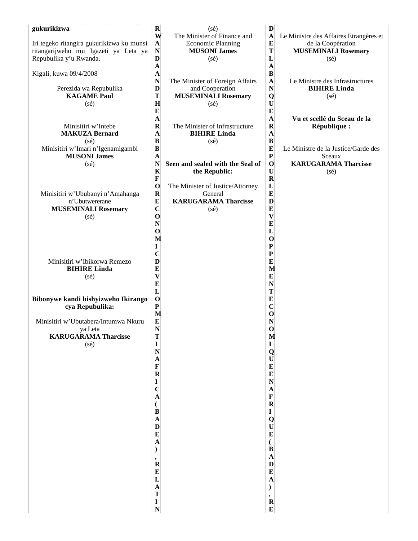| gukurikizwa<br>Iri tegeko ritangira gukurikizwa ku munsi<br>ritangarijweho mu Igazeti ya Leta ya<br>Repubulika y'u Rwanda.<br>Kigali, kuwa 09/4/2008 | $\mathbf R$<br>W<br>$\mathbf A$<br>$\mathbf N$<br>D<br>$\mathbf A$<br>$\mathbf A$  | (sé)<br>The Minister of Finance and<br><b>Economic Planning</b><br><b>MUSONI James</b><br>$(s\acute{e})$ | $\mathbf{D}$<br>$\mathbf A$<br>${\bf E}$<br>T<br>L<br>$\mathbf A$<br>$\bf{B}$ | Le Ministre des Affaires Etrangères et<br>de la Coopération<br><b>MUSEMINALI Rosemary</b><br>$(s\acute{e})$ |
|------------------------------------------------------------------------------------------------------------------------------------------------------|------------------------------------------------------------------------------------|----------------------------------------------------------------------------------------------------------|-------------------------------------------------------------------------------|-------------------------------------------------------------------------------------------------------------|
| Perezida wa Repubulika<br><b>KAGAME Paul</b><br>$(s\acute{e})$                                                                                       | $\mathbf N$<br>D<br>$\mathbf T$<br>H<br>$\bf{E}$                                   | The Minister of Foreign Affairs<br>and Cooperation<br><b>MUSEMINALI Rosemary</b><br>$(s\acute{e})$       | $\mathbf A$<br>$\mathbf N$<br>Q<br>$\mathbf U$<br>$\bf{E}$                    | Le Ministre des Infrastructures<br><b>BIHIRE Linda</b><br>$(s\acute{e})$                                    |
| Minisitiri w'Intebe<br><b>MAKUZA Bernard</b><br>(sé)<br>Minisitiri w'Imari n'Igenamigambi                                                            | $\mathbf A$<br>$\mathbf R$<br>$\mathbf{A}$<br>$\bf{B}$<br>$\bf{B}$                 | The Minister of Infrastructure<br><b>BIHIRE Linda</b><br>(sé)                                            | $\mathbf A$<br>$\mathbf R$<br>$\mathbf{A}$<br>$\bf{B}$<br>$\bf{E}$            | Vu et scellé du Sceau de la<br>République :<br>Le Ministre de la Justice/Garde des                          |
| <b>MUSONI James</b><br>$(s\acute{e})$                                                                                                                | $\mathbf{A}$<br>$\mathbf N$<br>$\mathbf K$<br>$\mathbf F$<br>$\mathbf 0$           | Seen and sealed with the Seal of<br>the Republic:<br>The Minister of Justice/Attorney                    | ${\bf P}$<br>$\mathbf 0$<br>$\mathbf U$<br>$\mathbf R$<br>L                   | Sceaux<br><b>KARUGARAMA Tharcisse</b><br>$(s\acute{e})$                                                     |
| Minisitiri w'Ububanyi n'Amahanga<br>n'Ubutwererane<br><b>MUSEMINALI Rosemary</b><br>(sé)                                                             | $\mathbf R$<br>${\bf E}$<br>$\mathbf C$<br>$\mathbf 0$<br>${\bf N}$                | General<br><b>KARUGARAMA Tharcisse</b><br>$(s\acute{e})$                                                 | $\bf{E}$<br>D<br>$\bf{E}$<br>$\boldsymbol{\mathrm{V}}$<br>$\bf{E}$            |                                                                                                             |
| Minisitiri w'Ibikorwa Remezo                                                                                                                         | $\mathbf{o}$<br>M<br>I<br>$\mathbf C$<br>D                                         |                                                                                                          | L<br>$\mathbf 0$<br>$\mathbf P$<br>${\bf P}$<br>$\bf{E}$                      |                                                                                                             |
| <b>BIHIRE Linda</b><br>$(s\acute{e})$<br>Bibonywe kandi bishyizweho Ikirango<br>cya Repubulika:                                                      | $\bf{E}$<br>$\boldsymbol{\mathrm{V}}$<br>$\bf{E}$<br>L<br>$\mathbf 0$<br>${\bf P}$ |                                                                                                          | M<br>$\bf{E}$<br>$\mathbf N$<br>T<br>$\bf{E}$<br>$\mathbf C$                  |                                                                                                             |
| Minisitiri w'Ubutabera/Intumwa Nkuru<br>ya Leta<br><b>KARUGARAMA Tharcisse</b><br>(sé)                                                               | M<br>$\bf{E}$<br>$\mathbf N$<br>T<br>$\mathbf I$                                   |                                                                                                          | $\mathbf 0$<br>$\mathbf N$<br>$\mathbf 0$<br>M<br>$\mathbf I$                 |                                                                                                             |
|                                                                                                                                                      | $\mathbf N$<br>$\boldsymbol{\rm{A}}$<br>$\mathbf{F}$<br>$\mathbf R$                |                                                                                                          | Q<br>$\mathbf U$<br>$\bf{E}$<br>$\bf{E}$<br>$\mathbf N$                       |                                                                                                             |
|                                                                                                                                                      | I<br>$\mathbf C$<br>$\mathbf{A}$<br>(<br>$\, {\bf B}$<br>$\boldsymbol{\rm{A}}$     |                                                                                                          | $\mathbf A$<br>$\mathbf F$<br>$\mathbf R$<br>$\mathbf I$<br>Q                 |                                                                                                             |
|                                                                                                                                                      | $\mathbf{D}$<br>$\bf{E}$<br>$\mathbf{A}$                                           |                                                                                                          | $\mathbf U$<br>$\bf{E}$<br>$\overline{(\ }$<br>$\bf{B}$                       |                                                                                                             |
|                                                                                                                                                      | $\mathbf{\dot{R}}$<br>${\bf E}$<br>L<br>$\mathbf{A}$<br>T                          |                                                                                                          | $\mathbf A$<br>$\mathbf{D}$<br>$\bf{E}$<br>$\mathbf{A}$<br>).                 |                                                                                                             |
|                                                                                                                                                      | $\mathbf I$<br>${\bf N}$                                                           |                                                                                                          | $\overset{\text{\tiny 3}}{R}$<br>$\bf{E}$                                     |                                                                                                             |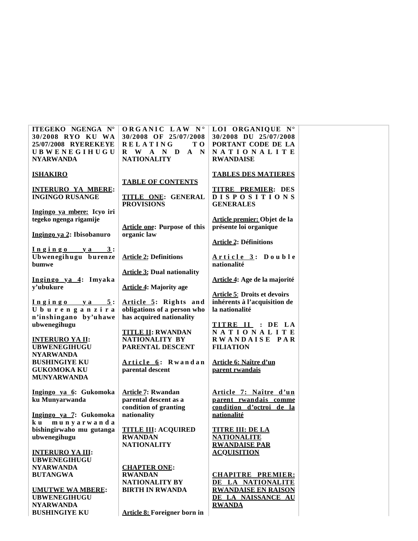| ITEGEKO NGENGA N°          | ORGANIC LAW N°                      | LOI ORGANIQUE N°                    |  |
|----------------------------|-------------------------------------|-------------------------------------|--|
| 30/2008 RYO KU WA          | 30/2008 OF 25/07/2008               | 30/2008 DU 25/07/2008               |  |
| 25/07/2008 RYEREKEYE       | <b>RELATING</b><br>T O              | PORTANT CODE DE LA                  |  |
|                            |                                     |                                     |  |
| <b>UBWENEGIHUGU</b>        | R W A N D<br>$A \tN$                | NATIONALITE                         |  |
| <b>NYARWANDA</b>           | <b>NATIONALITY</b>                  | <b>RWANDAISE</b>                    |  |
|                            |                                     |                                     |  |
| <b>ISHAKIRO</b>            |                                     | <b>TABLES DES MATIERES</b>          |  |
|                            |                                     |                                     |  |
|                            | <b>TABLE OF CONTENTS</b>            |                                     |  |
| <b>INTERURO YA MBERE:</b>  |                                     | <b>TITRE PREMIER: DES</b>           |  |
| <b>INGINGO RUSANGE</b>     | <b>TITLE ONE: GENERAL</b>           | <b>DISPOSITIONS</b>                 |  |
|                            | <b>PROVISIONS</b>                   | <b>GENERALES</b>                    |  |
|                            |                                     |                                     |  |
| Ingingo ya mbere: Icyo iri |                                     |                                     |  |
| tegeko ngenga rigamije     |                                     | Article premier: Objet de la        |  |
|                            | <b>Article one: Purpose of this</b> | présente loi organique              |  |
| Ingingo ya 2: Ibisobanuro  | organic law                         |                                     |  |
|                            |                                     |                                     |  |
|                            |                                     | <b>Article 2: Définitions</b>       |  |
| $Ingingo$ y a $3:$         |                                     |                                     |  |
| Ubwenegihugu burenze       | <b>Article 2: Definitions</b>       | Article 3: Double                   |  |
| bumwe                      |                                     | nationalité                         |  |
|                            |                                     |                                     |  |
|                            | <b>Article 3: Dual nationality</b>  |                                     |  |
| Ingingo ya 4: Imyaka       |                                     | Article 4: Age de la majorité       |  |
| y'ubukure                  | <b>Article 4: Majority age</b>      |                                     |  |
|                            |                                     | <b>Article 5: Droits et devoirs</b> |  |
|                            |                                     | inhérents à l'acquisition de        |  |
| $Ingingo$ ya 5:            | Article 5: Rights and               |                                     |  |
| Uburenganzira              | obligations of a person who         | la nationalité                      |  |
| n'inshingano by'uhawe      | has acquired nationality            |                                     |  |
| ubwenegihugu               |                                     | TITRE II : DE LA                    |  |
|                            | <b>TITLE II: RWANDAN</b>            | NATIONALITE                         |  |
|                            |                                     |                                     |  |
| <b>INTERURO YA II:</b>     | NATIONALITY BY                      | RWANDAISE PAR                       |  |
| <b>UBWENEGIHUGU</b>        | PARENTAL DESCENT                    | <b>FILIATION</b>                    |  |
| <b>NYARWANDA</b>           |                                     |                                     |  |
| <b>BUSHINGIYE KU</b>       | Article 6: Rwandan                  | Article 6: Naître d'un              |  |
| <b>GUKOMOKA KU</b>         | parental descent                    | parent rwandais                     |  |
|                            |                                     |                                     |  |
| <b>MUNYARWANDA</b>         |                                     |                                     |  |
|                            |                                     |                                     |  |
| Ingingo ya 6: Gukomoka     | <b>Article 7: Rwandan</b>           | Article 7: Naître d'un              |  |
| ku Munyarwanda             | parental descent as a               | parent rwandais comme               |  |
|                            |                                     |                                     |  |
|                            | condition of granting               | condition d'octroi de la            |  |
| Ingingo ya 7: Gukomoka     | nationality                         | nationalité                         |  |
| munyarwanda<br>k u         |                                     |                                     |  |
| bishingirwaho mu gutanga   | <b>TITLE III: ACQUIRED</b>          | <b>TITRE III: DE LA</b>             |  |
|                            |                                     |                                     |  |
| ubwenegihugu               | <b>RWANDAN</b>                      | <b>NATIONALITE</b>                  |  |
|                            | <b>NATIONALITY</b>                  | <b>RWANDAISE PAR</b>                |  |
| <b>INTERURO YA III:</b>    |                                     | <b>ACOUISITION</b>                  |  |
| <b>UBWENEGIHUGU</b>        |                                     |                                     |  |
| <b>NYARWANDA</b>           | <b>CHAPTER ONE:</b>                 |                                     |  |
|                            |                                     |                                     |  |
| <b>BUTANGWA</b>            | <b>RWANDAN</b>                      | <b>CHAPITRE PREMIER:</b>            |  |
|                            | NATIONALITY BY                      | DE LA NATIONALITE                   |  |
| <b>UMUTWE WA MBERE:</b>    | <b>BIRTH IN RWANDA</b>              | <b>RWANDAISE EN RAISON</b>          |  |
| <b>UBWENEGIHUGU</b>        |                                     | DE LA NAISSANCE AU                  |  |
|                            |                                     |                                     |  |
| <b>NYARWANDA</b>           |                                     | <b>RWANDA</b>                       |  |
| <b>BUSHINGIYE KU</b>       | <b>Article 8: Foreigner born in</b> |                                     |  |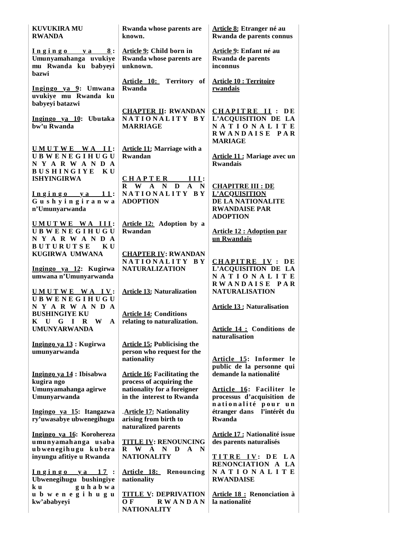| <b>KUVUKIRA MU</b><br><b>RWANDA</b>                                                                 | Rwanda whose parents are<br>known.                                                                         | Article 8: Etranger né au<br>Rwanda de parents connus                                                            |
|-----------------------------------------------------------------------------------------------------|------------------------------------------------------------------------------------------------------------|------------------------------------------------------------------------------------------------------------------|
| Ingingo ya 8:<br>Umunyamahanga uvukiye<br>mu Rwanda ku babyeyi<br>hazwi                             | Article 9: Child born in<br>Rwanda whose parents are<br>unknown.                                           | Article 9: Enfant né au<br>Rwanda de parents<br>inconnus                                                         |
| Ingingo ya 9: Umwana<br>uvukiye mu Rwanda ku<br>babyeyi batazwi                                     | Article 10: Territory of<br>Rwanda                                                                         | <b>Article 10 : Territoire</b><br>rwandais                                                                       |
| Ingingo ya 10: Ubutaka<br>bw'u Rwanda                                                               | <b>CHAPTER II: RWANDAN</b><br>NATIONALITY BY<br><b>MARRIAGE</b>                                            | <b>CHAPITRE II: DE</b><br>L'ACQUISITION DE LA<br>NATIONALITE<br>RWANDAISE PAR                                    |
| UMUTWE WA II:<br><b>UBWENEGIHUGU</b><br>NYARWANDA<br>BUSHINGIYE KU                                  | <b>Article 11: Marriage with a</b><br>Rwandan                                                              | <b>MARIAGE</b><br><b>Article 11: Mariage avec un</b><br><b>Rwandais</b>                                          |
| <b>ISHYINGIRWA</b><br>Ingingo ya 11:<br>Gushyingiranwa<br>n'Umunyarwanda                            | CHAPTER III:<br>R W A N D A<br>N<br>NATIONALITY BY<br><b>ADOPTION</b>                                      | <b>CHAPITRE III : DE</b><br><b>L'ACQUISITION</b><br>DE LA NATIONALITE<br><b>RWANDAISE PAR</b><br><b>ADOPTION</b> |
| UMUTWE WA III:<br><b>UBWENEGIHUGU</b><br>NYARWANDA<br>BUTURUTSE KU                                  | Article 12: Adoption by a<br>Rwandan                                                                       | <b>Article 12 : Adoption par</b><br>un Rwandais                                                                  |
| KUGIRWA UMWANA<br>Ingingo ya 12: Kugirwa<br>umwana n'Umunyarwanda<br>UMUTWE WA IV:                  | <b>CHAPTER IV: RWANDAN</b><br>NATIONALITY BY<br><b>NATURALIZATION</b><br><b>Article 13: Naturalization</b> | <b>CHAPITRE IV: DE</b><br>L'ACQUISITION DE LA<br>NATIONALITE<br>RWANDAISE PAR<br><b>NATURALISATION</b>           |
| <b>UBWENEGIHUGU</b><br>NYARWANDA<br><b>BUSHINGIYE KU</b><br>K U G I R W<br>A<br><b>UMUNYARWANDA</b> | <b>Article 14: Conditions</b><br>relating to naturalization.                                               | <b>Article 13: Naturalisation</b><br>Article 14 : Conditions de                                                  |
| Ingingo ya 13 : Kugirwa<br>umunyarwanda                                                             | <b>Article 15: Publicising the</b><br>person who request for the<br>nationality                            | naturalisation<br>Article 15: Informer le                                                                        |
| Ingingo ya 14 : Ibisabwa<br>kugira ngo<br>Umunyamahanga agirwe                                      | <b>Article 16: Facilitating the</b><br>process of acquiring the<br>nationality for a foreigner             | public de la personne qui<br>demande la nationalité<br>Article 16: Faciliter le                                  |
| Umunyarwanda<br>Ingingo ya 15: Itangazwa<br>ry'uwasabye ubwenegihugu                                | in the interest to Rwanda<br>. Article 17: Nationality<br>arising from birth to<br>naturalized parents     | processus d'acquisition de<br>nationalité pour un<br>étranger dans l'intérêt du<br>Rwanda                        |
| Ingingo ya 16: Korohereza<br>umunyamahanga usaba<br>ubwenegihugu kubera<br>inyungu afitiye u Rwanda | <b>TITLE IV: RENOUNCING</b><br>$\mathbf{R}$<br>W A N D A N<br><b>NATIONALITY</b>                           | <b>Article 17 : Nationalité issue</b><br>des parents naturalisés<br>TITRE IV: DE LA                              |
| $Ingingo$ ya 17:<br>Ubwenegihugu bushingiye<br>guhabwa<br>k u                                       | Article 18: Renouncing<br>nationality                                                                      | RENONCIATION A LA<br>NATIONALITE<br><b>RWANDAISE</b>                                                             |
| ubwenegihugu<br>kw'ababyeyi                                                                         | <b>TITLE V: DEPRIVATION</b><br>O F<br><b>RWANDAN</b><br><b>NATIONALITY</b>                                 | <b>Article 18: Renonciation à</b><br>la nationalité                                                              |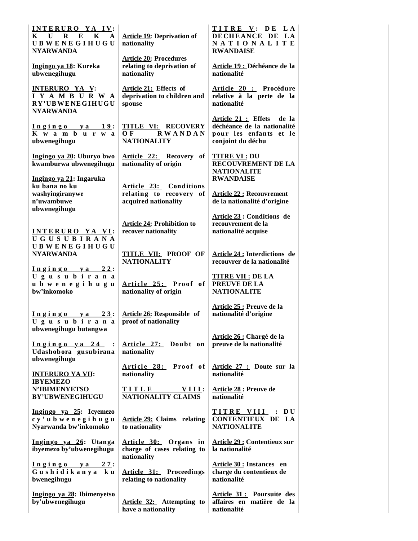| INTERURO YA IV:<br>$\mathbf{E}$<br>$\mathbf{K}$<br>$\mathbf{U}$ R<br>$\mathbf{K}$<br>$\mathbf{A}$<br><b>UBWENEGIHUGU</b><br><b>NYARWANDA</b> | <b>Article 19: Deprivation of</b><br>nationality                           | TITRE V: DE LA<br>DECHEANCE DE LA<br>NATIONALITE<br><b>RWANDAISE</b>                                    |
|----------------------------------------------------------------------------------------------------------------------------------------------|----------------------------------------------------------------------------|---------------------------------------------------------------------------------------------------------|
| Ingingo ya 18: Kureka<br>ubwenegihugu                                                                                                        | <b>Article 20: Procedures</b><br>relating to deprivation of<br>nationality | Article 19 : Déchéance de la<br>nationalité                                                             |
| <b>INTERURO YA V:</b><br>IYAMBURWA<br>RY'UBWENEGIHUGU<br><b>NYARWANDA</b>                                                                    | Article 21: Effects of<br>deprivation to children and<br>spouse            | Article 20 : Procédure<br>relative à la perte de la<br>nationalité                                      |
| <u>Ingingo ya 19:</u><br>K w a m b u r w a<br>ubwenegihugu                                                                                   | <b>TITLE VI: RECOVERY</b><br><b>RWANDAN</b><br>OЕ<br><b>NATIONALITY</b>    | Article 21 : Effets de la<br>déchéance de la nationalité<br>pour les enfants et le<br>conjoint du déchu |
| Ingingo ya 20: Uburyo bwo<br>kwamburwa ubwenegihugu                                                                                          | Article 22: Recovery of<br>nationality of origin                           | <b>TITRE VI: DU</b><br><b>RECOUVREMENT DE LA</b><br><b>NATIONALITE</b>                                  |
| Ingingo ya 21: Ingaruka<br>ku bana no ku<br>washyingiranywe<br>n'uwambuwe<br>ubwenegihugu                                                    | Article 23: Conditions<br>relating to recovery of<br>acquired nationality  | <b>RWANDAISE</b><br><b>Article 22: Recouvrement</b><br>de la nationalité d'origine                      |
| INTERURO YA VI:<br><b>UGUSUBIRANA</b>                                                                                                        | <b>Article 24: Prohibition to</b><br>recover nationality                   | Article 23: Conditions de<br>recouvrement de la<br>nationalité acquise                                  |
| <b>UBWENEGIHUGU</b><br><b>NYARWANDA</b><br>$Ingingo$ ya $22$ :                                                                               | <b>TITLE VII: PROOF OF</b><br><b>NATIONALITY</b>                           | <b>Article 24: Interdictions de</b><br>recouvrer de la nationalité                                      |
| Ugusubirana<br>ubwenegihugu<br>bw'inkomoko                                                                                                   | Article 25: Proof of<br>nationality of origin                              | <b>TITRE VII : DE LA</b><br>PREUVE DE LA<br><b>NATIONALITE</b>                                          |
| $Ingingo$ y a $23$ :<br>Ugusubirana<br>ubwenegihugu butangwa                                                                                 | <b>Article 26: Responsible of</b><br>proof of nationality                  | Article 25 : Preuve de la<br>nationalité d'origine                                                      |
| Ingingo ya 24<br>$\cdot$ :<br>Udashobora gusubirana<br>ubwenegihugu                                                                          | Article 27: Doubt on<br>nationality                                        | Article 26 : Chargé de la<br>preuve de la nationalité                                                   |
| <b>INTERURO YA VII:</b><br><b>IBYEMEZO</b>                                                                                                   | Article 28: Proof of<br>nationality                                        | Article 27 : Doute sur la<br>nationalité                                                                |
| <b>N'IBIMENYETSO</b><br><b>BY'UBWENEGIHUGU</b>                                                                                               | TITLE VIII:<br>NATIONALITY CLAIMS                                          | <b>Article 28: Preuve de</b><br>nationalité                                                             |
| Ingingo ya 25: Icyemezo<br>cy'ubwenegihugu<br>Nyarwanda bw'inkomoko                                                                          | <b>Article 29: Claims relating</b><br>to nationality                       | TITRE VIII : DU<br><b>CONTENTIEUX DE LA</b><br><b>NATIONALITE</b>                                       |
| Ingingo ya 26: Utanga<br>ibyemezo by'ubwenegihugu                                                                                            | Article 30: Organs in<br>charge of cases relating to<br>nationality        | <b>Article 29: Contentieux sur</b><br>la nationalité                                                    |
| <u>Ingingo ya 27</u> :<br>Gushidikanya ku<br>bwenegihugu                                                                                     | <b>Article 31:</b> Proceedings<br>relating to nationality                  | Article 30 : Instances en<br>charge du contentieux de<br>nationalité                                    |
| Ingingo ya 28: Ibimenyetso<br>by'ubwenegihugu                                                                                                | Article 32: Attempting to<br>have a nationality                            | Article 31: Poursuite des<br>affaires en matière de la<br>nationalité                                   |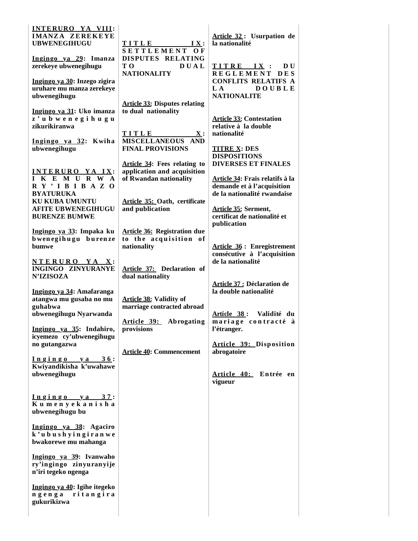| INTERURO YA VIII:<br><b>IMANZA ZEREKEYE</b><br><b>UBWENEGIHUGU</b><br>Ingingo ya 29: Imanza<br>zerekeye ubwenegihugu<br>Ingingo ya 30: Inzego zigira<br>uruhare mu manza zerekeye<br>ubwenegihugu<br>Ingingo ya 31: Uko imanza<br>z'ubwenegihugu<br>zikurikiranwa<br>Ingingo ya 32: Kwiha<br>ubwenegihugu<br>INTERURO YA IX:<br>I K E M U R W A<br>R Y' I B I B A Z O<br><b>BYATURUKA</b><br>KU KUBA UMUNTU<br><b>AFITE UBWENEGIHUGU</b><br><b>BURENZE BUMWE</b><br>Ingingo ya 33: Impaka ku<br>bwenegihugu burenze<br>bumwe<br>NTERURO YA X:<br><b>INGINGO ZINYURANYE</b><br><b>N'IZISOZA</b><br>Ingingo ya 34: Amafaranga<br>atangwa mu gusaba no mu<br>guhabwa<br>ubwenegihugu Nyarwanda<br>Ingingo ya 35: Indahiro,<br>icyemezo cy'ubwenegihugu<br>no gutangazwa<br>Ingingo ya 36:<br>Kwiyandikisha k'uwahawe<br>ubwenegihugu<br>$Ingingo$ ya $37$ :<br>Kumenyekanisha<br>ubwenegihugu bu<br>Ingingo ya 38: Agaciro | TITLE IX:<br>SETTLEMENT OF<br>DISPUTES RELATING<br>T O<br><b>DUAL</b><br><b>NATIONALITY</b><br><b>Article 33: Disputes relating</b><br>to dual nationality<br>TITLE X:<br>MISCELLANEOUS AND<br><b>FINAL PROVISIONS</b><br><b>Article 34: Fees relating to</b><br>application and acquisition<br>of Rwandan nationality<br>Article 35: Oath, certificate<br>and publication<br><b>Article 36: Registration due</b><br>to the acquisition of<br>nationality<br>Article 37: Declaration of<br>dual nationality<br><b>Article 38: Validity of</b><br>marriage contracted abroad<br>Abrogating<br><u>Article 39:</u><br>provisions<br><b>Article 40: Commencement</b> | Article 32: Usurpation de<br>la nationalité<br>TITRE IX :<br><b>DU</b><br>REGLEMENT DES<br><b>CONFLITS RELATIFS A</b><br>L A<br><b>DOUBLE</b><br><b>NATIONALITE</b><br><b>Article 33: Contestation</b><br>relative à la double<br>nationalité<br><b>TITRE X: DES</b><br><b>DISPOSITIONS</b><br><b>DIVERSES ET FINALES</b><br>Article 34: Frais relatifs à la<br>demande et à l'acquisition<br>de la nationalité rwandaise<br><b>Article 35: Serment,</b><br>certificat de nationalité et<br>publication<br><b>Article 36: Enregistrement</b><br>consécutive à l'acquisition<br>de la nationalité<br><b>Article 37 : Déclaration de</b><br>la double nationalité<br>Article 38: Validité du<br>mariage contracté à<br>l'étranger.<br><b>Article 39: Disposition</b><br>abrogatoire<br>Article 40: Entrée en<br>vigueur |
|-------------------------------------------------------------------------------------------------------------------------------------------------------------------------------------------------------------------------------------------------------------------------------------------------------------------------------------------------------------------------------------------------------------------------------------------------------------------------------------------------------------------------------------------------------------------------------------------------------------------------------------------------------------------------------------------------------------------------------------------------------------------------------------------------------------------------------------------------------------------------------------------------------------------------|------------------------------------------------------------------------------------------------------------------------------------------------------------------------------------------------------------------------------------------------------------------------------------------------------------------------------------------------------------------------------------------------------------------------------------------------------------------------------------------------------------------------------------------------------------------------------------------------------------------------------------------------------------------|-----------------------------------------------------------------------------------------------------------------------------------------------------------------------------------------------------------------------------------------------------------------------------------------------------------------------------------------------------------------------------------------------------------------------------------------------------------------------------------------------------------------------------------------------------------------------------------------------------------------------------------------------------------------------------------------------------------------------------------------------------------------------------------------------------------------------|
| k'ubushyingiranwe<br>bwakorewe mu mahanga                                                                                                                                                                                                                                                                                                                                                                                                                                                                                                                                                                                                                                                                                                                                                                                                                                                                               |                                                                                                                                                                                                                                                                                                                                                                                                                                                                                                                                                                                                                                                                  |                                                                                                                                                                                                                                                                                                                                                                                                                                                                                                                                                                                                                                                                                                                                                                                                                       |
| Ingingo ya 39: Ivanwaho<br>ry'ingingo zinyuranyije<br>n'iri tegeko ngenga<br>Ingingo ya 40: Igihe itegeko<br>ngenga ritangira<br>gukurikizwa                                                                                                                                                                                                                                                                                                                                                                                                                                                                                                                                                                                                                                                                                                                                                                            |                                                                                                                                                                                                                                                                                                                                                                                                                                                                                                                                                                                                                                                                  |                                                                                                                                                                                                                                                                                                                                                                                                                                                                                                                                                                                                                                                                                                                                                                                                                       |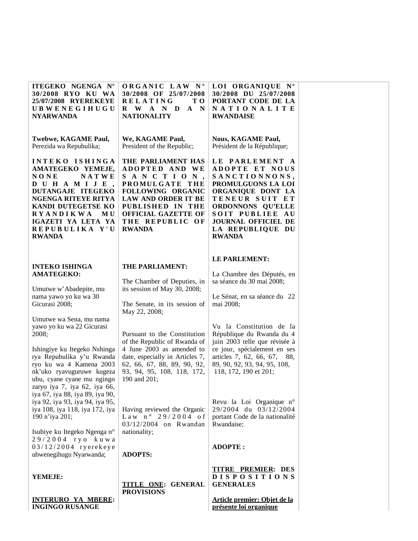| ITEGEKO NGENGA N°<br>30/2008 RYO KU WA<br>25/07/2008 RYEREKEYE<br><b>UBWENEGIHUGU</b><br><b>NYARWANDA</b>                                                                                                                                        | ORGANIC LAW N°<br>30/2008 OF 25/07/2008<br><b>RELATING</b><br>TО<br>R W A N D<br>$\mathbf{A}$<br>$\mathbf N$<br><b>NATIONALITY</b>                                                                           | LOI ORGANIQUE N°<br>30/2008 DU 25/07/2008<br>PORTANT CODE DE LA<br>NATIONALITE<br><b>RWANDAISE</b>                                                                                                                        |
|--------------------------------------------------------------------------------------------------------------------------------------------------------------------------------------------------------------------------------------------------|--------------------------------------------------------------------------------------------------------------------------------------------------------------------------------------------------------------|---------------------------------------------------------------------------------------------------------------------------------------------------------------------------------------------------------------------------|
| Twebwe, KAGAME Paul,<br>Perezida wa Repubulika;                                                                                                                                                                                                  | We, KAGAME Paul,<br>President of the Republic;                                                                                                                                                               | <b>Nous, KAGAME Paul,</b><br>Président de la République;                                                                                                                                                                  |
| INTEKO ISHINGA<br>AMATEGEKO YEMEJE,<br><b>NATWE</b><br><b>NONE</b><br>DUHAMIJE,<br>DUTANGAJE ITEGEKO<br>NGENGA RITEYE RITYA<br>KANDI DUTEGETSE KO<br><b>RYANDIKWA</b><br>MU<br>IGAZETI YA LETA YA<br>REPUBULIKA Y'U<br><b>RWANDA</b>             | THE PARLIAMENT HAS<br>ADOPTED AND WE<br>SANCTION,<br>PROMULGATE THE<br>FOLLOWING ORGANIC<br><b>LAW AND ORDER IT BE</b><br>PUBLISHED IN THE<br><b>OFFICIAL GAZETTE OF</b><br>THE REPUBLIC OF<br><b>RWANDA</b> | LE PARLEMENT A<br>ADOPTE ET NOUS<br>SANCTIONNONS,<br>PROMULGUONS LA LOI<br>ORGANIQUE DONT LA<br>TENEUR SUIT ET<br>ORDONNONS QU'ELLE<br>SOIT PUBLIEE AU<br><b>JOURNAL OFFICIEL DE</b><br>LA REPUBLIQUE DU<br><b>RWANDA</b> |
| <b>INTEKO ISHINGA</b>                                                                                                                                                                                                                            | THE PARLIAMENT:                                                                                                                                                                                              | LE PARLEMENT:                                                                                                                                                                                                             |
| <b>AMATEGEKO:</b>                                                                                                                                                                                                                                | The Chamber of Deputies, in                                                                                                                                                                                  | La Chambre des Députés, en<br>sa séance du 30 mai 2008;                                                                                                                                                                   |
| Umutwe w'Abadepite, mu<br>nama yawo yo ku wa 30                                                                                                                                                                                                  | its session of May 30, 2008;                                                                                                                                                                                 | Le Sénat, en sa séance du 22                                                                                                                                                                                              |
| Gicurasi 2008;                                                                                                                                                                                                                                   | The Senate, in its session of<br>May 22, 2008;                                                                                                                                                               | mai 2008;                                                                                                                                                                                                                 |
| Umutwe wa Sena, mu nama<br>yawo yo ku wa 22 Gicurasi<br>2008;<br>Ishingiye ku Itegeko Nshinga<br>rya Repubulika y'u Rwanda<br>ryo ku wa 4 Kamena 2003<br>nk'uko ryavuguruwe kugeza<br>ubu, cyane cyane mu ngingo<br>zaryo iya 7, iya 62, iya 66, | Pursuant to the Constitution<br>of the Republic of Rwanda of<br>4 June 2003 as amended to<br>date, especially in Articles 7,<br>62, 66, 67, 88, 89, 90, 92,<br>93, 94, 95, 108, 118, 172,<br>190 and 201;    | Vu la Constitution de la<br>République du Rwanda du 4<br>juin 2003 telle que révisée à<br>ce jour, spécialement en ses<br>articles 7, 62, 66, 67,<br>88,<br>89, 90, 92, 93, 94, 95, 108,<br>118, 172, 190 et 201;         |
| iya 67, iya 88, iya 89, iya 90,<br>iya 92, iya 93, iya 94, iya 95,<br>iya 108, iya 118, iya 172, iya<br>190 n'iya 201;<br>Isubiye ku Itegeko Ngenga n°                                                                                           | Having reviewed the Organic<br>$Law n^o 29/2004$ of<br>03/12/2004 on Rwandan<br>nationality;                                                                                                                 | Revu la Loi Organique n°<br>29/2004 du 03/12/2004<br>portant Code de la nationalité<br>Rwandaise;                                                                                                                         |
| 29/2004 ryo kuwa<br>03/12/2004 ryerekeye<br>ubwenegihugu Nyarwanda;                                                                                                                                                                              | <b>ADOPTS:</b>                                                                                                                                                                                               | <b>ADOPTE:</b>                                                                                                                                                                                                            |
| YEMEJE:                                                                                                                                                                                                                                          | <b>TITLE ONE: GENERAL</b><br><b>PROVISIONS</b>                                                                                                                                                               | <b>TITRE PREMIER: DES</b><br><b>DISPOSITIONS</b><br><b>GENERALES</b>                                                                                                                                                      |
| <b>INTERURO YA MBERE:</b><br><b>INGINGO RUSANGE</b>                                                                                                                                                                                              |                                                                                                                                                                                                              | Article premier: Objet de la<br>présente loi organique                                                                                                                                                                    |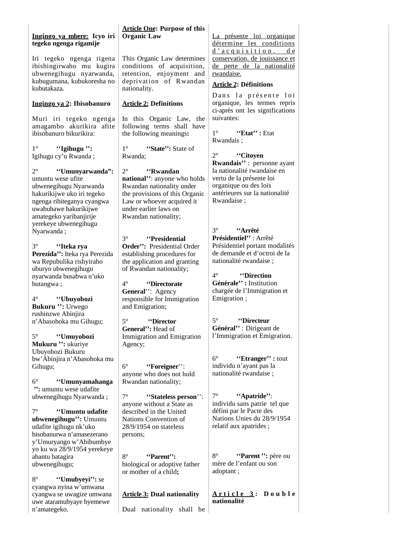### **Ingingo ya mbere: Icyo iri tegeko ngenga rigamije**

Iri tegeko ngenga rigena ibishingirwaho mu kugira ubwenegihugu nyarwanda, kubugumana, kubukoresha no kubutakaza.

#### **Ingingo ya 2: Ibisobanuro**

Muri iri tegeko ngenga amagambo akurikira afite ibisobanuro bikurikira:

1° **''Igihugu '':** Igihugu cy'u Rwanda ;

2° **''Umunyarwanda":** umuntu wese ufite ubwenegihugu Nyarwanda hakurikijwe uko iri tegeko ngenga ribiteganya cyangwa uwabuhawe hakurikijwe amategeko yaribanjirije yerekeye ubwenegihugu Nyarwanda ;

3° **''Iteka rya Perezida'':** Iteka rya Perezida wa Repubulika rishyiraho uburyo ubwenegihugu nyarwanda busabwa n'uko butangwa ;

4° **''Ubuyobozi Bukuru '':** Urwego rushinzwe Abinjira n'Abasohoka mu Gihugu;

5° **''Umuyobozi Mukuru '':** ukuriye Ubuyobozi Bukuru bw'Abinjira n'Abasohoka mu Gihugu;

6° **''Umunyamahanga '':** umuntu wese udafite ubwenegihugu Nyarwanda ;

7° **''Umuntu udafite ubwenegihugu'':** Umuntu udafite igihugu nk'uko bisobanurwa n'amasezerano y'Umuryango w'Abibumbye yo ku wa 28/9/1954 yerekeye abantu batagira ubwenegihugu;

8° **''Umubyeyi'':** se cyangwa nyina w'umwana cyangwa se uwagize umwana uwe ataramubyaye byemewe n'amategeko.

### **Article One: Purpose of this Organic Law**

This Organic Law determines conditions of acquisition, retention, enjoyment and deprivation of Rwandan nationality.

### **Article 2: Definitions**

In this Organic Law, the following terms shall have the following meanings**:**

1° **'State'':** State of Rwanda;

2° **''Rwandan national''**: anyone who holds Rwandan nationality under the provisions of this Organic Law or whoever acquired it under earlier laws on Rwandan nationality;

3° **''Presidential Order'':** Presidential Order establishing procedures for the application and granting of Rwandan nationality;

4° **''Directorate General**'': Agency responsible for Immigration and Emigration;

5° **''Director General'':** Head of Immigration and Emigration Agency;

6° **''Foreigner**'': anyone who does not hold Rwandan nationality;

7° **''Stateless person**'': anyone without a State as described in the United Nations Convention of 28/9/1954 on stateless persons;

8° **''Parent'':** biological or adoptive father or mother of a child**;**

**Article 3: Dual nationality**

Dual nationality shall be

La présente loi organique détermine les conditions d'acquisition, de conservation, de jouissance et de perte de la nationalité rwandaise.

#### **Article 2: Définitions**

Dans la présente loi organique, les termes repris ci-après ont les significations suivantes:

1° **''Etat'' :** Etat Rwandais ;

2° **''Citoyen Rwandais''** : personne ayant la nationalité rwandaise en vertu de la présente loi organique ou des lois antérieures sur la nationalité Rwandaise ;

3° **''Arrêté Présidentiel''** : Arrêté Présidentiel portant modalités de demande et d'octroi de la nationalité rwandaise ;

4° **''Direction Générale'' :** Institution chargée de l'Immigration et Emigration ;

5° **''Directeur Général''** : Dirigeant de l'Immigration et Emigration.

6° **''Etranger'' :** tout individu n'ayant pas la nationalité rwandaise ;

7° **''Apatride''**: individu sans patrie tel que défini par le Pacte des Nations Unies du 28/9/1954 relatif aux apatrides ;

8° **''Parent '':** père ou mère de l'enfant ou son adoptant ;

**A r t i c l e 3 : D o u b l e nationalité**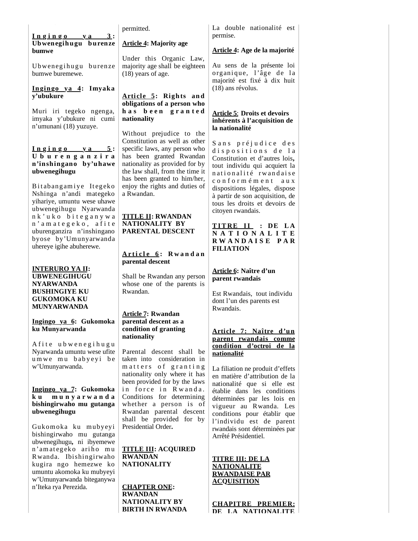$Ingingo$   $ya$   $3$ : **Ubwenegihugu burenze bumwe**

Ubwenegihugu burenze bumwe buremewe.

#### **In gin go ya 4: Imyaka y'ubukure**

Muri iri tegeko ngenga, imyaka y'ubukure ni cumi n'umunani (18) yuzuye.

#### $Ingingo$   $ya$   $5$ : **U b u r e n g a n z i r a n'inshingano by'uhawe ubwenegihugu**

Bit ab ang amiye Itegeko Nshinga n'andi mategeko yihariye, umuntu wese uhawe ubwenegihugu Nyarwanda n k ' u k o b i t e g a n y w a n ' a m a t e g e k o , a f i t e uburenganzira n'inshingano byose by'Umunyarwanda uhereye igihe abuherewe.

#### **INTERURO YA II: UBWENEGIHUGU NYARWANDA BUSHINGIYE KU GUKOMOKA KU MUNYARWANDA**

**Ingingo ya 6: Gukomoka ku Munyarwanda**

A fite ubwenegihugu Nyarwanda umuntu wese ufite umwe mu babyeyi be w'Umunyarwanda.

#### **Ingingo ya 7: Gukomoka k u m u n y a r w a n d a bishingirwaho mu gutanga ubwenegihugu**

Gukom oka ku m ubyeyi bishingirwaho mu gutanga ubwenegihugu**,** ni ibyemewe n'am at egeko ari ho m u R wanda. Ibishingirwaho kugira ngo hemezwe ko umuntu akomoka ku mubyeyi w'Umunyarwanda biteganywa n'Iteka rya Perezida.

permitted.

### **Article 4: Majority age**

Under this Organic Law, majority age shall be eighteen (18) years of age.

### **Article 5: Rights and obligations of a person who**  has been granted **nationality**

Without prejudice to the Constitution as well as other specific laws, any person who has been granted Rwandan nationality as provided for by the law shall, from the time it has been granted to him/her, enjoy the rights and duties of a Rwandan.

### **TITLE II: RWANDAN NATIONALITY BY PARENTAL DESCENT**

### **A r ti c l e 6 : R w a n d a n parental descent**

Shall be Rwandan any person whose one of the parents is Rwandan.

#### **Article 7: Rwandan parental descent as a condition of granting nationality**

Parental descent shall be taken into consideration in matters of granting nationality only where it has been provided for by the laws in force in Rwanda. Conditions for determining whether a person is of Rwandan parental descent shall be provided for by Presidential Order**.**

**TITLE III: ACQUIRED RWANDAN NATIONALITY**

**CHAPTER ONE: RWANDAN NATIONALITY BY BIRTH IN RWANDA** La double nationalité est permise.

## **Article 4: Age de la majorité**

Au sens de la présente loi organique, l'âge de la majorité est fixé à dix huit (18) ans révolus.

### **Article 5**: **Droits et devoirs inhérents à l'acquisition de la nationalité**

Sans préjudice des dispositions de la Constitution et d'autres lois**,**  tout individu qui acquiert la n ationalité rwandaise c o n f o r m é m e n t a u x dispositions légales, dispose à partir de son acquisition, de tous les droits et devoirs de citoyen rwandais.

### **T IT RE II : DE L A N A T I O N A L I T E R W A N D A I S E P A R FILIATION**

### **Article 6: Naître d'un parent rwandais**

Est Rwandais, tout individu dont l'un des parents est Rwandais.

### **Article 7: Naître d'un parent rwandais comme condition d'octroi de la nationalité**

La filiation ne produit d'effets en matière d'attribution de la nationalité que si elle est établie dans les conditions déterminées par les lois en vigueur au Rwanda. Les conditions pour établir que l'individu est de parent rwandais sont déterminées par Arrêté Présidentiel.

#### **TITRE III: DE LA NATIONALITE RWANDAISE PAR ACQUISITION**

**CHAPITRE PREMIER: DE LA NATIONALITE**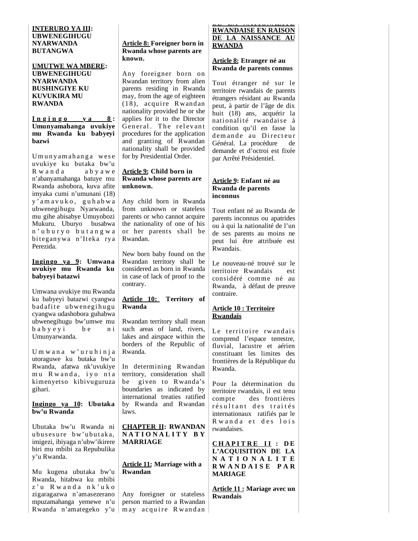### **INTERURO YA III: UBWENEGIHUGU NYARWANDA BUTANGWA**

**UMUTWE WA MBERE: UBWENEGIHUGU NYARWANDA BUSHINGIYE KU KUVUKIRA MU RWANDA** 

#### $I_n$   $g$   $i_n$   $g$   $o$   $y$   $a$   $g$   $s$ **Umunyamahanga uvukiye mu Rwanda ku babyeyi bazwi**

Umunyamahanga wese uvukiye ku butaka bw'u R w a n d a a b y a w e n'abanyamahanga batuye mu Rwanda ashobora, kuva afite imyaka cumi n'umunani (18) y ' a m a v u k o , g u h a b w a ubwenegihugu Nyarwanda, mu gihe abisabye Umuyobozi Mukuru. Uburyo busabwa n ' u b u r y o b u t a n g w a bit eganywa n'It eka rya Perezida.

#### **Ingingo ya 9: Umwana uvukiye mu Rwanda ku babyeyi batazwi**

Umwana uvukiye mu Rwanda ku babyeyi batazwi cyangwa bad afite ubwenegihugu cyangwa udashobora guhabwa ubwenegihugu bw'umwe mu b a b y e y i b e n i Umunyarwanda.

Umwana w'uruhinja utoraguwe ku butaka bw'u Rwanda, afatwa nk'uvukiye mu Rwanda, iyo nta kimenyetso kibivuguruza gihari.

#### **Ingingo ya 10: Ubutaka bw'u Rwanda**

Ubutaka bw'u Rwanda ni ubus esure bw'ubutaka. imigezi, ibiyaga n'ubw'ikirere biri mu mbibi za Repubulika y'u Rwanda.

Mu kugena ubutaka bw'u Rwanda, hitabwa ku mbibi z'u Rwanda nk'uko zigaragazwa n'amasezerano mpuzamahanga yemewe n'u Rwanda n'amategeko y'u

### **Article 8: Foreigner born in Rwanda whose parents are known.**

Any foreigner born on Rwandan territory from alien parents residing in Rwanda may, from the age of eighteen (18), acquire Rwandan nationality provided he or she applies for it to the Director General. The relevant procedures for the application and granting of Rwandan nationality shall be provided for by Presidential Order.

### **Article 9: Child born in Rwanda whose parents are unknown.**

Any child born in Rwanda from unknown or stateless parents or who cannot acquire the nationality of one of his or her parents shall be Rwandan.

New born baby found on the Rwandan territory shall be considered as born in Rwanda in case of lack of proof to the contrary.

#### **Article 10: Territory of Rwanda**

Rwandan territory shall mean such areas of land, rivers, lakes and airspace within the borders of the Republic of Rwanda.

In determining Rwandan territory, consideration shall be given to Rwanda's boundaries as indicated by international treaties ratified by Rwanda and Rwandan laws.

### **CHAPTER II: RWANDAN N A T I O N A L I T Y B Y MARRIAGE**

#### **Article 11: Marriage with a Rwandan**

Any foreigner or stateless person married to a Rwandan m ay acq uire Rwandan

### **DE LA NATIONALITE RWANDAISE EN RAISON DE LA NAISSANCE AU RWANDA**

#### **Article 8: Etranger né au Rwanda de parents connus**

Tout étranger né sur le territoire rwandais de parents étrangers résidant au Rwanda peut, à partir de l'âge de dix huit (18) ans, acquérir la nationalité rwandaise à condition qu'il en fasse la demande au Directeur Général. La procédure de demande et d'octroi est fixée par Arrêté Présidentiel.

#### **Article 9: Enfant né au Rwanda de parents inconnus**

Tout enfant né au Rwanda de parents inconnus ou apatrides ou à qui la nationalité de l'un de ses parents au moins ne peut lui être attribuée est Rwandais.

Le nouveau-né trouvé sur le territoire Rwandais est considéré comme né au Rwanda, à défaut de preuve contraire.

### **Article 10 : Territoire Rwandais**

Le territoire rwandais comprend l'espace terrestre, fluvial, lacustre et aérien constituant les limites des frontières de la République du Rwanda.

Pour la détermination du territoire rwandais, il est tenu compte des frontières résultant des traités internationaux ratifiés par le R w and a et des lois rwandaises.

**C H A P I T R E I I : D E L'ACQUISITION DE LA N A T I O N A L I T E R W A N D A I S E P A R MARIAGE**

**Article 11 : Mariage avec un Rwandais**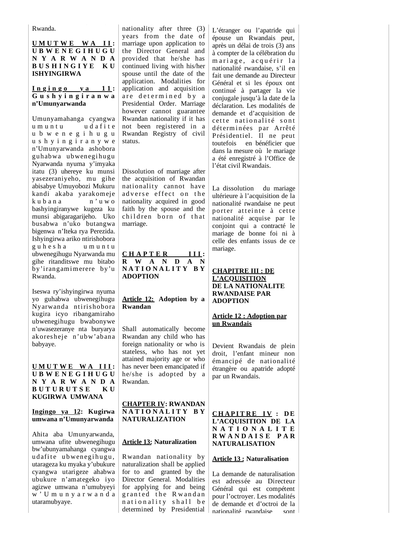Rwanda.

### **U M U T W E W A I I : U B W E N E G I H U G U N Y A R W A N D A B U S H I N G I Y E K U ISHYINGIRWA**

#### $\ln \sin \varrho$  **va**  $11$ : **G u s h y i n g i r a n w a n'Umunyarwanda**

Umunyamahanga cyangwa u m u n t u u d a fit e u b w e n e g i h u g u u s h y i n g i r a n y w e n'Umunyarwanda ashobora guhabwa ubwenegihugu Nyarwanda nyuma y'imyaka itatu (3) uhereye ku munsi yasezeraniyeho, mu gihe abisabye Umuyobozi Mukuru kandi akaba yarakomeje  $k$ u b a n a n ' u w o bashyingiranywe kugeza ku munsi abigaragarijeho. Uko busabwa n'uko butangwa bigenwa n'Iteka rya Perezida. Ishyingirwa ariko ntirishobora guhesha umuntu ubwenegihugu Nyarwanda mu gihe ritanditswe mu bitabo by'irangamimerere by'u Rwanda.

Iseswa ry'ishyingirwa nyuma yo guhabwa ubwenegihugu Nyarwanda ntirishobora kugira icyo ribangamiraho ubwenegihugu bwabonywe n'uwasezeranye nta buryarya akoresheje n'ubw'abana babyaye.

**U M U T W E W A I I I : U B W E N E G I H U G U N Y A R W A N D A B U T U R U T S E K U KUGIRWA UMWANA**

### **Ingingo ya 12: Kugirwa umwana n'Umunyarwanda**

Ahita aba Umunyarwanda, umwana ufite ubwenegihugu bw'ubunyamahanga cyangwa udafite ubwenegihugu, utarageza ku myaka y'ubukure cyangwa utarigeze ahabwa ubukure n'amategeko iyo agizwe umwana n'umubyeyi w ' U m u n y a r w a n d a utaramubyaye.

nationality after three (3) years from the date of marriage upon application to the Director General and provided that he/she has continued living with his/her spouse until the date of the application. Modalities for application and acquisition are determined by a Presidential Order. Marriage however cannot guarantee Rwandan nationality if it has not been registered in a Rwandan Registry of civil status.

Dissolution of marriage after the acquisition of Rwandan nationality cannot have adverse effect on the nationality acquired in good faith by the spouse and the children born of that marriage.

**C H A P T E R I I I : R W A N D A N N A T I O N A L I T Y B Y ADOPTION**

#### **Article 12: Adoption by a Rwandan**

Shall automatically become Rwandan any child who has foreign nationality or who is stateless, who has not yet attained majority age or who has never been emancipated if he/she is adopted by a Rwandan.

#### **CHAPTER IV: RWANDAN N A T I O N A L I T Y B Y NATURALIZATION**

#### **Article 13: Naturalization**

Rwandan nationality by naturalization shall be applied for to and granted by the Director General. Modalities for applying for and being granted the Rwandan nationality shall be determined by Presidential L'étranger ou l'apatride qui épouse un Rwandais peut, après un délai de trois (3) ans à compter de la célébration du mariage, acquérir la nationalité rwandaise, s'il en fait une demande au Directeur Général et si les époux ont continué à partager la vie conjugale jusqu'à la date de la déclaration. Les modalités de demande et d'acquisition de cette nationalité sont déterminées par Arrêté Présidentiel. Il ne peut toutefois en bénéficier que dans la mesure où le mariage a été enregistré à l'Office de l'état civil Rwandais.

La dissolution du mariage ultérieure à l'acquisition de la nationalité rwandaise ne peut porter atteinte à cette nationalité acquise par le conjoint qui a contracté le mariage de bonne foi ni à celle des enfants issus de ce mariage.

#### **CHAPITRE III : DE L'ACQUISITION DE LA NATIONALITE RWANDAISE PAR ADOPTION**

#### **Article 12 : Adoption par un Rwandais**

Devient Rwandais de plein droit, l'enfant mineur non émancipé de nationalité étrangère ou apatride adopté par un Rwandais.

#### **CH A P I T R E I V : D E L'ACQUISITION DE LA N A T I O N A L I T E R W A N D A I S E P A R NATURALISATION**

### **Article 13 : Naturalisation**

La demande de naturalisation est adressée au Directeur Général qui est compétent pour l'octroyer. Les modalités de demande et d'octroi de la nationalité rwandaise sont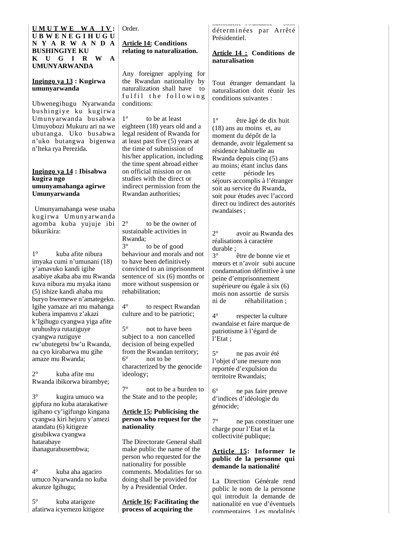#### **U M U T W E W A I V : U B W E N E G I H U G U N Y A R W A N D A BUSHINGIYE KU K U G I R W A UMUNYARWANDA**

#### **Ingingo ya 13 : Kugirwa umunyarwanda**

Ubwenegihugu Nyarwanda bushingiye ku kugirwa Umunyarwanda busabwa Umuyobozi Mukuru ari na we ubutanga. Uko busabwa n'uko butangwa bigenwa n'Iteka rya Perezida.

#### **Ingingo ya 14 : Ibisabwa kugira ngo umunyamahanga agirwe Umunyarwanda**

 Umunyamahanga wese usaba kugirwa Umunyarwanda agomba kuba yujuje ibi bikurikira:

1° kuba afite nibura imyaka cumi n'umunani (18) y'amavuko kandi igihe asabiye akaba aba mu Rwanda kuva nibura mu myaka itanu (5) ishize kandi ahaba mu buryo bwemewe n'amategeko. Igihe yamaze ari mu mahanga kubera impamvu z'akazi k'Igihugu cyangwa yiga afite uruhushya rutaziguye cyangwa ruziguye rw'ubutegetsi bw'u Rwanda, na cyo kirabarwa mu gihe amaze mu Rwanda;

2° kuba afite mu Rwanda ibikorwa birambye;

3° kugira umuco wa gipfura no kuba atarakatiwe igihano cy'igifungo kingana cyangwa kiri hejuru y'amezi atandatu (6) kitigeze gisubikwa cyangwa hatarabaye ihanagurabusembwa;

4° kuba aha agaciro umuco Nyarwanda no kuba akunze Igihugu;

5° kuba atarigeze afatirwa icyemezo kitigeze Order.

**Article 14: Conditions relating to naturalization.**

Any foreigner applying for the Rwandan nationality by naturalization shall have to fulfil the following conditions:

1° to be at least eighteen (18) years old and a legal resident of Rwanda for at least past five (5) years at the time of submission of his/her application, including the time spent abroad either on official mission or on studies with the direct or indirect permission from the Rwandan authorities;

2° to be the owner of sustainable activities in Rwanda;<br> $3^{\circ}$ to be of good behaviour and morals and not to have been definitively convicted to an imprisonment sentence of six (6) months or more without suspension or rehabilitation;

4° to respect Rwandan culture and to be patriotic;

5° not to have been subject to a non cancelled decision of being expelled from the Rwandan territory; 6° not to be characterized by the genocide ideology;

7° not to be a burden to the State and to the people;

#### **Article 15: Publicising the person who request for the nationality**

The Directorate General shall make public the name of the person who requested for the nationality for possible comments. Modalities for so doing shall be provided for by a Presidential Order.

**Article 16: Facilitating the process of acquiring the** 

nationalité romandaise déterminées par Arrêté Présidentiel.

### **Article 14 : Conditions de naturalisation**

Tout étranger demandant la naturalisation doit réunir les conditions suivantes :

1° être âgé de dix huit (18) ans au moins et, au moment du dépôt de la demande, avoir légalement sa résidence habituelle au Rwanda depuis cinq (5) ans au moins; étant inclus dans cette période les séjours accomplis à l'étranger soit au service du Rwanda, soit pour études avec l'accord direct ou indirect des autorités rwandaises ;

2° avoir au Rwanda des réalisations à caractère durable ;<br> $3^\circ$ 

être de bonne vie et mœurs et n'avoir subi aucune condamnation définitive à une peine d'emprisonnement supérieure ou égale à six (6) mois non assortie de sursis ni de réhabilitation ;

4° respecter la culture rwandaise et faire marque de patriotisme à l'égard de l'Etat ;

5° ne pas avoir été l'objet d'une mesure non reportée d'expulsion du territoire Rwandais;

6° ne pas faire preuve d'indices d'idéologie du génocide;

7° ne pas constituer une charge pour l'Etat et la collectivité publique;

### **Article 15: Informer le public de la personne qui demande la nationalité**

La Direction Générale rend public le nom de la personne qui introduit la demande de nationalité en vue d'éventuels commentaires Les modalités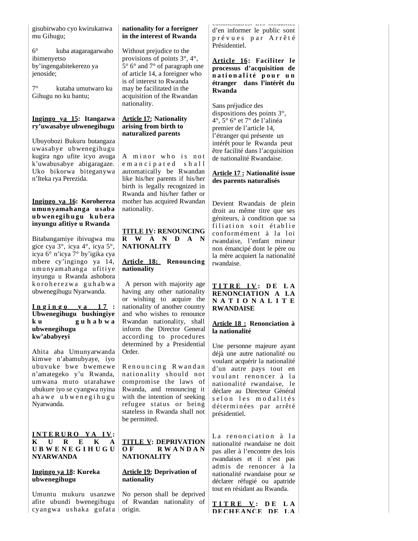gisubirwaho cyo kwirukanwa mu Gihugu;

6° kuba atagaragarwaho ibimenyetso by'ingengabitekerezo ya jenoside;

7° kutaba umutwaro ku Gihugu no ku bantu;

### **Ingingo ya 15: Itangazwa ry'uwasabye ubwenegihugu**

Ubuyobozi Bukuru butangaza uwasabye ubwenegihugu kugira ngo ufite icyo avuga k'uwabusabye abigaragaze*.* Uko bikorwa biteganywa n'Iteka rya Perezida.

### **Ingingo ya 16: Korohereza umunyamahanga usaba u b wen egi h u gu k u b era inyungu afitiye u Rwanda**

Bitabangamiye ibivugwa mu gice cya 3°, icya 4°, icya 5°, icya 6° n'icya 7° by'igika cya mbere cy'ingingo ya 14, um unyam ahanga ufitiye inyungu u Rwanda ashobora k o r o h e r e z w a gu h a b w a ubwenegihugu Nyarwanda.

#### **I n g i n g o y a 1 7 : Ubwenegihugu bushingiye k u g u h a b w a ubwenegihugu kw'ababyeyi**

Ahita aba Umunyarwanda kimwe n'abamubyaye, iyo ubuvuke bwe bwem ewe n'amategeko y'u Rwanda, umwana muto utarahawe ubukure iyo se cyangwa nyina a h a w e u b w e n e g i h u g u Nyarwanda.

#### **I N T E R U R O Y A I V : K U R E K A U B W E N E G I H U G U NYARWANDA**

### **Ingingo ya 18: Kureka ubwenegihugu**

Umuntu mukuru usanzwe afite ubundi bwenegihugu cyangwa ushaka gufata

## **nationality for a foreigner in the interest of Rwanda**

Without prejudice to the provisions of points 3°, 4°, 5° 6° and 7° of paragraph one of article 14, a foreigner who is of interest to Rwanda may be facilitated in the acquisition of the Rwandan nationality.

#### **Article 17: Nationality arising from birth to naturalized parents**

A minor who is not e m a n c i p a t e d sh a l l automatically be Rwandan like his/her parents if his/her birth is legally recognized in Rwanda and his/her father or mother has acquired Rwandan nationality.

**TITLE IV: RENOUNCING R W A N D A N NATIONALITY**

### **Article 18: Renouncing nationality**

 A person with majority age having any other nationality or wishing to acquire the nationality of another country and who wishes to renounce Rwandan nationality, shall inform the Director General according to procedures determined by a Presidential Order.

Renouncing Rwandan nationality should not compromise the laws of Rwanda, and renouncing it with the intention of seeking refugee status or being stateless in Rwanda shall not be permitted.

### **TITLE V: DEPRIVATION O F R W A N D A N NATIONALITY**

### **Article 19: Deprivation of nationality**

No person shall be deprived of Rwandan nationality of origin.

commentaires. Les modalités d'en informer le public sont prévues par Arrêté Présidentiel.

### **Article 16: Faciliter le processus d'acquisition de n a t i o n a l i t é p o u r u n étranger dans l'intérêt du Rwanda**

Sans préjudice des dispositions des points 3°, 4°, 5° 6° et 7° de l'alinéa premier de l'article 14, l'étranger qui présente un intérêt pour le Rwanda peut être facilité dans l'acquisition de nationalité Rwandaise.

### **Article 17 : Nationalité issue des parents naturalisés**

Devient Rwandais de plein droit au même titre que ses géniteurs, à condition que sa filiation soit établie conformément à la loi rwandaise, l'enfant mineur non émancipé dont le père ou la mère acquiert la nationalité rwandaise.

### **T I T R E I V : D E L A RENONCIATION A LA N A T I O N A L I T E RWANDAISE**

#### **Article 18 : Renonciation à la nationalité**

Une personne majeure ayant déjà une autre nationalité ou voulant acquérir la nationalité d'un autre pays tout en voulant renoncer à la nationalité rwandaise, le déclare au Directeur Général s e l o n l e s m o d a l i t é s déterminées par arrêté présidentiel.

La renonciation à la nationalité rwandaise ne doit pas aller à l'encontre des lois rwandaises et il n'est pas admis de renoncer à la nationalité rwandaise pour se déclarer réfugié ou apatride tout en résidant au Rwanda.

**T I T R E V : D E L A DECHEANCE DE L A**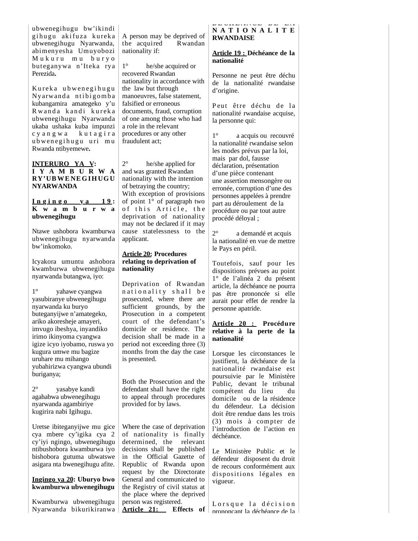ubwenegihugu bw'ikindi gihugu akifuza kureka ubwenegihugu Nyarwanda, abimenyesha Umuyobozi Mukuru mu buryo but eganywa n'It eka rya Perezida**.**

Kureka ubwenegihugu Ny arwanda ntibigomba kubangamira amategeko y'u Rwanda kandi kureka ubwenegihugu Nyarwanda ukaba ushaka kuba impunzi c y a n g w a k u t a g i r a ubwenegihugu uri mu Rwanda ntibyemewe**.**

### **INTERURO YA V: I Y A M B U R W A RY'UB WE NE G I H UG U NYARWANDA**

#### $I$  **n**  $g$  **i**  $n$  **g**  $o$  **y**  $a$  **19**: **K w a m b u r w a ubwenegihugu**

Ntawe ushobora kwamburwa ubwenegihugu nyarwanda bw'inkomoko.

Icyakora umuntu ashobora kwamburwa ubwenegihugu nyarwanda butangwa, iyo:

1° yahawe cyangwa yasubiranye ubwenegihugu nyarwanda ku buryo buteganyijwe n'amategeko, ariko akoresheje amayeri, imvugo ibeshya, inyandiko irimo ikinyoma cyangwa igize icyo iyobamo, ruswa yo kugura umwe mu bagize uruhare mu mihango yubahirizwa cyangwa ubundi buriganya;

2° yasabye kandi agahabwa ubwenegihugu nyarwanda agambiriye kugirira nabi Igihugu.

Uretse ibiteganyijwe mu gice cya mbere cy'igika cya 2 cy'iyi ngingo, ubwenegihugu ntibushobora kwamburwa iyo bishobora gutuma ubwatswe asigara nta bwenegihugu afite.

**Ingingo ya 20: Uburyo bwo kwamburwa ubwenegihugu**

Kwamburwa ubwenegihugu Nyarwanda bikurikiranwa

A person may be deprived of the acquired Rwandan nationality if:

1° he/she acquired or recovered Rwandan nationality in accordance with the law but through manoeuvres, false statement, falsified or erroneous documents, fraud, corruption of one among those who had a role in the relevant procedures or any other fraudulent act;

2° he/she applied for and was granted Rwandan nationality with the intention of betraying the country; With exception of provisions of point 1° of paragraph two of this Article, the deprivation of nationality may not be declared if it may cause statelessness to the applicant.

#### **Article 20: Procedures relating to deprivation of nationality**

Deprivation of Rwandan nationality shall be prosecuted, where there are sufficient grounds, by the Prosecution in a competent court of the defendant's domicile or residence. The decision shall be made in a period not exceeding three (3) months from the day the case is presented.

Both the Prosecution and the defendant shall have the right to appeal through procedures provided for by laws.

Where the case of deprivation of nationality is finally determined, the relevant decisions shall be published in the Official Gazette of Republic of Rwanda upon request by the Directorate General and communicated to the Registry of civil status at the place where the deprived person was registered. **Article 21: Effects of** 

### **DECHEANCE DE LA N A T I O N A L I T E RWANDAISE**

### **Article 19 : Déchéance de la nationalité**

Personne ne peut être déchu de la nationalité rwandaise d'origine.

Peut être déchu de la nationalité rwandaise acquise, la personne qui:

1° a acquis ou recouvré la nationalité rwandaise selon les modes prévus par la loi, mais par dol, fausse déclaration, présentation d'une pièce contenant une assertion mensongère ou erronée, corruption d'une des personnes appelées à prendre part au déroulement de la procédure ou par tout autre procédé déloyal ;

2° a demandé et acquis la nationalité en vue de mettre le Pays en péril.

Toutefois, sauf pour les dispositions prévues au point 1° de l'alinéa 2 du présent article, la déchéance ne pourra pas être prononcée si elle aurait pour effet de rendre la personne apatride.

#### **Article 20 : Procédure relative à la perte de la nationalité**

Lorsque les circonstances le justifient, la déchéance de la nationalité rwandaise est poursuivie par le Ministère Public, devant le tribunal compétent du lieu du domicile ou de la résidence du défendeur. La décision doit être rendue dans les trois (3) mois à compter de l'introduction de l'action en déchéance.

Le Ministère Public et le défendeur disposent du droit de recours conformément aux dispositions légales en vigueur.

Lorsque la décision prononçant la déchéance de la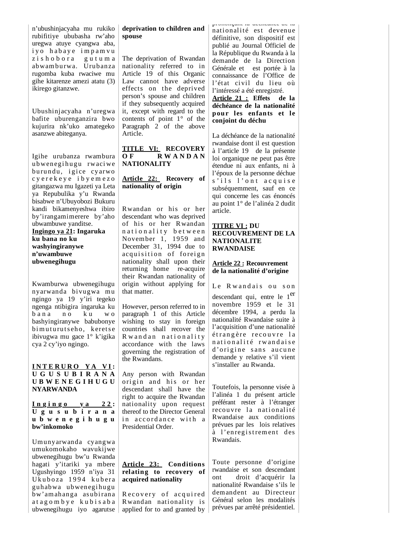n'ubushinjacyaha mu rukiko rubifitiye ububasha rw'aho uregwa atuye cyangwa aba, iyo habaye impamvu zishobora gutuma abwam burwa. Urubanza rugomba kuba rwaciwe mu gihe kitarenze amezi atatu (3) ikirego gitanzwe.

Ubushinjacyaha n'uregwa bafite uburenganzira bwo kujurira nk'uko amategeko asanzwe abiteganya.

Igihe urubanza rwambura ubwenegihugu rwaciwe burundu, igice cyarwo c y e r e k e y e i b y e m e z o gitangazwa mu Igazeti ya Leta ya Repubulika y'u Rwanda bisabwe n'Ubuyobozi Bukuru kandi bikamenyeshwa ibiro by'irangamimerere by'aho ubwambuwe yanditse. **Ingingo ya 21: Ingaruka ku bana no ku washyingiranywe n'uwambuwe ubwenegihugu** 

Kwamburwa ubwenegihugu nyarwanda bivugwa mu ngingo ya 19 y'iri tegeko ngenga ntibigira ingaruka ku bana no ku wo bashyingiranywe babubonye bimuturutseho, keretse ibivugwa mu gace 1° k'igika cya 2 cy'iyo ngingo.

#### **I N T E R U R O Y A V I : U G U S U B I R A N A U B W E N E G I H U G U NYARWANDA**

**I n g i n g o y a 2 2 : U g u s u b i r a n a u b w e n e g i h u g u bw'inkomoko**

Umunyarwanda cyangwa umukomokaho wavukijwe ubwenegihugu bw'u Rwanda hagati y'itariki ya mbere Ugushyingo 1959 n'iya 31 Ukuboza 1994 kubera guhabwa ubwenegihugu bw'am ahanga asubirana a t a g o m b y e k u b i s a b a ubwenegihugu iyo agarutse

### **deprivation to children and spouse**

The deprivation of Rwandan nationality referred to in Article 19 of this Organic Law cannot have adverse effects on the deprived person's spouse and children if they subsequently acquired it, except with regard to the contents of point 1° of the Paragraph 2 of the above Article.

**TITLE VI: RECOVERY O F R W A N D A N NATIONALITY**

### **Article 22: Recovery of nationality of origin**

Rwandan or his or her descendant who was deprived of his or her Rwandan nationality between November 1, 1959 and December 31, 1994 due to acquisition of foreign nationality shall upon their returning home re-acquire their Rwandan nationality of origin without applying for that matter.

However, person referred to in paragraph 1 of this Article wishing to stay in foreign countries shall recover the R w and an nationality accordance with the laws governing the registration of the Rwandans.

Any person with Rwandan origin and his or her descendant shall have the right to acquire the Rwandan nationality upon request thereof to the Director General in accordance with a Presidential Order.

### **Article 23: Conditions relating to recovery of acquired nationality**

Recovery of acquired Rwandan nationality is applied for to and granted by

prononçant la déchéance de la nationalité est devenue définitive, son dispositif est publié au Journal Officiel de la République du Rwanda à la demande de la Direction Générale et est portée à la connaissance de l'Office de l'état civil du lieu où l'intéressé a été enregistré. **Article 21 : Effets de la déchéance de la nationalité pour les enfants et le conjoint du déchu**

La déchéance de la nationalité rwandaise dont il est question à l'article 19 de la présente loi organique ne peut pas être étendue ni aux enfants, ni à l'époux de la personne déchue s'ils l'ont acquise subséquemment, sauf en ce qui concerne les cas énoncés au point 1° de l'alinéa 2 dudit article.

#### **TITRE VI : DU RECOUVREMENT DE LA NATIONALITE RWANDAISE**

### **Article 22 : Recouvrement de la nationalité d'origine**

Le Rwandais ou son

descendant qui, entre le 1er novembre 1959 et le 31 décembre 1994, a perdu la nationalité Rwandaise suite à l'acquisition d'une nationalité étrangère recouvre la n ationalité rwandaise d'origine sans aucune demande y relative s'il vient s'installer au Rwanda.

Toutefois, la personne visée à l'alinéa 1 du présent article préférant rester à l'étranger recouvre la nationalité Rwandaise aux conditions prévues par les lois relatives à l'enregistrement des Rwandais.

Toute personne d'origine rwandaise et son descendant ont droit d'acquérir la nationalité Rwandaise s'ils le demandent au Directeur Général selon les modalités prévues par arrêté présidentiel.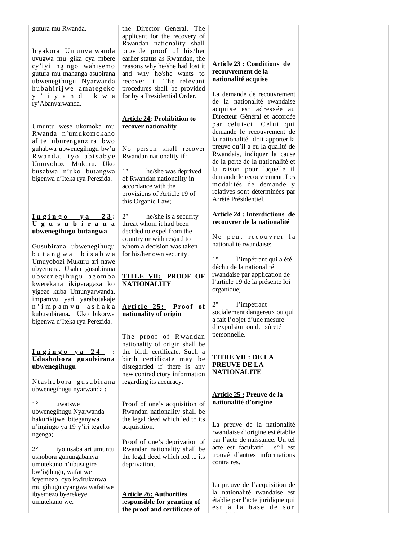gutura mu Rwanda.

Icyakora Umunyarwanda uvugwa mu gika cya mbere cy'iyi ngingo wahisemo gutura mu mahanga asubirana ubwenegihugu Nyarwanda hub ahiri jwe am ategeko y ' i y a n d i k w a ry'Abanyarwanda.

Umuntu wese ukomoka mu Rwanda n'umukomokaho afite uburenganzira bwo guhabwa ubwenegihugu bw'u Rwanda, iyo abisabye Umuyobozi Mukuru. Uko busabwa n'uko butangwa bigenwa n'Iteka rya Perezida.

#### $Ingingo$   $ya$   $23$ : **U g u s u b i r a n a ubwenegihugu butangwa**

Gusubirana ubwenegihugu b u t a n g w a b i s a b w a Umuyobozi Mukuru ari nawe ubyemera. Usaba gusubirana ubwenegihugu agomba kwerekana ikigaragaza ko yigeze kuba Umunyarwanda, impamvu yari yarabutakaje n ' i m p a m v u a s h a k a kubusubirana**.** Uko bikorwa bigenwa n'Iteka rya Perezida.

### **I n g i n g o y a 2 4 : Udashobora gusubirana ubwenegihugu**

Ntashobora gusubirana ubwenegihugu nyarwanda **:**

1° uwatswe ubwenegihugu Nyarwanda hakurikijwe ibiteganywa n'ingingo ya 19 y'iri tegeko ngenga;

2° iyo usaba ari umuntu ushobora guhungabanya umutekano n'ubusugire bw'igihugu, wafatiwe icyemezo cyo kwirukanwa mu gihugu cyangwa wafatiwe ibyemezo byerekeye umutekano we.

the Director General. The applicant for the recovery of Rwandan nationality shall provide proof of his/her earlier status as Rwandan, the reasons why he/she had lost it and why he/she wants to recover it. The relevant procedures shall be provided for by a Presidential Order.

### **Article 24: Prohibition to recover nationality**

No person shall recover Rwandan nationality if:

1° he/she was deprived of Rwandan nationality in accordance with the provisions of Article 19 of this Organic Law;

2° he/she is a security threat whom it had been decided to expel from the country or with regard to whom a decision was taken for his/her own security.

## **TITLE VII: PROOF OF NATIONALITY**

 $Article 25: Proof of$ **nationality of origin**

The proof of Rwandan nationality of origin shall be the birth certificate. Such a birth certificate may be disregarded if there is any new contradictory information regarding its accuracy.

Proof of one's acquisition of Rwandan nationality shall be the legal deed which led to its acquisition.

Proof of one's deprivation of Rwandan nationality shall be the legal deed which led to its deprivation.

**Article 26: Authorities** r**esponsible for granting of the proof and certificate of** 

### **Article 23 : Conditions de recouvrement de la nationalité acquise**

La demande de recouvrement de la nationalité rwandaise acquise est adressée au Directeur Général et accordée par celui-ci. Celui qui demande le recouvrement de la nationalité doit apporter la preuve qu'il a eu la qualité de Rwandais, indiquer la cause de la perte de la nationalité et la raison pour laquelle il demande le recouvrement. Les modalités de demande y relatives sont déterminées par Arrêté Présidentiel.

### **Article 24 : Interdictions de recouvrer de la nationalité**

Ne peut recouvrer la nationalité rwandaise:

1° l'impétrant qui a été déchu de la nationalité rwandaise par application de l'article 19 de la présente loi organique;

2° l'impétrant socialement dangereux ou qui a fait l'objet d'une mesure d'expulsion ou de sûreté personnelle.

### **TITRE VII : DE LA PREUVE DE LA NATIONALITE**

#### **Article 25 : Preuve de la nationalité d'origine**

La preuve de la nationalité rwandaise d'origine est établie par l'acte de naissance. Un tel acte est facultatif s'il est trouvé d'autres informations contraires.

La preuve de l'acquisition de la nationalité rwandaise est établie par l'acte juridique qui est à la base de son iiii i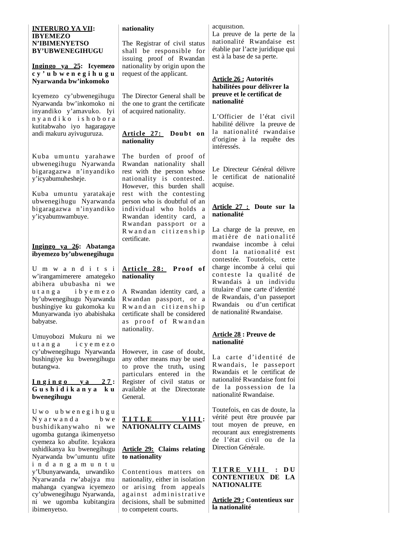#### **INTERURO YA VII: IBYEMEZO N'IBIMENYETSO BY'UBWENEGIHUGU**

### **Ingingo ya 25: Icyemezo c y ' u b w e n e g i h u g u Nyarwanda bw'inkomoko**

Icyemezo cy'ubwenegihugu Nyarwanda bw'inkomoko ni inyandiko y'amavuko. Iyi n y a n d i k o i s h o b o r a kutitabwaho iyo hagaragaye andi makuru ayivuguruza.

Kuba umuntu yarahawe ubwenegihugu Nyarwanda bigaragazwa n'inyandiko y'icyabumuhesheje.

Kuba umuntu yaratakaje ubwenegihugu Nyarwanda bigaragazwa n'inyandiko y'icyabumwambuye.

### **Ingingo ya 26: Abatanga ibyemezo by'ubwenegihugu**

U m w a n d i t s i w'irangamimerere amategeko abihera ububasha ni we u t a n g a i b y e m e z o by'ubwenegihugu Nyarwanda bushingiye ku gukomoka ku Munyarwanda iyo ababishaka babyatse.

Umuyobozi Mukuru ni we u t a n g a i c y e m e z o cy'ubwenegihugu Nyarwanda bushingiye ku bwenegihugu butangwa.

#### $Ingingo$   $ya$   $27$ : **G u s h i d i k a n y a k u bwenegihugu**

U w o u b w e n e g i h u g u N y a r w a n d a b w e bushidikanywaho ni we ugomba gutanga ikimenyetso cyemeza ko abufite. Icyakora ushidikanya ku bwenegihugu Nyarwanda bw'umuntu ufite i n d a n g a m u n t u y'Ubunyarwanda, urwandiko Nyarwanda rw'abajya mu mahanga cyangwa icyemezo cy'ubwenegihugu Nyarwanda, ni we ugomba kubitangira ibimenyetso.

### **nationality**

The Registrar of civil status shall be responsible for issuing proof of Rwandan nationality by origin upon the request of the applicant.

The Director General shall be the one to grant the certificate of acquired nationality.

### **Article 27: Doubt on nationality**

The burden of proof of Rwandan nationality shall rest with the person whose nationality is contested. However, this burden shall rest with the contesting person who is doubtful of an individual who holds a Rwandan identity card, a R wandan passport or a R w and an citizenship certificate.

### $Article$  28: Proof of **nationality**

A Rwandan identity card, a Rwandan passport, or a R w and an citizenship certificate shall be considered as proof of Rwandan nationality.

However, in case of doubt, any other means may be used to prove the truth**,** using particulars entered in the Register of civil status or available at the Directorate General.

### **T I T L E V I I I : NATIONALITY CLAIMS**

### **Article 29: Claims relating to nationality**

Contentious matters on nationality, either in isolation or arising from appeals against administrative decisions, shall be submitted to competent courts.

#### acquisition.

La preuve de la perte de la nationalité Rwandaise est établie par l'acte juridique qui est à la base de sa perte.

#### **Article 26 : Autorités habilitées pour délivrer la preuve et le certificat de nationalité**

L'Officier de l'état civil habilité délivre la preuve de la nationalité rwandaise d'origine à la requête des intéressés.

Le Directeur Général délivre le certificat de nationalité acquise.

#### **Article 27 : Doute sur la nationalité**

La charge de la preuve, en matière de nationalité rwandaise incombe à celui dont la nationalité est contestée. Toutefois, cette charge incombe à celui qui conteste la qualité de Rwandais à un individu titulaire d'une carte d'identité de Rwandais, d'un passeport Rwandais ou d'un certificat de nationalité Rwandaise.

### **Article 28 : Preuve de nationalité**

La carte d'identité de R wandais, le passeport Rwandais et le certificat de nationalité Rwandaise font foi de la possession de la nationalité Rwandaise.

Toutefois, en cas de doute, la vérité peut être prouvée par tout moyen de preuve, en recourant aux enregistrements de l'état civil ou de la Direction Générale.

### **T I T R E V I I I : D U CONTENTIEUX DE LA NATIONALITE**

**Article 29 : Contentieux sur la nationalité**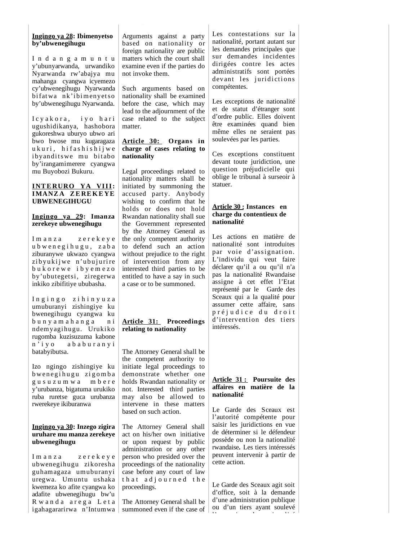### **Ingingo ya 28: Ibimenyetso by'ubwenegihugu**

I n d a n g a m u n t u y'ubunyarwanda, urwandiko Nyarwanda rw'abajya mu mahanga cyangwa icyemezo cy'ubwenegihugu Nyarwanda bi fat wa nk'i bi m enyet so by'ubwenegihugu Nyarwanda.

Icyakora, iyo hari ugushidikanya, hashobora gukoreshwa uburyo ubwo ari bwo bwose mu kugaragaza u kuri, hifashishijwe ibyanditswe mu bitabo by'irangamimerere cyangwa mu Buyobozi Bukuru.

#### **INTERURO YA VIII: IMANZA ZEREKEYE UBWENEGIHUGU**

#### **Ingingo ya 29: Imanza zerekeye ubwenegihugu**

Imanza zerekeye u b w e n e g i h u g u , z a b a ziburanywe ukwazo cyangwa zibyukijwe n'ubujurire b u k o r e w e i b y e m e z o by'ubutegetsi, ziregerwa inkiko zibifitiye ububasha.

I n g i n g o z i h i n y u z a umuburanyi zishingiye ku bwenegihugu cyangwa ku b u n y a m a h a n g a n i ndemyagihugu. Urukiko rugomba kuzisuzuma kabone n ' i y o a b a b u r a n y i batabyibutsa.

Izo ngingo zishingiye ku b wenegihugu zigomba g u s u z u m w a m b e r e y'urubanza, bigatuma urukiko ruba ruretse guca urubanza rwerekeye ikiburanwa

### **Ingingo ya 30: Inzego zigira uruhare mu manza zerekeye ubwenegihugu**

Imanza zerekeye ubwenegihugu zikoresha guhamagaza umuburanyi uregwa. Umuntu ushaka kwemeza ko afite cyangwa ko adafite ubwenegihugu bw'u R w and a arega Leta igahagararirwa n'Intumwa Arguments against a party based on nationality or foreign nationality are public matters which the court shall examine even if the parties do not invoke them.

Such arguments based on nationality shall be examined before the case, which may lead to the adjournment of the case related to the subject matter.

### **Article 30: Organs in charge of cases relating to nationality**

Legal proceedings related to nationality matters shall be initiated by summoning the accused party. Anybody wishing to confirm that he holds or does not hold Rwandan nationality shall sue the Government represented by the Attorney General as the only competent authority to defend such an action without prejudice to the right of intervention from any interested third parties to be entitled to have a say in such a case or to be summoned.

## **Article 31: Proceedings relating to nationality**

The Attorney General shall be the competent authority to initiate legal proceedings to demonstrate whether one holds Rwandan nationality or not. Interested third parties may also be allowed to intervene in these matters based on such action.

The Attorney General shall act on his/her own initiative or upon request by public administration or any other person who presided over the proceedings of the nationality case before any court of law that adjourned the proceedings.

The Attorney General shall be summoned even if the case of

Les contestations sur la nationalité, portant autant sur les demandes principales que sur demandes incidentes dirigées contre les actes administratifs sont portées devant les juridictions compétentes.

Les exceptions de nationalité et de statut d'étranger sont d'ordre public. Elles doivent être examinées quand bien même elles ne seraient pas soulevées par les parties.

Ces exceptions constituent devant toute juridiction, une question préjudicielle qui oblige le tribunal à surseoir à statuer.

#### **Article 30 : Instances en charge du contentieux de nationalité**

Les actions en matière de nationalité sont introduites par voie d'assignation. L'individu qui veut faire déclarer qu'il a ou qu'il n'a pas la nationalité Rwandaise assigne à cet effet l'Etat représenté par le Garde des Sceaux qui a la qualité pour assumer cette affaire, sans p r é j u d i c e d u d r o i t d'intervention des tiers intéressés.

### **Article 31 : Poursuite des affaires en matière de la nationalité**

Le Garde des Sceaux est l'autorité compétente pour saisir les juridictions en vue de déterminer si le défendeur possède ou non la nationalité rwandaise**.** Les tiers intéressés peuvent intervenir à partir de cette action.

Le Garde des Sceaux agit soit d'office, soit à la demande d'une administration publique ou d'un tiers ayant soulevé l' i d i li é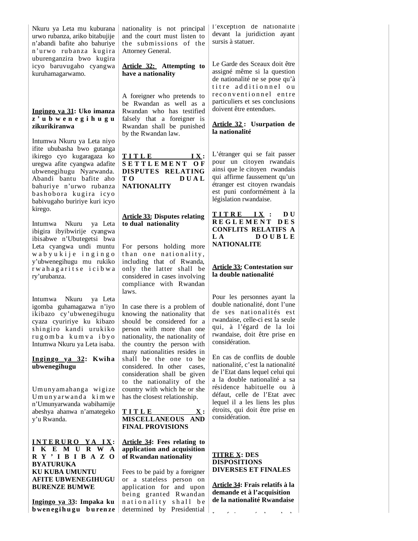Nkuru ya Leta mu kuburana urwo rubanza, ariko bitabujije n'abandi bafite aho bahuriye n'urwo rubanza kugira uburenganzira bwo kugira icyo baruvugaho cyangwa kuruhamagarwamo.

#### **Ingingo ya 31: Uko imanza z ' u b w e n e g i h u g u zikurikiranwa**

Intumwa Nkuru ya Leta niyo ifite ububasha bwo gutanga ikirego cyo kugaragaza ko uregwa afite cyangwa adafite ubwenegihugu Nyarwanda. Abandi bantu bafite aho bahuriye n'urwo rubanza bashobora kugira icyo babivugaho buririye kuri icyo kirego.

Intumwa Nkuru ya Leta ibigira ibyibwirije cyangwa ibisabwe n'Ubutegetsi bwa Leta cyangwa undi muntu w a b y u k i j e i n g i n g o y'ubwenegihugu mu rukiko r w a h a g a r i t s e i c i b w a ry'urubanza.

Intumwa Nkuru ya Leta igomba guhamagazwa n'iyo ikibazo cy'ubwenegihugu cyaza cyuririye ku kibazo shingiro kandi urukiko r u g o m b a k u m v a i b y o Intumwa Nkuru ya Leta isaba.

#### **Ingingo ya 32: Kwiha ubwenegihugu**

Um unyam ahanga wi gi ze U munyarwanda kimwe n'Umunyarwanda wabihamije abeshya ahanwa n'amategeko y'u Rwanda.

**I N T E R U R O Y A I X : I K E M U R W A R Y ' I B I B A Z O BYATURUKA KU KUBA UMUNTU AFITE UBWENEGIHUGU BURENZE BUMWE**

**Ingingo ya 33: Impaka ku bweneg ihu gu b u ren ze**  nationality is not principal and the court must listen to the submissions of the Attorney General.

**Article 32: Attempting to have a nationality**

A foreigner who pretends to be Rwandan as well as a Rwandan who has testified falsely that a foreigner is Rwandan shall be punished by the Rwandan law.

**T I T L E I X : S E T T L E M E N T O F DISPUTES RELATING T O D U A L NATIONALITY**

## **Article 33: Disputes relating to dual nationality**

For persons holding more than one nationality, including that of Rwanda, only the latter shall be considered in cases involving compliance with Rwandan laws.

In case there is a problem of knowing the nationality that should be considered for a person with more than one nationality, the nationality of the country the person with many nationalities resides in shall be the one to be considered. In other cases, consideration shall be given to the nationality of the country with which he or she has the closest relationship.

**TITLE X**: **MISCELLANEOUS AND FINAL PROVISIONS**

### **Article 34: Fees relating to application and acquisition of Rwandan nationality**

Fees to be paid by a foreigner or a stateless person on application for and upon being granted Rwandan nationality shall be determined by Presidential

l'exception de nationalité devant la juridiction ayant sursis à statuer.

Le Garde des Sceaux doit être assigné même si la question de nationalité ne se pose qu'à titre additionnel ou reconventionnel entre particuliers et ses conclusions doivent être entendues.

#### **Article 32 : Usurpation de la nationalité**

L'étranger qui se fait passer pour un citoyen rwandais ainsi que le citoyen rwandais qui affirme faussement qu'un étranger est citoyen rwandais est puni conformément à la législation rwandaise.

### **T I T R E I X : D U R E G L E M E N T D E S CONFLITS RELATIFS A L A D O U B L E NATIONALITE**

### **Article 33: Contestation sur la double nationalité**

Pour les personnes ayant la double nationalité, dont l'une de ses nationalités est rwandaise, celle-ci est la seule qui, à l'égard de la loi rwandaise, doit être prise en considération.

En cas de conflits de double nationalité, c'est la nationalité de l'Etat dans lequel celui qui a la double nationalité a sa résidence habituelle ou à défaut, celle de l'Etat avec lequel il a les liens les plus étroits, qui doit être prise en considération.

#### **TITRE X: DES DISPOSITIONS DIVERSES ET FINALES**

**Article 34: Frais relatifs à la demande et à l'acquisition de la nationalité Rwandaise**

L f i é l d l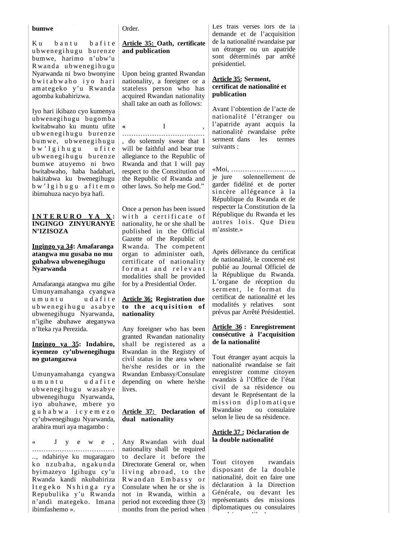#### **bumwe**

Ku bantu bafite ubwenegihugu burenze bumwe, harimo n'ubw'u R wanda ubwenegihugu Nyarwanda ni bwo bwonyine b wit a b w a h o i y o h a ri am at egeko y'u R wanda agomba kubahirizwa.

Iyo hari ikibazo cyo kumenya ubwenegihugu bugomba kwitabwaho ku muntu ufite ubwenegihugu burenze bum we, ubwenegihugu b w' I g i h u g u u fit e ubwenegihugu burenze bumwe atuyemo ni bwo bwitabwaho, haba hadahari, hakitabwa ku bwenegihugu b w ' I g i h u g u a f i t e m o ibimuhuza nacyo bya hafi.

### **I N T E R U R O Y A X : INGINGO ZINYURANYE N'IZISOZA**

#### **Ingingo ya 34: Amafaranga atangwa mu gusaba no mu guhabwa ubwenegihugu Nyarwanda**

Amafaranga atangwa mu gihe Umunyamahanga cyangwa u m u n t u u u d a fit e u b w e n e g i h u g u a s a b y e ubwenegihugu Nyarwanda, n'igihe abuhawe ateganywa n'Iteka rya Perezida.

#### **Ingingo ya 35: Indahiro, icyemezo cy'ubwenegihugu no gutangazwa**

Umunyamahanga cyangwa u m u n t u u d a fit e ubwenegihugu wasabye ubwenegihugu Nyarwanda, iyo abuhawe, mbere yo g u h a b w a i c y e m e z o cy'ubwenegihugu Nyarwanda, arahira muri aya magambo :

« Jyewe, ……………………………… .., ndahiriye ku mugaragaro ko nzubaha, ngakunda byimazeyo Igihugu cy'u Rwanda kandi nkubahiriza I t e g e k o N s h i n g a r y a Repubulika y'u Rwanda n'andi mategeko. Imana ibimfashemo ».

Order.

### **Article 35: Oath, certificate and publication**

Upon being granted Rwandan nationality, a foreigner or a stateless person who has acquired Rwandan nationality shall take an oath as follows:

**«** I , ……………………………… , do solemnly swear that I will be faithful and bear true allegiance to the Republic of Rwanda and that I will pay respect to the Constitution of the Republic of Rwanda and other laws. So help me God."

Once a person has been issued with a certificate of nationality, he or she shall be published in the Official Gazette of the Republic of Rwanda. The competent organ to administer oath, certificate of nationality form at and relevant modalities shall be provided for by a Presidential Order.

### **Article 36: Registration due**  to the acquisition of **nationality**

Any foreigner who has been granted Rwandan nationality shall be registered as a Rwandan in the Registry of civil status in the area where he/she resides or in the Rwandan Embassy/Consulate depending on where he/she lives.

### **Article 37: Declaration of dual nationality**

Any Rwandan with dual nationality shall be required to declare it before the Directorate General or, when living abroad, to the Rwandan Embassy or Consulate when he or she is not in Rwanda, within a period not exceeding three (3) months from the period when Les frais versés lors de la demande et de l'acquisition de la nationalité rwandaise par un étranger ou un apatride sont déterminés par arrêté présidentiel.

#### **Article 35: Serment, certificat de nationalité et publication**

Avant l'obtention de l'acte de nationalité l'étranger ou l'apatride ayant acquis la nationalité rwandaise prête serment dans les termes suivants :

«Moi, ………………………, je jure solennellement de garder fidélité et de porter sincère allégeance à la République du Rwanda et de respecter la Constitution de la République du Rwanda et les autres lois. Que Dieu m'assiste.»

Après délivrance du certificat de nationalité, le concerné est publié au Journal Officiel de la République du Rwanda. L'organe de réception du serment, le format du certificat de nationalité et les modalités y relatives sont prévus par Arrêté Présidentiel.

### **Article 36 : Enregistrement consécutive à l'acquisition de la nationalité**

Tout étranger ayant acquis la nationalité rwandaise se fait enregistrer comme citoyen rwandais à l'Office de l'état civil de sa résidence ou devant le Représentant de la mission diplomatique Rwandaise ou consulaire selon le lieu de sa résidence.

### **Article 37 : Déclaration de la double nationalité**

Tout citoyen rwandais disposant de la double nationalité, doit en faire une déclaration à la Direction Générale, ou devant les représentants des missions diplomatiques ou consulaires d i 'il '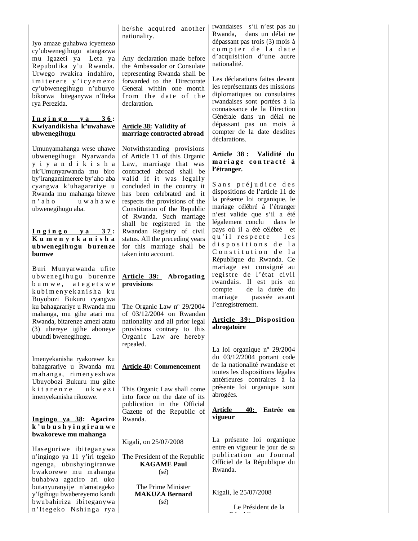Iyo amaze guhabwa icyemezo cy'ubwenegihugu atangazwa mu Igazeti ya Leta ya Repubulika y'u Rwanda. Urwego rwakira indahiro, i m i t e r e r e y ' i c y e m e z o cy'ubwenegihugu n'uburyo bikorwa biteganywa n'Iteka rya Perezida.

### $I$  **n**  $g$  **i**  $h$  **g**  $o$  **y**  $a$  **3**  $6$  **: Kwiyandikisha k'uwahawe ubwenegihugu**

Umunyamahanga wese uhawe ubwenegihugu Nyarwanda y i y a n d i k i s h a nk'Umunyarwanda mu biro by'irangamimerere by'aho aba cyangwa k'uhagarariye u Rwanda mu mahanga bitewe n'aho uwahawe ubwenegihugu aba.

#### **I n g i n g o y a 3 7 : K u m e n y e k a n i s h a u b wen egih u gu b u ren ze bumwe**

Buri Munyarwanda ufite ubwenegihugu burenze b u m w e , a t e g e t s w e ku b i m e n y e k an i s h a k u Buyobozi Bukuru cyangwa ku bahagarariye u Rwanda mu mahanga, mu gihe atari mu Rwanda, bitarenze amezi atatu (3) uhereye igihe aboneye ubundi bwenegihugu.

Imenyekanisha ryakorewe ku bahagarariye u Rwanda mu m ah anga, rim en y esh wa Ubuyobozi Bukuru mu gihe kitarenze ukwezi imenyekanisha rikozwe.

#### **Ingingo ya 38: Agaciro k ' u b u s h y i n g i r a n w e bwakorewe mu mahanga**

Haseguriwe ibiteganywa n'ingingo ya 11 y'iri tegeko ngenga, ubushyingiranwe bwakorewe mu mahanga buhabwa agaciro ari uko butanyuranyije n'amategeko y'Igihugu bwabereyemo kandi bwubahiriza ibiteganywa n'Itegeko Nshinga rya he/she acquired another nationality.

Any declaration made before the Ambassador or Consulate representing Rwanda shall be forwarded to the Directorate General within one month from the date of the declaration.

## **Article 38: Validity of marriage contracted abroad**

Notwithstanding provisions of Article 11 of this Organic Law, marriage that was contracted abroad shall be valid if it was legally concluded in the country it has been celebrated and it respects the provisions of the Constitution of the Republic of Rwanda. Such marriage shall be registered in the Rwandan Registry of civil status. All the preceding years for this marriage shall be taken into account.

### **Article 39: Abrogating provisions**

The Organic Law nº 29/2004 of 03/12/2004 on Rwandan nationality and all prior legal provisions contrary to this Organic Law are hereby repealed.

### **Article 40: Commencement**

This Organic Law shall come into force on the date of its publication in the Official Gazette of the Republic of Rwanda.

Kigali, on 25/07/2008

The President of the Republic **KAGAME Paul** (sé)

> The Prime Minister **MAKUZA Bernard** (sé)

rwandaises s'il n'est pas au Rwanda, dans un délai ne dépassant pas trois (3) mois à compter de la date d'acquisition d'une autre nationalité.

Les déclarations faites devant les représentants des missions diplomatiques ou consulaires rwandaises sont portées à la connaissance de la Direction Générale dans un délai ne dépassant pas un mois à compter de la date desdites déclarations.

### **Article 38 : Validité du m a r i a g e c o n t r a c t é à l'étranger.**

Sans préjudice des dispositions de l'article 11 de la présente loi organique, le mariage célébré à l'étranger n'est valide que s'il a été légalement conclu dans le pays où il a été célébré et qu'il respecte les dispositions de la Constitution de la République du Rwanda. Ce mariage est consigné au registre de l'état civil rwandais. Il est pris en de la durée du mariage passée avant l'enregistrement.

### **Article 39: Disposition abrogatoire**

La loi organique nº 29/2004 du 03/12/2004 portant code de la nationalité rwandaise et toutes les dispositions légales antérieures contraires à la présente loi organique sont abrogées.

### **Article 40: Entrée en vigueur**

La présente loi organique entre en vigueur le jour de sa publication au Journal Officiel de la République du Rwanda.

Kigali, le 25/07/2008

 Le Président de la  $\mathbb{R}^n$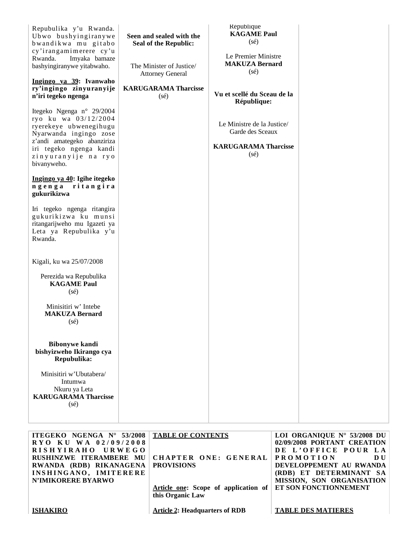| Repubulika y'u Rwanda.<br>Ubwo bushyingiranywe<br>bwandikwa mu gitabo<br>cy'irangamimerere cy'u<br>Rwanda.<br>Imyaka bamaze<br>bashyingiranywe yitabwaho.<br>Ingingo ya 39: Ivanwaho<br>ry'ingingo zinyuranyije<br>n'iri tegeko ngenga<br>Itegeko Ngenga n° 29/2004<br>ryo ku wa 03/12/2004<br>ryerekeye ubwenegihugu<br>Nyarwanda ingingo zose<br>z'andi amategeko abanziriza<br>iri tegeko ngenga kandi<br>zinyuranyije na ryo<br>bivanyweho.<br>Ingingo ya 40: Igihe itegeko<br>ritangira<br>ngenga<br>gukurikizwa<br>Iri tegeko ngenga ritangira<br>gukurikizwa ku munsi<br>ritangarijweho mu Igazeti ya<br>Leta ya Repubulika y'u<br>Rwanda. | Seen and sealed with the<br><b>Seal of the Republic:</b><br>The Minister of Justice/<br><b>Attorney General</b><br><b>KARUGARAMA Tharcisse</b><br>$(s\acute{e})$ | <b>République</b><br><b>KAGAME Paul</b><br>$(s\acute{e})$<br>Le Premier Ministre<br><b>MAKUZA Bernard</b><br>$(s\acute{e})$<br>Vu et scellé du Sceau de la<br>République:<br>Le Ministre de la Justice/<br>Garde des Sceaux<br><b>KARUGARAMA Tharcisse</b><br>$(s\acute{e})$ |  |
|---------------------------------------------------------------------------------------------------------------------------------------------------------------------------------------------------------------------------------------------------------------------------------------------------------------------------------------------------------------------------------------------------------------------------------------------------------------------------------------------------------------------------------------------------------------------------------------------------------------------------------------------------|------------------------------------------------------------------------------------------------------------------------------------------------------------------|------------------------------------------------------------------------------------------------------------------------------------------------------------------------------------------------------------------------------------------------------------------------------|--|
| Kigali, ku wa 25/07/2008<br>Perezida wa Repubulika<br><b>KAGAME</b> Paul<br>$(s\acute{e})$<br>Minisitiri w' Intebe<br><b>MAKUZA Bernard</b><br>$(s\acute{e})$<br><b>Bibonywe kandi</b><br>bishyizweho Ikirango cya<br>Repubulika:<br>Minisitiri w'Ubutabera/<br>Intumwa<br>Nkuru ya Leta<br><b>KARUGARAMA Tharcisse</b><br>$(s\acute{e})$                                                                                                                                                                                                                                                                                                         |                                                                                                                                                                  |                                                                                                                                                                                                                                                                              |  |

| <b>ITEGEKO NGENGA N° 53/2008   TABLE OF CONTENTS</b> |                                                            | LOI ORGANIQUE Nº 53/2008 DU |
|------------------------------------------------------|------------------------------------------------------------|-----------------------------|
| $RYO$ KU WA 02/09/2008                               |                                                            | 02/09/2008 PORTANT CREATION |
| RISHYIRAHO URWEGO                                    |                                                            | DE L'OFFICE POUR LA         |
|                                                      | RUSHINZWE ITERAMBERE MU   CHAPTER ONE: GENERAL             | <b>PROMOTION</b><br>DU      |
| RWANDA (RDB) RIKANAGENA   PROVISIONS                 |                                                            | DEVELOPPEMENT AU RWANDA     |
| INSHINGANO, IMITERERE                                |                                                            | (RDB) ET DETERMINANT SA     |
| <b>N'IMIKORERE BYARWO</b>                            |                                                            | MISSION, SON ORGANISATION   |
|                                                      | Article one: Scope of application of ET SON FONCTIONNEMENT |                             |
|                                                      | this Organic Law                                           |                             |
|                                                      |                                                            |                             |
| <b>ISHAKIRO</b>                                      | <b>Article 2: Headquarters of RDB</b>                      | <b>TABLE DES MATIERES</b>   |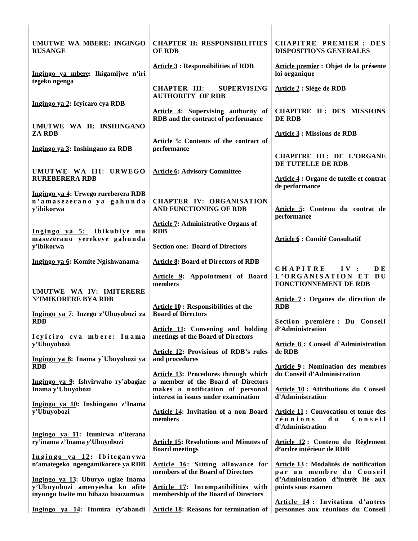| UMUTWE WA MBERE: INGINGO<br><b>RUSANGE</b>                                                               | <b>CHAPTER II: RESPONSIBILITIES</b><br><b>OF RDB</b>                                                           | <b>CHAPITRE PREMIER: DES</b><br><b>DISPOSITIONS GENERALES</b>                                 |
|----------------------------------------------------------------------------------------------------------|----------------------------------------------------------------------------------------------------------------|-----------------------------------------------------------------------------------------------|
| Ingingo ya mbere: Ikigamijwe n'iri<br>tegeko ngenga                                                      | <b>Article 3: Responsibilities of RDB</b>                                                                      | Article premier : Objet de la présente<br>loi organique                                       |
| Ingingo ya 2: Icyicaro cya RDB                                                                           | <b>CHAPTER III:</b><br><b>SUPERVISING</b><br><b>AUTHORITY OF RDB</b>                                           | Article 2 : Siège de RDB                                                                      |
| UMUTWE WA II: INSHINGANO                                                                                 | Article 4: Supervising authority of<br>RDB and the contract of performance                                     | CHAPITRE II: DES MISSIONS<br>DE RDB                                                           |
| <b>ZA RDB</b><br>Ingingo ya 3: Inshingano za RDB                                                         | Article 5: Contents of the contract of<br>performance                                                          | <b>Article 3 : Missions de RDB</b>                                                            |
| UMUTWE WA III: URWEGO                                                                                    | <b>Article 6: Advisory Committee</b>                                                                           | <b>CHAPITRE III : DE L'ORGANE</b><br>DE TUTELLE DE RDB                                        |
| <b>RUREBERERA RDB</b><br>Ingingo ya 4: Urwego rureberera RDB                                             |                                                                                                                | Article 4 : Organe de tutelle et contrat<br>de performance                                    |
| n'amasezerano ya gahunda<br>y'ibikorwa                                                                   | <b>CHAPTER IV: ORGANISATION</b><br>AND FUNCTIONING OF RDB                                                      | Article 5: Contenu du contrat de<br>performance                                               |
| Ingingo ya 5: Ibikubiye mu<br>masezerano yerekeye gahunda                                                | <b>Article 7: Administrative Organs of</b><br><b>RDB</b>                                                       | <b>Article 6 : Comité Consultatif</b>                                                         |
| y'ibikorwa                                                                                               | <b>Section one: Board of Directors</b>                                                                         |                                                                                               |
| Ingingo ya 6: Komite Ngishwanama                                                                         | <b>Article 8: Board of Directors of RDB</b><br>Article 9: Appointment of Board<br>members                      | <b>CHAPITRE</b><br>IV:<br>DE.<br>L'ORGANISATION ET DU<br><b>FONCTIONNEMENT DE RDB</b>         |
| UMUTWE WA IV: IMITERERE<br><b>N'IMIKORERE BYA RDB</b>                                                    | <b>Article 10: Responsibilities of the</b>                                                                     | Article 7: Organes de direction de<br><b>RDB</b>                                              |
| Ingingo ya 7: Inzego z'Ubuyobozi za<br><b>RDB</b>                                                        | <b>Board of Directors</b><br>Article 11: Convening and holding                                                 | Section première : Du Conseil<br>d'Administration                                             |
| Icyiciro cya mbere: Inama<br>y'Ubuyobozi                                                                 | meetings of the Board of Directors<br><b>Article 12: Provisions of RDB's rules</b>                             | Article 8: Conseil d'Administration<br>de RDB                                                 |
| Ingingo ya 8: Inama y`Ubuyobozi ya<br><b>RDB</b>                                                         | and procedures<br><b>Article 13: Procedures through which</b>                                                  | <b>Article 9: Nomination des membres</b><br>du Conseil d'Administration                       |
| Ingingo ya 9: Ishyirwaho ry'abagize<br>Inama y'Ubuyobozi                                                 | a member of the Board of Directors<br>makes a notification of personal<br>interest in issues under examination | Article 10: Attributions du Conseil<br>d'Administration                                       |
| Ingingo ya 10: Inshingano z'Inama<br>y'Ubuyobozi                                                         | <b>Article 14: Invitation of a non Board</b><br>members                                                        | <b>Article 11: Convocation et tenue des</b><br>réunions<br>Conseil<br>d u<br>d'Administration |
| Ingingo ya 11: Itumirwa n'iterana<br>ry'inama z'Inama y'Ubuyobozi                                        | <b>Article 15: Resolutions and Minutes of</b><br><b>Board meetings</b>                                         | Article 12: Contenu du Règlement<br>d'ordre intérieur de RDB                                  |
| Ingingo ya 12: Ibiteganywa<br>n'amategeko ngengamikorere ya RDB                                          | <b>Article 16:</b> Sitting allowance for<br>members of the Board of Directors                                  | Article 13 : Modalités de notification<br>par un membre du Conseil                            |
| Ingingo ya 13: Uburyo ugize Inama<br>y'Ubuyobozi amenyesha ko afite<br>inyungu bwite mu bibazo bisuzumwa | <b>Article 17:</b> Incompatibilities with<br>membership of the Board of Directors                              | d'Administration d'intérêt lié aux<br>points sous examen                                      |
| Ingingo ya 14: Itumira ry'abandi                                                                         | <b>Article 18: Reasons for termination of</b>                                                                  | Article 14: Invitation d'autres<br>personnes aux réunions du Conseil                          |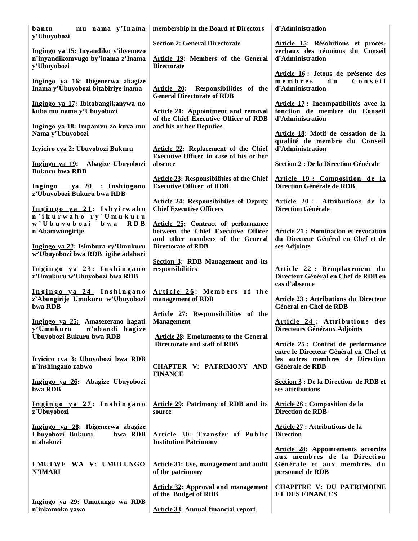| mu nama y'Inama<br>bantu<br>y'Ubuyobozi                                       | membership in the Board of Directors                                                                                  | d'Administration                                                                                                    |
|-------------------------------------------------------------------------------|-----------------------------------------------------------------------------------------------------------------------|---------------------------------------------------------------------------------------------------------------------|
| Ingingo ya 15: Inyandiko y'ibyemezo                                           | <b>Section 2: General Directorate</b>                                                                                 | Article 15: Résolutions et procès-<br>verbaux des réunions du Conseil                                               |
| n'inyandikomvugo by'inama z'Inama<br>y'Ubuyobozi                              | Article 19: Members of the General<br><b>Directorate</b>                                                              | d'Administration<br>Article 16 : Jetons de présence des                                                             |
| Ingingo ya 16: Ibigenerwa abagize<br>Inama y'Ubuyobozi bitabiriye inama       | Article 20: Responsibilities of the<br><b>General Directorate of RDB</b>                                              | $m$ e $m$ b $r$ e $s$<br>Conseil<br>d u<br>d'Administration                                                         |
| Ingingo ya 17: Ibitabangikanywa no<br>kuba mu nama y'Ubuyobozi                | <b>Article 21:</b> Appointment and removal<br>of the Chief Executive Officer of RDB                                   | Article 17 : Incompatibilités avec la<br>fonction de membre du Conseil<br>d'Administration                          |
| Ingingo ya 18: Impamvu zo kuva mu<br>Nama y'Ubuyobozi                         | and his or her Deputies                                                                                               | Article 18: Motif de cessation de la                                                                                |
| Icyiciro cya 2: Ubuyobozi Bukuru                                              | Article 22: Replacement of the Chief<br>Executive Officer in case of his or her                                       | qualité de membre du Conseil<br>d'Administration                                                                    |
| Ingingo ya 19: Abagize Ubuyobozi<br><b>Bukuru bwa RDB</b>                     | absence                                                                                                               | <b>Section 2 : De la Direction Générale</b>                                                                         |
| Ingingo ya 20 : Inshingano<br>z'Ubuyobozi Bukuru bwa RDB                      | <b>Article 23: Responsibilities of the Chief</b><br><b>Executive Officer of RDB</b>                                   | Article 19 : Composition de la<br>Direction Générale de RDB                                                         |
| Ingingo ya 21: Ishyirwaho<br>n'ikurwaho ry'Umukuru                            | <b>Article 24: Responsibilities of Deputy</b><br><b>Chief Executive Officers</b>                                      | Article 20: Attributions de la<br><b>Direction Générale</b>                                                         |
| w'Ubuyobozi<br>b w a<br>RDB<br>n'Abamwungirije                                | <b>Article 25:</b> Contract of performance<br>between the Chief Executive Officer<br>and other members of the General | <b>Article 21 : Nomination et révocation</b><br>du Directeur Général en Chef et de                                  |
| Ingingo ya 22: Isimbura ry'Umukuru<br>w'Ubuyobozi bwa RDB igihe adahari       | <b>Directorate of RDB</b>                                                                                             | ses Adjoints                                                                                                        |
| Ingingo ya 23: Inshingano<br>z'Umukuru w'Ubuyobozi bwa RDB                    | Section 3: RDB Management and its<br>responsibilities                                                                 | Article 22: Remplacement du<br>Directeur Général en Chef de RDB en<br>cas d'absence                                 |
| Ingingo ya 24 Inshingano<br>z`Abungirije Umukuru w'Ubuyobozi<br>bwa RDB       | Article 26: Members of the<br>management of RDB                                                                       | <b>Article 23: Attributions du Directeur</b><br>Général en Chef de RDB                                              |
| Ingingo ya 25: Amasezerano hagati<br>y'Umukuru n'abandi bagize                | Article 27: Responsibilities of the<br><b>Management</b>                                                              | Article 24: Attributions des<br>Directeurs Généraux Adjoints                                                        |
| Ubuyobozi Bukuru bwa RDB                                                      | <b>Article 28: Emoluments to the General</b><br>Directorate and staff of RDB                                          | Article 25: Contrat de performance<br>entre le Directeur Général en Chef et                                         |
| Icyiciro cya 3: Ubuyobozi bwa RDB<br>n'inshingano zabwo                       | CHAPTER V: PATRIMONY AND<br><b>FINANCE</b>                                                                            | les autres membres de Direction<br>Générale de RDB                                                                  |
| Ingingo ya 26: Abagize Ubuyobozi<br>bwa RDB                                   |                                                                                                                       | Section 3 : De la Direction de RDB et<br>ses attributions                                                           |
| Ingingo ya 27: Inshingano<br>z`Ubuyobozi                                      | Article 29: Patrimony of RDB and its<br>source                                                                        | Article 26 : Composition de la<br><b>Direction de RDB</b>                                                           |
| Ingingo ya 28: Ibigenerwa abagize<br>Ubuyobozi Bukuru<br>bwa RDB<br>n'abakozi | Article 30: Transfer of Public<br><b>Institution Patrimony</b>                                                        | Article 27 : Attributions de la<br><b>Direction</b>                                                                 |
| UMUTWE WA V: UMUTUNGO<br><b>N'IMARI</b>                                       | <b>Article 31: Use, management and audit</b><br>of the patrimony                                                      | Article 28: Appointements accordés<br>aux membres de la Direction<br>Générale et aux membres du<br>personnel de RDB |
|                                                                               | <b>Article 32: Approval and management</b><br>of the Budget of RDB                                                    | <b>CHAPITRE V: DU PATRIMOINE</b><br><b>ET DES FINANCES</b>                                                          |
| Ingingo ya 29: Umutungo wa RDB<br>n'inkomoko yawo                             | <b>Article 33: Annual financial report</b>                                                                            |                                                                                                                     |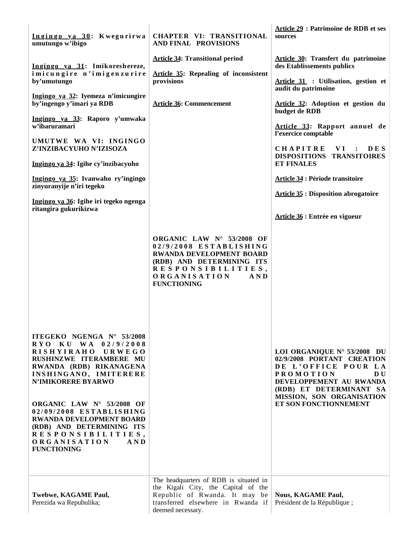| Ingingo ya 30: Kwegurirwa<br>umutungo w'ibigo                                                                                                                                                                                                                                          | CHAPTER VI: TRANSITIONAL<br><b>AND FINAL PROVISIONS</b>                                                                                                                                 | Article 29 : Patrimoine de RDB et ses<br>sources                                                                                                                                                                              |
|----------------------------------------------------------------------------------------------------------------------------------------------------------------------------------------------------------------------------------------------------------------------------------------|-----------------------------------------------------------------------------------------------------------------------------------------------------------------------------------------|-------------------------------------------------------------------------------------------------------------------------------------------------------------------------------------------------------------------------------|
| Ingingo ya 31: Imikoreshereze,<br>imicungire n'imigenzurire<br>by'umutungo                                                                                                                                                                                                             | <b>Article 34: Transitional period</b><br><b>Article 35: Repealing of inconsistent</b><br>provisions                                                                                    | Article 30: Transfert du patrimoine<br>des Etablissements publics<br>Article 31 : Utilisation, gestion et<br>audit du patrimoine                                                                                              |
| Ingingo ya 32: Iyemeza n'imicungire<br>by'ingengo y'imari ya RDB                                                                                                                                                                                                                       | <b>Article 36: Commencement</b>                                                                                                                                                         | Article 32: Adoption et gestion du<br>budget de RDB                                                                                                                                                                           |
| Ingingo ya 33: Raporo y'umwaka<br>w'ibaruramari                                                                                                                                                                                                                                        |                                                                                                                                                                                         | Article 33: Rapport annuel de<br>l'exercice comptable                                                                                                                                                                         |
| UMUTWE WA VI: INGINGO<br>Z'INZIBACYUHO N'IZISOZA                                                                                                                                                                                                                                       |                                                                                                                                                                                         | CHAPITRE<br>VI.<br>$\cdot$<br><b>DES</b><br>DISPOSITIONS TRANSITOIRES                                                                                                                                                         |
| Ingingo ya 34: Igihe cy'inzibacyuho                                                                                                                                                                                                                                                    |                                                                                                                                                                                         | <b>ET FINALES</b>                                                                                                                                                                                                             |
| Ingingo ya 35: Ivanwaho ry'ingingo<br>zinyuranyije n'iri tegeko                                                                                                                                                                                                                        |                                                                                                                                                                                         | <b>Article 34 : Période transitoire</b>                                                                                                                                                                                       |
| Ingingo ya 36: Igihe iri tegeko ngenga<br>ritangira gukurikizwa                                                                                                                                                                                                                        |                                                                                                                                                                                         | <b>Article 35 : Disposition abrogatoire</b>                                                                                                                                                                                   |
|                                                                                                                                                                                                                                                                                        |                                                                                                                                                                                         | Article 36 : Entrée en vigueur                                                                                                                                                                                                |
|                                                                                                                                                                                                                                                                                        | ORGANIC LAW Nº 53/2008 OF<br>02/9/2008 ESTABLISHING<br>RWANDA DEVELOPMENT BOARD<br>(RDB) AND DETERMINING ITS<br>RESPONSIBILITIES,<br><b>ORGANISATION</b><br>A N D<br><b>FUNCTIONING</b> |                                                                                                                                                                                                                               |
| ITEGEKO NGENGA N° 53/2008<br>RYO KU WA 02/9/2008<br><b>RISHYIRAHO</b><br>URWEGO<br>RUSHINZWE ITERAMBERE MU<br>RWANDA (RDB) RIKANAGENA<br>INSHINGANO, IMITERERE<br><b>N'IMIKORERE BYARWO</b><br>ORGANIC LAW Nº 53/2008 OF<br>02/09/2008 ESTABLISHING<br><b>RWANDA DEVELOPMENT BOARD</b> |                                                                                                                                                                                         | LOI ORGANIQUE Nº 53/2008 DU<br>02/9/2008 PORTANT CREATION<br>DE L'OFFICE POUR LA<br><b>PROMOTION</b><br><b>DU</b><br>DEVELOPPEMENT AU RWANDA<br>(RDB) ET DETERMINANT SA<br>MISSION, SON ORGANISATION<br>ET SON FONCTIONNEMENT |
| (RDB) AND DETERMINING ITS<br>RESPONSIBILITIES,<br><b>ORGANISATION</b><br>A N D<br><b>FUNCTIONING</b>                                                                                                                                                                                   | The headquarters of RDB is situated in<br>the Kigali City, the Capital of the                                                                                                           |                                                                                                                                                                                                                               |
| Twebwe, KAGAME Paul,<br>Perezida wa Repubulika;                                                                                                                                                                                                                                        | Republic of Rwanda. It may be<br>transferred elsewhere in Rwanda if<br>deemed necessary.                                                                                                | <b>Nous, KAGAME Paul,</b><br>Président de la République;                                                                                                                                                                      |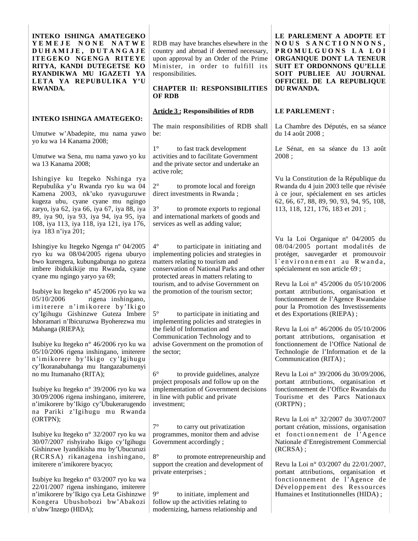**INTEKO ISHINGA AMATEGEKO Y E M E J E N O N E N A T W E D U H A M I J E , D U T A N G A J E ITEGEKO NGENGA RITEYE RITYA, KANDI DUTEGETSE KO RYANDIKWA MU IGAZETI YA LETA YA REPUBULIKA Y'U RWANDA.**

### **INTEKO ISHINGA AMATEGEKO:**

Umutwe w'Abadepite, mu nama yawo yo ku wa 14 Kanama 2008;

Umutwe wa Sena, mu nama yawo yo ku wa 13 Kanama 2008;

Ishingiye ku Itegeko Nshinga rya Repubulika y'u Rwanda ryo ku wa 04 Kamena 2003, nk'uko ryavuguruwe kugeza ubu, cyane cyane mu ngingo zaryo, iya 62, iya 66, iya 67, iya 88, iya 89, iya 90, iya 93, iya 94, iya 95, iya 108, iya 113, iya 118, iya 121, iya 176, iya 183 n'iya 201;

Ishingiye ku Itegeko Ngenga nº 04/2005 ryo ku wa 08/04/2005 rigena uburyo bwo kurengera, kubungabunga no guteza imbere ibidukikije mu Rwanda, cyane cyane mu ngingo yaryo ya 69;

Isubiye ku Itegeko n° 45/2006 ryo ku wa 05/10/2006 rigena inshingano, imiterere n'imikorere by'Ikigo cy'Igihugu Gishinzwe Guteza Imbere Ishoramari n'Ibicuruzwa Byoherezwa mu Mahanga (RIEPA);

Isubiye ku Itegeko n° 46/2006 ryo ku wa 05/10/2006 rigena inshingano, imiterere n'imikorere by'Ikigo cy'Igihugu cy'Ikoranabuhanga mu Itangazabumenyi no mu Itumanaho (RITA);

Isubiye ku Itegeko n° 39/2006 ryo ku wa 30/09/2006 rigena inshingano, imiterere, n'imikorere by'Ikigo cy'Ubukerarugendo na Pariki z'Igihugu mu Rwanda (ORTPN);

Isubiye ku Itegeko n° 32/2007 ryo ku wa 30/07/2007 rishyiraho Ikigo cy'Igihugu Gishinzwe Iyandikisha mu by'Ubucuruzi (RCRSA) rikanagena inshingano, imiterere n'imikorere byacyo;

Isubiye ku Itegeko n° 03/2007 ryo ku wa 22/01/2007 rigena inshingano, imiterere n'imikorere by'Ikigo cya Leta Gishinzwe Kongera Ubushobozi bw'Abakozi n'ubw'Inzego (HIDA);

RDB may have branches elsewhere in the country and abroad if deemed necessary, upon approval by an Order of the Prime Minister, in order to fulfill its responsibilities.

### **CHAPTER II: RESPONSIBILITIES OF RDB**

### **Article 3 : Responsibilities of RDB**

The main responsibilities of RDB shall be:

1° to fast track development activities and to facilitate Government and the private sector and undertake an active role;

to promote local and foreign direct investments in Rwanda ;

3° to promote exports to regional and international markets of goods and services as well as adding value;

4° to participate in initiating and implementing policies and strategies in matters relating to tourism and conservation of National Parks and other protected areas in matters relating to tourism, and to advise Government on the promotion of the tourism sector;

5° to participate in initiating and implementing policies and strategies in the field of Information and Communication Technology and to advise Government on the promotion of the sector;

6° to provide guidelines, analyze project proposals and follow up on the implementation of Government decisions in line with public and private investment;

7° to carry out privatization programmes, monitor them and advise Government accordingly ;

to promote entrepreneurship and support the creation and development of private enterprises ;

9° to initiate, implement and follow up the activities relating to modernizing, harness relationship and **LE PARLEMENT A ADOPTE ET N O U S S A N C T I O N N O N S , P R O M U L G U O N S L A L O I ORGANIQUE DONT LA TENEUR SUIT ET ORDONNONS QU'ELLE SOIT PUBLIEE AU JOURNAL OFFICIEL DE LA REPUBLIQUE DU RWANDA.**

### **LE PARLEMENT :**

La Chambre des Députés, en sa séance du 14 août 2008 ;

Le Sénat, en sa séance du 13 août 2008 ;

Vu la Constitution de la République du Rwanda du 4 juin 2003 telle que révisée à ce jour, spécialement en ses articles 62, 66, 67, 88, 89, 90, 93, 94, 95, 108, 113, 118, 121, 176, 183 et 201 ;

Vu la Loi Organique nº 04/2005 du 08/04/2005 portant modalités de protéger, sauvegarder et promouvoir l'environnement au Rwanda, spécialement en son article 69 ;

Revu la Loi n° 45/2006 du 05/10/2006 portant attributions, organisation et fonctionnement de l'Agence Rwandaise pour la Promotion des Investissements et des Exportations (RIEPA) ;

Revu la Loi n° 46/2006 du 05/10/2006 portant attributions, organisation et fonctionnement de l'Office National de Technologie de l'Information et de la Communication (RITA) ;

Revu la Loi n° 39/2006 du 30/09/2006, portant attributions, organisation et fonctionnement de l'Office Rwandais du Tourisme et des Parcs Nationaux (ORTPN) ;

Revu la Loi n° 32/2007 du 30/07/2007 portant création, missions, organisation et fonctionnement de l'Agence Nationale d'Enregistrement Commercial (RCRSA) ;

Revu la Loi n° 03/2007 du 22/01/2007, portant attributions, organisation et fonctionnement de l'Agence de Développement des Ressources Humaines et Institutionnelles (HIDA) ;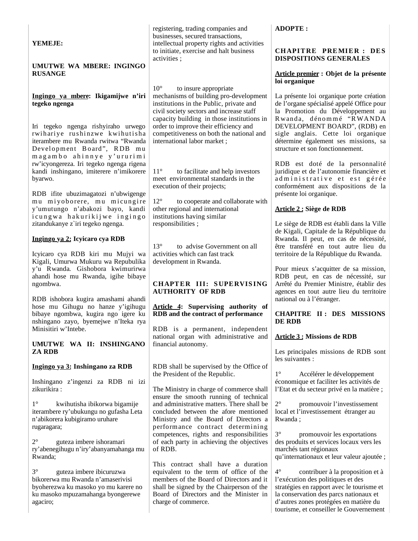| YEMEJE:                                                                                                                                                                 | registering, trading companies and<br>businesses, secured transactions,<br>intellectual property rights and activities<br>to initiate, exercise and halt business                                                    | <b>ADOPTE:</b><br><b>CHAPITRE PREMIER: DES</b>                                                                                                                                                                                                                   |
|-------------------------------------------------------------------------------------------------------------------------------------------------------------------------|----------------------------------------------------------------------------------------------------------------------------------------------------------------------------------------------------------------------|------------------------------------------------------------------------------------------------------------------------------------------------------------------------------------------------------------------------------------------------------------------|
| UMUTWE WA MBERE: INGINGO<br><b>RUSANGE</b>                                                                                                                              | activities;                                                                                                                                                                                                          | <b>DISPOSITIONS GENERALES</b><br>Article premier : Objet de la présente<br>loi organique                                                                                                                                                                         |
| Ingingo ya mbere: Ikigamijwe n'iri<br>tegeko ngenga                                                                                                                     | $10^{\circ}$<br>to insure appropriate<br>mechanisms of building pro-development<br>institutions in the Public, private and<br>civil society sectors and increase staff<br>capacity building in those institutions in | La présente loi organique porte création<br>de l'organe spécialisé appelé Office pour<br>la Promotion du Développement au<br>Rwanda, dénommé "RWANDA                                                                                                             |
| Iri tegeko ngenga rishyiraho urwego<br>rwihariye rushinzwe kwihutisha<br>iterambere mu Rwanda rwitwa "Rwanda<br>Development Board", RDB mu<br>magambo ahinnye y'ururimi | order to improve their efficiency and<br>competitiveness on both the national and<br>international labor market;                                                                                                     | DEVELOPMENT BOARD", (RDB) en<br>sigle anglais. Cette loi organique<br>détermine également ses missions, sa<br>structure et son fonctionnement.                                                                                                                   |
| rw'icyongereza. Iri tegeko ngenga rigena<br>kandi inshingano, imiterere n'imikorere<br>byarwo.<br>RDB ifite ubuzimagatozi n'ubwigenge                                   | $11^{\circ}$<br>to facilitate and help investors<br>meet environmental standards in the<br>execution of their projects;                                                                                              | RDB est doté de la personnalité<br>juridique et de l'autonomie financière et<br>administrative et est gérée<br>conformément aux dispositions de la<br>présente loi organique.                                                                                    |
| mu miyoborere, mu micungire<br>y'umutungo n'abakozi bayo, kandi<br>icungwa hakurikijwe ingingo                                                                          | $12^{\circ}$<br>to cooperate and collaborate with<br>other regional and international<br>institutions having similar                                                                                                 | Article 2 : Siège de RDB                                                                                                                                                                                                                                         |
| zitandukanye z`iri tegeko ngenga.<br>Ingingo ya 2: Icyicaro cya RDB                                                                                                     | responsibilities;                                                                                                                                                                                                    | Le siège de RDB est établi dans la Ville<br>de Kigali, Capitale de la République du<br>Rwanda. Il peut, en cas de nécessité,                                                                                                                                     |
| Icyicaro cya RDB kiri mu Mujyi wa<br>Kigali, Umurwa Mukuru wa Repubulika                                                                                                | $13^{\circ}$<br>to advise Government on all<br>activities which can fast track<br>development in Rwanda.                                                                                                             | être transféré en tout autre lieu du<br>territoire de la République du Rwanda.                                                                                                                                                                                   |
| y'u Rwanda. Gishobora kwimurirwa<br>ahandi hose mu Rwanda, igihe bibaye<br>ngombwa.                                                                                     | CHAPTER III: SUPERVISING<br><b>AUTHORITY OF RDB</b>                                                                                                                                                                  | Pour mieux s'acquitter de sa mission,<br>RDB peut, en cas de nécessité, sur<br>Arrêté du Premier Ministre, établir des<br>agences en tout autre lieu du territoire                                                                                               |
| RDB ishobora kugira amashami ahandi<br>hose mu Gihugu no hanze y'igihugu<br>bibaye ngombwa, kugira ngo igere ku<br>nshingano zayo, byemejwe n'Iteka rya                 | Article 4: Supervising authority of<br>RDB and the contract of performance                                                                                                                                           | national ou à l'étranger.<br><b>CHAPITRE II: DES MISSIONS</b><br>DE RDB                                                                                                                                                                                          |
| Minisitiri w'Intebe.<br>UMUTWE WA II: INSHINGANO                                                                                                                        | RDB is a permanent, independent<br>national organ with administrative and<br>financial autonomy.                                                                                                                     | <b>Article 3: Missions de RDB</b>                                                                                                                                                                                                                                |
| <b>ZA RDB</b>                                                                                                                                                           | RDB shall be supervised by the Office of                                                                                                                                                                             | Les principales missions de RDB sont<br>les suivantes :                                                                                                                                                                                                          |
| Ingingo ya 3: Inshingano za RDB<br>Inshingano z'ingenzi za RDB ni izi<br>zikurikira:                                                                                    | the President of the Republic.<br>The Ministry in charge of commerce shall                                                                                                                                           | $1^{\circ}$<br>Accélérer le développement<br>économique et faciliter les activités de<br>l'Etat et du secteur privé en la matière ;                                                                                                                              |
| $1^{\circ}$<br>kwihutisha ibikorwa bigamije<br>iterambere ry'ubukungu no gufasha Leta<br>n'abikorera kubigiramo uruhare<br>rugaragara;                                  | ensure the smooth running of technical<br>and administrative matters. There shall be<br>concluded between the afore mentioned<br>Ministry and the Board of Directors a<br>performance contract determining           | $2^{\circ}$<br>promouvoir l'investissement<br>local et l'investissement étranger au<br>Rwanda;                                                                                                                                                                   |
| $2^{\circ}$<br>guteza imbere ishoramari<br>ry'abenegihugu n'iry'abanyamahanga mu<br>Rwanda;                                                                             | competences, rights and responsibilities<br>of each party in achieving the objectives<br>of RDB.<br>This contract shall have a duration                                                                              | $3^\circ$<br>promouvoir les exportations<br>des produits et services locaux vers les<br>marchés tant régionaux<br>qu'internationaux et leur valeur ajoutée ;                                                                                                     |
| $3^\circ$<br>guteza imbere ibicuruzwa<br>bikorerwa mu Rwanda n'amaserivisi<br>byoherezwa ku masoko yo mu karere no<br>ku masoko mpuzamahanga byongerewe<br>agaciro;     | equivalent to the term of office of the<br>members of the Board of Directors and it<br>shall be signed by the Chairperson of the<br>Board of Directors and the Minister in<br>charge of commerce.                    | $4^{\circ}$<br>contribuer à la proposition et à<br>l'exécution des politiques et des<br>stratégies en rapport avec le tourisme et<br>la conservation des parcs nationaux et<br>d'autres zones protégées en matière du<br>tourisme, et conseiller le Gouvernement |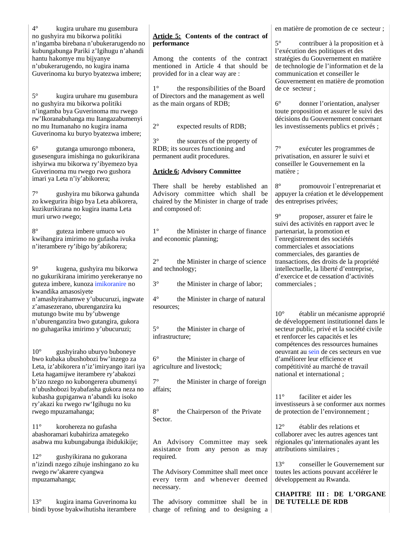| $4^\circ$<br>kugira uruhare mu gusembura<br>no gushyira mu bikorwa politiki<br>n'ingamba birebana n'ubukerarugendo no<br>kubungabunga Pariki z'Igihugu n'ahandi<br>hantu hakomye mu bijyanye<br>n'ubukerarugendo, no kugira inama<br>Guverinoma ku buryo byatezwa imbere; | Article 5: Contents of the contract of<br>performance<br>Among the contents of the contract<br>mentioned in Article 4 that should be<br>provided for in a clear way are : | en matière de promotion de ce secteur ;<br>$5^{\circ}$<br>contribuer à la proposition et à<br>l'exécution des politiques et des<br>stratégies du Gouvernement en matière<br>de technologie de l'information et de la<br>communication et conseiller le<br>Gouvernement en matière de promotion |
|---------------------------------------------------------------------------------------------------------------------------------------------------------------------------------------------------------------------------------------------------------------------------|---------------------------------------------------------------------------------------------------------------------------------------------------------------------------|------------------------------------------------------------------------------------------------------------------------------------------------------------------------------------------------------------------------------------------------------------------------------------------------|
| $5^{\circ}$<br>kugira uruhare mu gusembura<br>no gushyira mu bikorwa politiki<br>n'ingamba bya Guverinoma mu rwego<br>rw'Ikoranabuhanga mu Itangazabumenyi<br>no mu Itumanaho no kugira inama<br>Guverinoma ku buryo byatezwa imbere;                                     | $1^{\circ}$<br>the responsibilities of the Board<br>of Directors and the management as well<br>as the main organs of RDB;<br>$2^{\circ}$<br>expected results of RDB;      | de ce secteur;<br>$6^{\circ}$<br>donner l'orientation, analyser<br>toute proposition et assurer le suivi des<br>décisions du Gouvernement concernant<br>les investissements publics et privés ;                                                                                                |
| $6^{\circ}$<br>gutanga umurongo mbonera,<br>gusesengura imishinga no gukurikirana<br>ishyirwa mu bikorwa ry'ibyemezo bya<br>Guverinoma mu rwego rwo gushora<br>imari ya Leta n'iy'abikorera;                                                                              | $3^\circ$<br>the sources of the property of<br>RDB; its sources functioning and<br>permanent audit procedures.<br><b>Article 6: Advisory Committee</b>                    | $7^\circ$<br>exécuter les programmes de<br>privatisation, en assurer le suivi et<br>conseiller le Gouvernement en la<br>matière;                                                                                                                                                               |
| $7^{\circ}$<br>gushyira mu bikorwa gahunda<br>zo kwegurira ibigo bya Leta abikorera,<br>kuzikurikirana no kugira inama Leta<br>muri urwo rwego;                                                                                                                           | There shall be hereby established an<br>Advisory committee which shall be<br>chaired by the Minister in charge of trade<br>and composed of:                               | $8^{\circ}$<br>promouvoir l'entreprenariat et<br>appuyer la création et le développement<br>des entreprises privées;<br>$9^\circ$<br>proposer, assurer et faire le                                                                                                                             |
| $8^{\circ}$<br>guteza imbere umuco wo<br>kwihangira imirimo no gufasha ivuka<br>n'iterambere ry'ibigo by'abikorera;                                                                                                                                                       | $1^{\circ}$<br>the Minister in charge of finance<br>and economic planning;                                                                                                | suivi des activités en rapport avec le<br>partenariat, la promotion et<br>l'enregistrement des sociétés<br>commerciales et associations<br>commerciales, des garanties de                                                                                                                      |
| $9^\circ$<br>kugena, gushyira mu bikorwa<br>no gukurikirana imirimo yerekeranye no<br>guteza imbere, kunoza imikoranire no<br>kwandika amasosiyete                                                                                                                        | $2^{\circ}$<br>the Minister in charge of science<br>and technology;<br>$3^{\circ}$<br>the Minister in charge of labor;                                                    | transactions, des droits de la propriété<br>intellectuelle, la liberté d'entreprise,<br>d'exercice et de cessation d'activités<br>commerciales;                                                                                                                                                |
| n'amashyirahamwe y'ubucuruzi, ingwate<br>z'amasezerano, uburenganzira ku<br>mutungo bwite mu by'ubwenge<br>n'uburenganzira bwo gutangira, gukora<br>no guhagarika imirimo y'ubucuruzi;                                                                                    | $4^{\circ}$<br>the Minister in charge of natural<br>resources;<br>$5^{\circ}$<br>the Minister in charge of<br>infrastructure;                                             | $10^{\circ}$<br>établir un mécanisme approprié<br>de développement institutionnel dans le<br>secteur public, privé et la société civile<br>et renforcer les capacités et les<br>compétences des ressources humaines                                                                            |
| $10^{\circ}$<br>gushyiraho uburyo buboneye<br>bwo kubaka ubushobozi bw'inzego za<br>Leta, iz'abikorera n'iz'imiryango itari iya<br>Leta hagamijwe iterambere ry'abakozi<br>b'izo nzego no kubongerera ubumenyi<br>n'ubushobozi byabafasha gukora neza no                  | $6^{\circ}$<br>the Minister in charge of<br>agriculture and livestock;<br>$7^{\circ}$<br>the Minister in charge of foreign<br>affairs;                                    | oeuvrant au sein de ces secteurs en vue<br>d'améliorer leur efficience et<br>compétitivité au marché de travail<br>national et international;                                                                                                                                                  |
| kubasha gupiganwa n'abandi ku isoko<br>ry'akazi ku rwego rw'Igihugu no ku<br>rwego mpuzamahanga;<br>$11^{\circ}$                                                                                                                                                          | $8^{\circ}$<br>the Chairperson of the Private<br>Sector.                                                                                                                  | $11^{\circ}$<br>faciliter et aider les<br>investisseurs à se conformer aux normes<br>de protection de l'environnement;<br>$12^{\circ}$<br>établir des relations et                                                                                                                             |
| korohereza no gufasha<br>abashoramari kubahiriza amategeko<br>asabwa mu kubungabunga ibidukikije;<br>$12^{\circ}$<br>gushyikirana no gukorana                                                                                                                             | An Advisory Committee may seek<br>assistance from any person as may<br>required.                                                                                          | collaborer avec les autres agences tant<br>régionales qu'internationales ayant les<br>attributions similaires;                                                                                                                                                                                 |
| n'izindi nzego zihuje inshingano zo ku<br>rwego rw'akarere cyangwa<br>mpuzamahanga;                                                                                                                                                                                       | The Advisory Committee shall meet once<br>every term and whenever deemed<br>necessary.                                                                                    | $13^{\circ}$<br>conseiller le Gouvernement sur<br>toutes les actions pouvant accélérer le<br>développement au Rwanda.                                                                                                                                                                          |
| $13^{\circ}$<br>kugira inama Guverinoma ku<br>bindi byose byakwihutisha iterambere                                                                                                                                                                                        | The advisory committee shall be in<br>charge of refining and to designing a                                                                                               | CHAPITRE III : DE L'ORGANE<br>DE TUTELLE DE RDB                                                                                                                                                                                                                                                |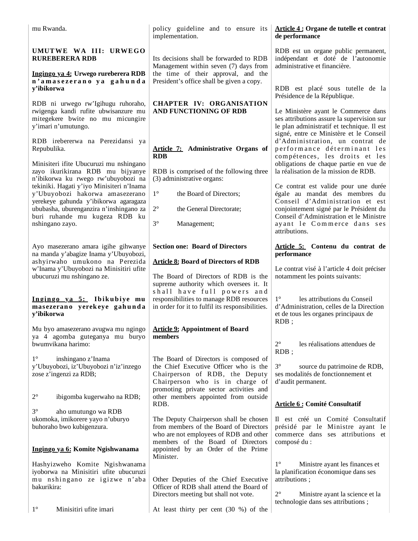| mu Rwanda.                                                                                                                                                                                                                                                         | policy guideline and to ensure its<br>implementation.                                                                                                                                                                                                                                                 | Article 4 : Organe de tutelle et contrat<br>de performance                                                                                                                                                                                                                    |
|--------------------------------------------------------------------------------------------------------------------------------------------------------------------------------------------------------------------------------------------------------------------|-------------------------------------------------------------------------------------------------------------------------------------------------------------------------------------------------------------------------------------------------------------------------------------------------------|-------------------------------------------------------------------------------------------------------------------------------------------------------------------------------------------------------------------------------------------------------------------------------|
| UMUTWE WA III: URWEGO<br><b>RUREBERERA RDB</b><br>Ingingo ya 4: Urwego rureberera RDB<br>n'amasezerano ya gahunda                                                                                                                                                  | Its decisions shall be forwarded to RDB<br>Management within seven (7) days from<br>the time of their approval, and the<br>President's office shall be given a copy.                                                                                                                                  | RDB est un organe public permanent,<br>indépendant et doté de l'autonomie<br>administrative et financière.                                                                                                                                                                    |
| y'ibikorwa<br>RDB ni urwego rw'Igihugu ruhoraho,<br>rwigenga kandi rufite ubwisanzure mu<br>mitegekere bwite no mu micungire<br>y'imari n'umutungo.                                                                                                                | <b>CHAPTER IV: ORGANISATION</b><br>AND FUNCTIONING OF RDB                                                                                                                                                                                                                                             | RDB est placé sous tutelle de la<br>Présidence de la République.<br>Le Ministère ayant le Commerce dans<br>ses attributions assure la supervision sur<br>le plan administratif et technique. Il est                                                                           |
| RDB irebererwa na Perezidansi ya<br>Repubulika.<br>Minisiteri ifite Ubucuruzi mu nshingano<br>zayo ikurikirana RDB mu bijyanye<br>n'ibikorwa ku rwego rw'ubuyobozi na                                                                                              | Article 7: Administrative Organs of<br><b>RDB</b><br>RDB is comprised of the following three<br>(3) administrative organs:                                                                                                                                                                            | signé, entre ce Ministère et le Conseil<br>d'Administration, un contrat de<br>performance déterminant les<br>compétences, les droits et les<br>obligations de chaque partie en vue de<br>la réalisation de la mission de RDB.                                                 |
| tekiniki. Hagati y'iyo Minisiteri n'Inama<br>y'Ubuyobozi hakorwa amasezerano<br>yerekeye gahunda y'ibikorwa agaragaza<br>ububasha, uburenganzira n'inshingano za<br>buri ruhande mu kugeza RDB ku<br>nshingano zayo.                                               | $1^{\circ}$<br>the Board of Directors;<br>$2^{\circ}$<br>the General Directorate;<br>$3^\circ$<br>Management;                                                                                                                                                                                         | Ce contrat est valide pour une durée<br>égale au mandat des membres du<br>Conseil d'Administration et est<br>conjointement signé par le Président du<br>Conseil d'Administration et le Ministre<br>ayant le Commerce dans ses<br>attributions.                                |
| Ayo masezerano amara igihe gihwanye<br>na manda y'abagize Inama y'Ubuyobozi,<br>ashyirwaho umukono na Perezida<br>w'Inama y'Ubuyobozi na Minisitiri ufite<br>ubucuruzi mu nshingano ze.<br>Ingingo ya 5: Ibikubiye mu<br>masezerano yerekeye gahunda<br>y'ibikorwa | <b>Section one: Board of Directors</b><br><b>Article 8: Board of Directors of RDB</b><br>The Board of Directors of RDB is the<br>supreme authority which oversees it. It<br>shall have full powers and<br>responsibilities to manage RDB resources<br>in order for it to fulfil its responsibilities. | Article 5: Contenu du contrat de<br>performance<br>Le contrat visé à l'article 4 doit préciser<br>notamment les points suivants:<br>$1^{\circ}$<br>les attributions du Conseil<br>d'Administration, celles de la Direction<br>et de tous les organes principaux de<br>$RDB$ ; |
| Mu byo amasezerano avugwa mu ngingo<br>ya 4 agomba guteganya mu buryo<br>bwumvikana harimo:                                                                                                                                                                        | <b>Article 9: Appointment of Board</b><br>members                                                                                                                                                                                                                                                     | $2^{\circ}$<br>les réalisations attendues de                                                                                                                                                                                                                                  |
| $1^{\circ}$<br>inshingano z'Inama<br>y'Ubuyobozi, iz'Ubuyobozi n'iz'inzego<br>zose z'ingenzi za RDB;<br>$2^{\circ}$<br>ibigomba kugerwaho na RDB;                                                                                                                  | The Board of Directors is composed of<br>the Chief Executive Officer who is the<br>Chairperson of RDB, the Deputy<br>Chairperson who is in charge of<br>promoting private sector activities and<br>other members appointed from outside<br>RDB.                                                       | $RDB$ ;<br>$3^{\circ}$<br>source du patrimoine de RDB,<br>ses modalités de fonctionnement et<br>d'audit permanent.<br><b>Article 6: Comité Consultatif</b>                                                                                                                    |
| $3^\circ$<br>aho umutungo wa RDB<br>ukomoka, imikorere yayo n'uburyo<br>buhoraho bwo kubigenzura.                                                                                                                                                                  | The Deputy Chairperson shall be chosen<br>from members of the Board of Directors<br>who are not employees of RDB and other<br>members of the Board of Directors                                                                                                                                       | Il est créé un Comité Consultatif<br>présidé par le Ministre ayant le<br>commerce dans ses attributions et<br>composé du :                                                                                                                                                    |
| Ingingo ya 6: Komite Ngishwanama<br>Hashyizweho Komite Ngishwanama                                                                                                                                                                                                 | appointed by an Order of the Prime<br>Minister.                                                                                                                                                                                                                                                       | $1^{\circ}$<br>Ministre ayant les finances et                                                                                                                                                                                                                                 |
| iyoborwa na Minisitiri ufite ubucuruzi<br>mu nshingano ze igizwe n'aba<br>bakurikira:                                                                                                                                                                              | Other Deputies of the Chief Executive<br>Officer of RDB shall attend the Board of<br>Directors meeting but shall not vote.                                                                                                                                                                            | la planification économique dans ses<br>attributions;<br>$2^{\circ}$<br>Ministre ayant la science et la<br>technologie dans ses attributions;                                                                                                                                 |
| $1^{\circ}$<br>Minisitiri ufite imari                                                                                                                                                                                                                              | At least thirty per cent (30 %) of the                                                                                                                                                                                                                                                                |                                                                                                                                                                                                                                                                               |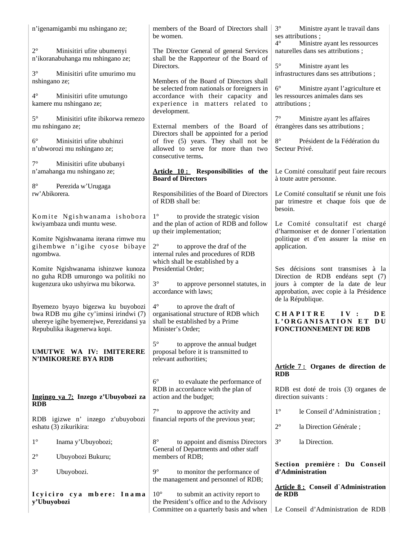| n'igenamigambi mu nshingano ze;                                                                                                                        | members of the Board of Directors shall<br>be women.                                                                                          | $3^\circ$<br>Ministre ayant le travail dans<br>ses attributions;<br>$4^{\circ}$<br>Ministre ayant les ressources                                                              |
|--------------------------------------------------------------------------------------------------------------------------------------------------------|-----------------------------------------------------------------------------------------------------------------------------------------------|-------------------------------------------------------------------------------------------------------------------------------------------------------------------------------|
| $2^{\circ}$<br>Minisitiri ufite ubumenyi<br>n'ikoranabuhanga mu nshingano ze;                                                                          | The Director General of general Services<br>shall be the Rapporteur of the Board of<br>Directors.                                             | naturelles dans ses attributions;<br>$5^\circ$<br>Ministre ayant les                                                                                                          |
| $3^\circ$<br>Minisitiri ufite umurimo mu<br>nshingano ze;                                                                                              | Members of the Board of Directors shall                                                                                                       | infrastructures dans ses attributions;                                                                                                                                        |
| $4^\circ$<br>Minisitiri ufite umutungo<br>kamere mu nshingano ze;                                                                                      | be selected from nationals or foreigners in<br>accordance with their capacity and<br>experience in matters related to<br>development.         | $6^{\circ}$<br>Ministre ayant l'agriculture et<br>les ressources animales dans ses<br>attributions;                                                                           |
| $5^\circ$<br>Minisitiri ufite ibikorwa remezo<br>mu nshingano ze;                                                                                      | External members of the Board of                                                                                                              | $7^\circ$<br>Ministre ayant les affaires<br>étrangères dans ses attributions;                                                                                                 |
| Minisitiri ufite ubuhinzi<br>$6^{\circ}$<br>n'ubworozi mu nshingano ze;                                                                                | Directors shall be appointed for a period<br>of five (5) years. They shall not be<br>allowed to serve for more than two<br>consecutive terms. | $8^{\circ}$<br>Président de la Fédération du<br>Secteur Privé.                                                                                                                |
| $7^\circ$<br>Minisitiri ufite ububanyi<br>n'amahanga mu nshingano ze;                                                                                  | Article 10: Responsibilities of the<br><b>Board of Directors</b>                                                                              | Le Comité consultatif peut faire recours<br>à toute autre personne.                                                                                                           |
| $8^{\circ}$<br>Perezida w'Urugaga<br>rw'Abikorera.                                                                                                     | Responsibilities of the Board of Directors<br>of RDB shall be:                                                                                | Le Comité consultatif se réunit une fois<br>par trimestre et chaque fois que de<br>besoin.                                                                                    |
| Komite Ngishwanama ishobora<br>kwiyambaza undi muntu wese.                                                                                             | $1^{\circ}$<br>to provide the strategic vision<br>and the plan of action of RDB and follow<br>up their implementation;                        | Le Comité consultatif est chargé<br>d'harmoniser et de donner l'orientation                                                                                                   |
| Komite Ngishwanama iterana rimwe mu<br>gihembwe n'igihe cyose bibaye<br>ngombwa.                                                                       | $2^{\circ}$<br>to approve the draf of the<br>internal rules and procedures of RDB<br>which shall be established by a                          | politique et d'en assurer la mise en<br>application.                                                                                                                          |
| Komite Ngishwanama ishinzwe kunoza<br>no guha RDB umurongo wa politiki no<br>kugenzura uko ushyirwa mu bikorwa.                                        | Presidential Order;<br>$3^\circ$<br>to approve personnel statutes, in<br>accordance with laws;                                                | Ses décisions sont transmises à la<br>Direction de RDB endéans sept (7)<br>jours à compter de la date de leur<br>approbation, avec copie à la Présidence<br>de la République. |
| Ibyemezo byayo bigezwa ku buyobozi<br>bwa RDB mu gihe cy'iminsi irindwi (7)<br>uhereye igihe byemerejwe, Perezidansi ya<br>Repubulika ikagenerwa kopi. | $4^{\circ}$<br>to aprove the draft of<br>organisational structure of RDB which<br>shall be established by a Prime<br>Minister's Order;        | <b>CHAPITRE</b><br>D E<br>IV:<br>L'ORGANISATION ET<br>DU<br>FONCTIONNEMENT DE RDB                                                                                             |
| UMUTWE WA IV: IMITERERE<br><b>N'IMIKORERE BYA RDB</b>                                                                                                  | $5^{\circ}$<br>to approve the annual budget<br>proposal before it is transmitted to<br>relevant authorities;                                  |                                                                                                                                                                               |
|                                                                                                                                                        |                                                                                                                                               | Article 7: Organes de direction de<br><b>RDB</b>                                                                                                                              |
| Ingingo ya 7: Inzego z'Ubuyobozi za<br><b>RDB</b>                                                                                                      | $6^{\circ}$<br>to evaluate the performance of<br>RDB in accordance with the plan of<br>action and the budget;                                 | RDB est doté de trois (3) organes de<br>direction suivants :                                                                                                                  |
| RDB igizwe n' inzego z'ubuyobozi<br>eshatu (3) zikurikira:                                                                                             | $7^{\circ}$<br>to approve the activity and<br>financial reports of the previous year;                                                         | $1^{\circ}$<br>le Conseil d'Administration;<br>$2^{\circ}$<br>la Direction Générale;                                                                                          |
| $1^{\circ}$<br>Inama y'Ubuyobozi;                                                                                                                      | $8^{\circ}$<br>to appoint and dismiss Directors<br>General of Departments and other staff                                                     | $3^{\circ}$<br>la Direction.                                                                                                                                                  |
| $2^{\circ}$<br>Ubuyobozi Bukuru;                                                                                                                       | members of RDB;                                                                                                                               |                                                                                                                                                                               |
| $3^\circ$<br>Ubuyobozi.                                                                                                                                | $9^{\circ}$<br>to monitor the performance of<br>the management and personnel of RDB;                                                          | Section première : Du Conseil<br>d'Administration                                                                                                                             |
| Icyiciro cya mbere: Inama<br>y'Ubuyobozi                                                                                                               | $10^{\circ}$<br>to submit an activity report to<br>the President's office and to the Advisory<br>Committee on a quarterly basis and when      | Article 8: Conseil d'Administration<br>de RDB<br>Le Conseil d'Administration de RDB                                                                                           |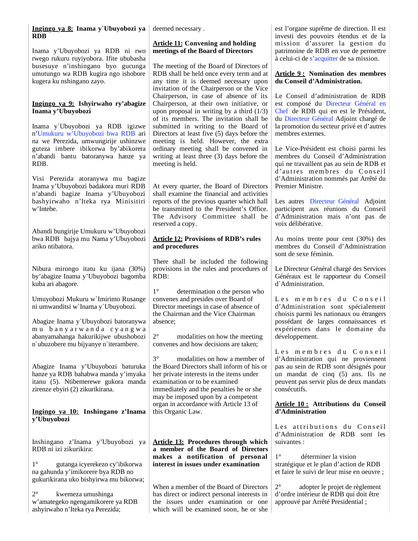| Ingingo ya 8: Inama y Ubuyobozi ya                                         | deemed necessary.                                                                    | est l'organe suprême de direction. Il est                                    |
|----------------------------------------------------------------------------|--------------------------------------------------------------------------------------|------------------------------------------------------------------------------|
| <b>RDB</b>                                                                 |                                                                                      | investi des pouvoirs étendus et de la                                        |
|                                                                            | <b>Article 11: Convening and holding</b>                                             | mission d'assurer la gestion du                                              |
| Inama y'Ubuyobozi ya RDB ni rwo                                            | meetings of the Board of Directors                                                   | patrimoine de RDB en vue de permettre                                        |
| rwego rukuru ruyiyobora. Ifite ububasha                                    |                                                                                      | à celui-ci de s'acquitter de sa mission.                                     |
| busesuye n'inshingano byo gucunga<br>umutungo wa RDB kugira ngo ishobore   | The meeting of the Board of Directors of<br>RDB shall be held once every term and at | <b>Article 9: Nomination des membres</b>                                     |
| kugera ku nshingano zayo.                                                  | any time it is deemed necessary upon                                                 | du Conseil d'Administration.                                                 |
|                                                                            | invitation of the Chairperson or the Vice                                            |                                                                              |
|                                                                            | Chairperson, in case of absence of its                                               | Le Conseil d'administration de RDB                                           |
| Ingingo ya 9: Ishyirwaho ry'abagize                                        | Chairperson, at their own initiative, or                                             | est composé du Directeur Général en                                          |
| Inama y'Ubuyobozi                                                          | upon proposal in writing by a third $(1/3)$                                          | Chef de RDB qui en est le Président,                                         |
|                                                                            | of its members. The invitation shall be                                              | du Directeur Général Adjoint chargé de                                       |
| Inama y'Ubuyobozi ya RDB igizwe                                            | submitted in writing to the Board of                                                 | la promotion du secteur privé et d'autres                                    |
| n'Umukuru w'Ubuyobozi bwa RDB ari                                          | Directors at least five (5) days before the                                          | membres externes.                                                            |
| na we Perezida, umwungirije ushinzwe                                       | meeting is held. However, the extra                                                  |                                                                              |
| guteza imbere ibikorwa by'abikorera                                        | ordinary meeting shall be convened in                                                | Le Vice-Président est choisi parmi les                                       |
| n'abandi bantu batoranywa hanze ya                                         | writing at least three (3) days before the                                           | membres du Conseil d'Administration                                          |
| RDB.                                                                       | meeting is held.                                                                     | qui ne travaillent pas au sein de RDB et<br>d'autres membres du Conseil      |
| Visi Perezida atoranywa mu bagize                                          |                                                                                      | d'Administration nommés par Arrêté du                                        |
| Inama y'Ubuyobozi badakora muri RDB                                        | At every quarter, the Board of Directors                                             | Premier Ministre.                                                            |
| n'abandi bagize Inama y'Ubuyobozi                                          | shall examine the financial and activities                                           |                                                                              |
| bashyirwaho n'Iteka rya Minisitiri                                         | reports of the previous quarter which hall                                           | Les autres Directeur Général Adjoint                                         |
| w'Intebe.                                                                  | be transmitted to the President's Office.                                            | participent aux réunions du Conseil                                          |
|                                                                            | The Advisory Committee shall be                                                      | d'Administration mais n'ont pas de                                           |
|                                                                            | reserved a copy.                                                                     | voix délibérative.                                                           |
| Abandi bungirije Umukuru w'Ubuyobozi<br>bwa RDB bajya mu Nama y'Ubuyobozi  | <b>Article 12: Provisions of RDB's rules</b>                                         |                                                                              |
| ariko ntibatora.                                                           | and procedures                                                                       | Au moins trente pour cent (30%) des<br>membres du Conseil d'Administration   |
|                                                                            |                                                                                      | sont de sexe féminin.                                                        |
|                                                                            | There shall be included the following                                                |                                                                              |
| Nibura mirongo itatu ku ijana (30%)                                        | provisions in the rules and procedures of                                            | Le Directeur Général chargé des Services                                     |
| by'abagize Inama y'Ubuyobozi bagomba                                       | RDB:                                                                                 | Généraux est le rapporteur du Conseil                                        |
| kuba ari abagore.                                                          |                                                                                      | d'Administration.                                                            |
|                                                                            | $1^{\circ}$<br>determination o the person who                                        |                                                                              |
| Umuyobozi Mukuru w`Imirimo Rusange<br>ni umwanditsi w'Inama y'Ubuyobozi.   | convenes and presides over Board of<br>Director meetings in case of absence of       | Les membres du Conseil<br>d'Administration sont spécialement                 |
|                                                                            | the Chairman and the Vice Chairman                                                   | choisis parmi les nationaux ou étrangers                                     |
| Abagize Inama y'Ubuyobozi batoranywa                                       | absence:                                                                             | possédant de larges connaissances et                                         |
| mu banyarwanda cyangwa                                                     |                                                                                      | expériences dans le domaine du                                               |
| abanyamahanga hakurikijwe ubushobozi                                       | $2^{\circ}$<br>modalities on how the meeting                                         | développement.                                                               |
| n'ubuzobere mu bijyanye n'iterambere.                                      | convenes and how decisions are taken;                                                |                                                                              |
|                                                                            |                                                                                      | Les membres du Conseil                                                       |
|                                                                            | $3^\circ$<br>modalities on how a member of                                           | d'Administration qui ne proviennent                                          |
| Abagize Inama y'Ubuyobozi baturuka                                         | the Board Directors shall inform of his or                                           | pas au sein de RDB sont désignés pour                                        |
| hanze ya RDB bahabwa manda y'imyaka<br>itanu (5). Ntibemerewe gukora manda | her private interests in the items under<br>examination or to be examined            | un mandat de cinq (5) ans. Ils ne<br>peuvent pas servir plus de deux mandats |
| zirenze ebyiri (2) zikurikirana.                                           | immediately and the penalties he or she                                              | consécutifs.                                                                 |
|                                                                            | may be imposed upon by a competent                                                   |                                                                              |
|                                                                            | organ in accordance with Article 13 of                                               | Article 10: Attributions du Conseil                                          |
| Ingingo ya 10: Inshingano z'Inama                                          | this Organic Law.                                                                    | d'Administration                                                             |
| y'Ubuyobozi                                                                |                                                                                      |                                                                              |
|                                                                            |                                                                                      | Les attributions du Conseil                                                  |
| Inshingano z'Inama y'Ubuyobozi ya                                          | <b>Article 13:</b> Procedures through which                                          | d'Administration de RDB sont les<br>suivantes :                              |
| RDB ni izi zikurikira:                                                     | a member of the Board of Directors                                                   |                                                                              |
|                                                                            | makes a notification of personal                                                     | $1^{\circ}$<br>déterminer la vision                                          |
| $1^{\circ}$<br>gutanga icyerekezo cy'ibikorwa                              | interest in issues under examination                                                 | stratégique et le plan d'action de RDB                                       |
| na gahunda y'imikorere bya RDB no                                          |                                                                                      | et faire le suivi de leur mise en oeuvre ;                                   |
| gukurikirana uko bishyirwa mu bikorwa;                                     | When a member of the Board of Directors                                              | $2^{\circ}$<br>adopter le projet de règlement                                |
| $2^{\circ}$<br>kwemeza umushinga                                           | has direct or indirect personal interests in                                         | d'ordre intérieur de RDB qui doit être                                       |
| w'amategeko ngengamikorere ya RDB                                          | the issues under examination or one                                                  | approuvé par Arrêté Presidential;                                            |
| ashyirwaho n'Iteka rya Perezida;                                           | which will be examined soon, he or she                                               |                                                                              |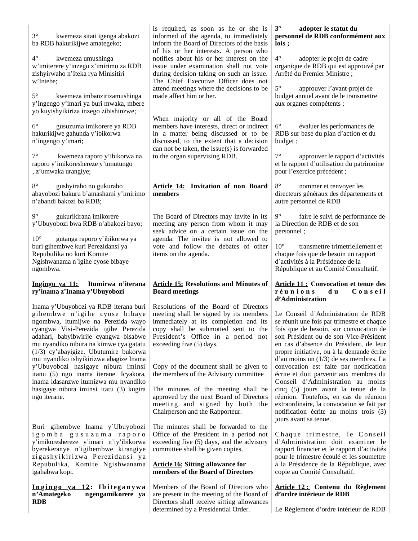| $3^{\circ}$<br>kwemeza sitati igenga abakozi<br>ba RDB hakurikijwe amategeko;<br>$4^{\circ}$<br>kwemeza umushinga<br>w'imiterere y'inzego z'imirimo za RDB<br>zishyirwaho n'Iteka rya Minisitiri<br>w'Intebe;<br>$5^{\circ}$<br>kwemeza imbanzirizamushinga<br>y'ingengo y'imari ya buri mwaka, mbere<br>yo kuyishyikiriza inzego zibishinzwe;<br>$6^{\circ}$<br>gusuzuma imikorere ya RDB<br>hakurikijwe gahunda y'ibikorwa<br>n'ingengo y'imari;<br>$7^{\circ}$<br>kwemeza raporo y'ibikorwa na<br>raporo y'imikoreshereze y'umutungo<br>, z'umwaka urangiye; | is required, as soon as he or she is<br>informed of the agenda, to immediately<br>inform the Board of Directors of the basis<br>of his or her interests. A person who<br>notifies about his or her interest on the<br>issue under examination shall not vote<br>during decision taking on such an issue.<br>The Chief Executive Officer does not<br>attend meetings where the decisions to be<br>made affect him or her.<br>When majority or all of the Board<br>members have interests, direct or indirect<br>in a matter being discussed or to be<br>discussed, to the extent that a decision<br>can not be taken, the issue(s) is forwarded<br>to the organ supervising RDB. | $3^\circ$<br>adopter le statut du<br>personnel de RDB conformément aux<br>lois;<br>$4^{\circ}$<br>adopter le projet de cadre<br>organique de RDB qui est approuvé par<br>Arrêté du Premier Ministre;<br>$5^{\circ}$<br>approuver l'avant-projet de<br>budget annuel avant de le transmettre<br>aux organes compétents ;<br>$6^{\circ}$<br>évaluer les performances de<br>RDB sur base du plan d'action et du<br>budget;<br>$7^\circ$<br>approuver le rapport d'activités<br>et le rapport d'utilisation du patrimoine<br>pour l'exercice précédent ;                                                                         |
|-----------------------------------------------------------------------------------------------------------------------------------------------------------------------------------------------------------------------------------------------------------------------------------------------------------------------------------------------------------------------------------------------------------------------------------------------------------------------------------------------------------------------------------------------------------------|---------------------------------------------------------------------------------------------------------------------------------------------------------------------------------------------------------------------------------------------------------------------------------------------------------------------------------------------------------------------------------------------------------------------------------------------------------------------------------------------------------------------------------------------------------------------------------------------------------------------------------------------------------------------------------|------------------------------------------------------------------------------------------------------------------------------------------------------------------------------------------------------------------------------------------------------------------------------------------------------------------------------------------------------------------------------------------------------------------------------------------------------------------------------------------------------------------------------------------------------------------------------------------------------------------------------|
| $8^{\circ}$<br>gushyiraho no gukuraho<br>abayobozi bakuru b'amashami y'imirimo<br>n'abandi bakozi ba RDB;                                                                                                                                                                                                                                                                                                                                                                                                                                                       | Article 14: Invitation of non Board<br>members                                                                                                                                                                                                                                                                                                                                                                                                                                                                                                                                                                                                                                  | $8^{\circ}$<br>nommer et renvoyer les<br>directeurs généraux des départements et<br>autre personnel de RDB                                                                                                                                                                                                                                                                                                                                                                                                                                                                                                                   |
| $9^{\circ}$<br>gukurikirana imikorere<br>y'Ubuyobozi bwa RDB n'abakozi bayo;<br>$10^{\circ}$<br>gutanga raporo y`ibikorwa ya<br>buri gihembwe kuri Perezidansi ya<br>Repubulika no kuri Komite<br>Ngishwanama n'igihe cyose bibaye<br>ngombwa.                                                                                                                                                                                                                                                                                                                  | The Board of Directors may invite in its<br>meeting any person from whom it may<br>seek advice on a certain issue on the<br>agenda. The invitee is not allowed to<br>vote and follow the debates of other<br>items on the agenda.                                                                                                                                                                                                                                                                                                                                                                                                                                               | $9^{\circ}$<br>faire le suivi de performance de<br>la Direction de RDB et de son<br>personnel;<br>$10^{\circ}$<br>transmettre trimetriellement et<br>chaque fois que de besoin un rapport<br>d'activités à la Présidence de la<br>République et au Comité Consultatif.                                                                                                                                                                                                                                                                                                                                                       |
|                                                                                                                                                                                                                                                                                                                                                                                                                                                                                                                                                                 |                                                                                                                                                                                                                                                                                                                                                                                                                                                                                                                                                                                                                                                                                 |                                                                                                                                                                                                                                                                                                                                                                                                                                                                                                                                                                                                                              |
| Ingingo ya 11:<br>Itumirwa n'iterana<br>ry'inama z'Inama y'Ubuyobozi                                                                                                                                                                                                                                                                                                                                                                                                                                                                                            | <b>Article 15: Resolutions and Minutes of</b><br><b>Board meetings</b>                                                                                                                                                                                                                                                                                                                                                                                                                                                                                                                                                                                                          | <b>Article 11: Convocation et tenue des</b><br>réunions<br>d u<br>Conseil                                                                                                                                                                                                                                                                                                                                                                                                                                                                                                                                                    |
| Inama y'Ubuyobozi ya RDB iterana buri<br>gihembwe n'igihe cyose bibaye<br>ngombwa, itumijwe na Perezida wayo<br>cyangwa Visi-Perezida igihe Perezida<br>adahari, babyibwirije cyangwa bisabwe<br>mu nyandiko nibura na kimwe cya gatatu<br>(1/3) cy'abayigize. Ubutumire bukorwa<br>mu nyandiko ishyikirizwa abagize Inama<br>y'Ubuyobozi hasigaye nibura iminsi<br>itanu (5) ngo inama iterane. Icyakora,<br>inama idasanzwe itumizwa mu nyandiko<br>hasigaye nibura iminsi itatu (3) kugira<br>ngo iterane.                                                   | Resolutions of the Board of Directors<br>meeting shall be signed by its members<br>immediately at its completion and its<br>copy shall be submotted sent to the<br>President's Office in a period not<br>exceeding five (5) days.<br>Copy of the document shall be given to<br>the members of the Advisory committee<br>The minutes of the meeting shall be<br>approved by the next Board of Directors<br>meeting and signed by both the<br>Chairperson and the Rapporteur.                                                                                                                                                                                                     | d'Administration<br>Le Conseil d'Administration de RDB<br>se réunit une fois par trimestre et chaque<br>tois que de besoin, sur convocation de<br>son Président ou de son Vice-Président<br>en cas d'absence du Président, de leur<br>propre initiative, ou à la demande écrite<br>d'au moins un $(1/3)$ de ses membres. La<br>convocation est faite par notification<br>écrite et doit parvenir aux membres du<br>Conseil d'Administration au moins<br>cinq (5) jours avant la tenue de la<br>réunion. Toutefois, en cas de réunion<br>extraordinaire, la convocation se fait par<br>notification écrite au moins trois (3) |
| Buri gihembwe Inama y'Ubuyobozi<br>igomba gusuzuma raporo<br>y'imikoreshereze y'imari n'iy'ibikorwa<br>byerekeranye n'igihembwe kirangiye<br>zigashyikirizwa Perezidansi ya<br>Repubulika, Komite Ngishwanama<br>igahabwa kopi.                                                                                                                                                                                                                                                                                                                                 | The minutes shall be forwarded to the<br>Office of the President in a period not<br>exceeding five (5) days, and the advisory<br>committee shall be given copies.<br><b>Article 16: Sitting allowance for</b><br>members of the Board of Directors                                                                                                                                                                                                                                                                                                                                                                                                                              | jours avant sa tenue.<br>Chaque trimestre, le Conseil<br>d'Administration doit examiner le<br>rapport financier et le rapport d'activités<br>pour le trimestre écoulé et les soumettre<br>à la Présidence de la République, avec<br>copie au Comité Consultatif.                                                                                                                                                                                                                                                                                                                                                             |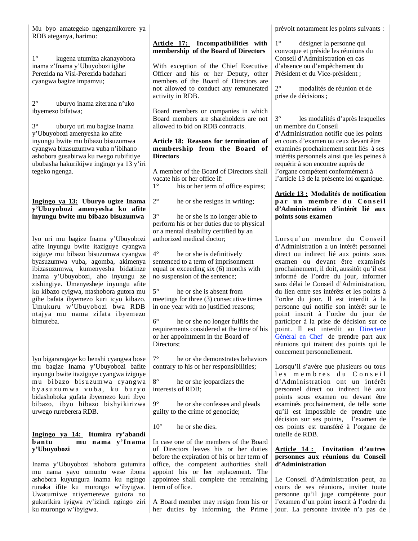Mu byo amategeko ngengamikorere ya RDB ateganya, harimo:

1° kugena utumiza akanayobora inama z'Inama y'Ubuyobozi igihe Perezida na Visi-Perezida badahari cyangwa bagize impamvu;

2° uburyo inama ziterana n'uko ibyemezo bifatwa;

3° uburyo uri mu bagize Inama y'Ubuyobozi amenyesha ko afite inyungu bwite mu bibazo bisuzumwa cyangwa bizasuzumwa vuba n'ibihano ashobora gusabirwa ku rwego rubifitiye ububasha hakurikijwe ingingo ya 13 y'iri tegeko ngenga.

### **Ingingo ya 13: Uburyo ugize Inama y'Ubuyobozi amenyesha ko afite inyungu bwite mu bibazo bisuzumwa**

Iyo uri mu bagize Inama y'Ubuyobozi afite inyungu bwite itaziguye cyangwa iziguye mu bibazo bisuzumwa cyangwa byasuzumwa vuba, agomba, akimenya ibizasuzumwa, kumenyesha bidatinze Inama y'Ubuyobozi, aho inyungu ze zishingiye. Umenyesheje inyungu afite ku kibazo cyigwa, ntashobora gutora mu gihe bafata ibyemezo kuri icyo kibazo. Umukuru w'Ubuyobozi bwa RDB ntajya mu nama zifata ibyemezo bimureba.

Iyo bigararagaye ko benshi cyangwa bose mu bagize Inama y'Ubuyobozi bafite inyungu bwite itaziguye cyangwa iziguye mu bibazo bisuzumwa cyangwa by a suzumwa vuba, ku buryo bidashoboka gufata ibyemezo kuri ibyo bibazo, ibyo bibazo bishyikirizwa urwego rureberera RDB.

### **Ingingo ya 14: Itumira ry'abandi b an tu mu n ama y'In ama y'Ubuyobozi**

Inama y'Ubuyobozi ishobora gutumira mu nama yayo umuntu wese ibona ashobora kuyungura inama ku ngingo runaka ifite ku murongo w'ibyigwa. Uwatumiwe ntiyemerewe gutora no gukurikira iyigwa ry'izindi ngingo ziri ku murongo w'ibyigwa.

### **Article 17: Incompatibilities with membership of the Board of Directors**

With exception of the Chief Executive Officer and his or her Deputy, other members of the Board of Directors are not allowed to conduct any remunerated activity in RDB.

Board members or companies in which Board members are shareholders are not allowed to bid on RDB contracts.

### **Article 18: Reasons for termination of membership from the Board of Directors**

A member of the Board of Directors shall vacate his or her office if: 1° his or her term of office expires;

2° he or she resigns in writing;

3° he or she is no longer able to perform his or her duties due to physical or a mental disability certified by an authorized medical doctor;

he or she is definitively sentenced to a term of imprisonment equal or exceeding six (6) months with no suspension of the sentence;

5° he or she is absent from meetings for three (3) consecutive times in one year with no justified reasons;

6° he or she no longer fulfils the requirements considered at the time of his or her appointment in the Board of Directors;

7° he or she demonstrates behaviors contrary to his or her responsibilities;

8° he or she jeopardizes the interests of RDB;

9° he or she confesses and pleads guilty to the crime of genocide;

 $10^{\circ}$  he or she dies.

In case one of the members of the Board of Directors leaves his or her duties before the expiration of his or her term of office, the competent authorities shall appoint his or her replacement. The appointee shall complete the remaining term of office.

A Board member may resign from his or her duties by informing the Prime jour. La personne invitée n'a pas de

prévoit notamment les points suivants :

désigner la personne qui convoque et préside les réunions du Conseil d'Administration en cas d'absence ou d'empêchement du Président et du Vice-président ;

2° modalités de réunion et de prise de décisions ;

3° les modalités d'après lesquelles un membre du Conseil d'Administration notifie que les points en cours d'examen ou ceux devant être examinés prochainement sont liés à ses intérêts personnels ainsi que les peines à requérir à son encontre auprès de l'organe compétent conformément à l'article 13 de la présente loi organique.

### **Article 13 : Modalités de notification**  par un membre du Conseil **d'Administration d'intérêt lié aux points sous examen**

Lorsqu'un membre du Conseil d'Administration a un intérêt personnel direct ou indirect lié aux points sous examen ou devant être examinés prochainement, il doit, aussitôt qu'il est informé de l'ordre du jour, informer sans délai le Conseil d'Administration, du lien entre ses intérêts et les points à l'ordre du jour. Il est interdit à la personne qui notifie son intérêt sur le point inscrit à l'ordre du jour de participer à la prise de décision sur ce point. Il est interdit au Directeur Général en Chef de prendre part aux réunions qui traitent des points qui le concernent personnellement.

Lorsqu'il s'avère que plusieurs ou tous les membres du Conseil d'Administration ont un intérêt personnel direct ou indirect lié aux points sous examen ou devant être examinés prochainement, de telle sorte qu'il est impossible de prendre une décision sur ses points, l'examen de ces points est transféré à l'organe de tutelle de RDB.

### **Article 14 : Invitation d'autres personnes aux réunions du Conseil d'Administration**

Le Conseil d'Administration peut, au cours de ses réunions, inviter toute personne qu'il juge compétente pour l'examen d'un point inscrit à l'ordre du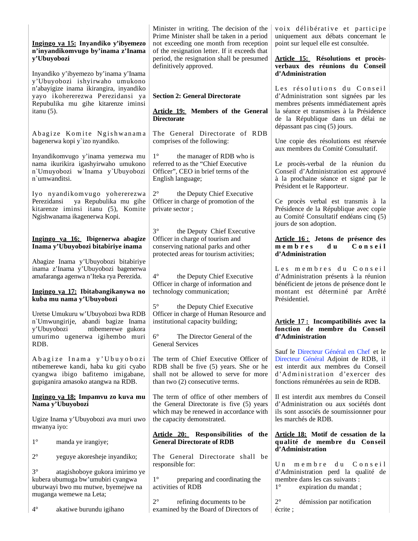| Ingingo ya 15: Inyandiko y'ibyemezo<br>n'inyandikomvugo by'inama z'Inama                                                                            | Minister in writing. The decision of the<br>Prime Minister shall be taken in a period<br>not exceeding one month from reception<br>of the resignation letter. If it exceeds that | voix délibérative et participe<br>uniquement aux débats concernant le<br>point sur lequel elle est consultée.                                                                                    |
|-----------------------------------------------------------------------------------------------------------------------------------------------------|----------------------------------------------------------------------------------------------------------------------------------------------------------------------------------|--------------------------------------------------------------------------------------------------------------------------------------------------------------------------------------------------|
| y'Ubuyobozi                                                                                                                                         | period, the resignation shall be presumed<br>definitively approved.                                                                                                              | Article 15: Résolutions et procès-<br>verbaux des réunions du Conseil                                                                                                                            |
| Inyandiko y'ibyemezo by'inama y'Inama<br>y'Ubuyobozi ishyirwaho umukono<br>n'abayigize inama ikirangira, inyandiko                                  | <b>Section 2: General Directorate</b>                                                                                                                                            | d'Administration<br>Les résolutions du Conseil                                                                                                                                                   |
| yayo ikohererezwa Perezidansi ya<br>Repubulika mu gihe kitarenze iminsi                                                                             |                                                                                                                                                                                  | d'Administration sont signées par les<br>membres présents immédiatement après                                                                                                                    |
| itanu $(5)$ .                                                                                                                                       | <b>Article 19:</b> Members of the General<br><b>Directorate</b>                                                                                                                  | la séance et transmises à la Présidence<br>de la République dans un délai ne<br>dépassant pas cinq (5) jours.                                                                                    |
| Abagize Komite Ngishwanama<br>bagenerwa kopi y'izo nyandiko.                                                                                        | The General Directorate of RDB<br>comprises of the following:                                                                                                                    | Une copie des résolutions est réservée<br>aux membres du Comité Consultatif.                                                                                                                     |
| Inyandikomvugo y'inama yemezwa mu<br>nama ikurikira igashyirwaho umukono<br>n'Umuyobozi w'Inama y'Ubuyobozi<br>n'umwanditsi.                        | $1^{\circ}$<br>the manager of RDB who is<br>referred to as the "Chief Executive<br>Officer", CEO in brief terms of the<br>English language;                                      | Le procès-verbal de la réunion du<br>Conseil d'Administration est approuvé<br>à la prochaine séance et signé par le<br>Président et le Rapporteur.                                               |
| Iyo nyandikomvugo yohererezwa                                                                                                                       | $2^{\circ}$<br>the Deputy Chief Executive                                                                                                                                        |                                                                                                                                                                                                  |
| ya Repubulika mu gihe<br>Perezidansi<br>kitarenze iminsi itanu (5), Komite<br>Ngishwanama ikagenerwa Kopi.                                          | Officer in charge of promotion of the<br>private sector;                                                                                                                         | Ce procès verbal est transmis à la<br>Présidence de la République avec copie<br>au Comité Consultatif endéans cinq (5)<br>jours de son adoption.                                                 |
| Ingingo ya 16: Ibigenerwa abagize<br>Inama y'Ubuyobozi bitabiriye inama                                                                             | $3^\circ$<br>the Deputy Chief Executive<br>Officer in charge of tourism and<br>conserving national parks and other<br>protected areas for tourism activities;                    | Article 16 : Jetons de présence des<br>membres<br>Conseil<br>d u<br>d'Administration                                                                                                             |
| Abagize Inama y'Ubuyobozi bitabiriye<br>inama z'Inama y'Ubuyobozi bagenerwa<br>amafaranga agenwa n'Iteka rya Perezida.                              | $4^{\circ}$<br>the Deputy Chief Executive                                                                                                                                        | Les membres du Conseil<br>d'Administration présents à la réunion                                                                                                                                 |
| Ingingo ya 17: Ibitabangikanywa no                                                                                                                  | Officer in charge of information and<br>technology communication;                                                                                                                | bénéficient de jetons de présence dont le<br>montant est déterminé par Arrêté                                                                                                                    |
| kuba mu nama y'Ubuyobozi                                                                                                                            | $5^{\circ}$<br>the Deputy Chief Executive                                                                                                                                        | Présidentiel.                                                                                                                                                                                    |
| Uretse Umukuru w'Ubuyobozi bwa RDB<br>n'Umwungirije, abandi bagize Inama<br>y'Ubuyobozi<br>ntibemerewe gukora                                       | Officer in charge of Human Resource and<br>institutional capacity building;                                                                                                      | Article 17 : Incompatibilités avec la<br>fonction de membre du Conseil                                                                                                                           |
| umurimo ugenerwa igihembo muri<br>RDB.                                                                                                              | $6^{\circ}$<br>The Director General of the<br><b>General Services</b>                                                                                                            | d'Administration                                                                                                                                                                                 |
| Abagize Inama y'Ubuyobozi<br>ntibemerewe kandi, haba ku giti cyabo<br>cyangwa ibigo bafitemo imigabane,<br>gupiganira amasoko atangwa na RDB.       | The term of Chief Executive Officer of<br>RDB shall be five (5) years. She or he<br>shall not be allowed to serve for more<br>than two (2) consecutive terms.                    | Sauf le Directeur Général en Chef et le<br>Directeur Général Adjoint de RDB, il<br>est interdit aux membres du Conseil<br>d'Administration d'exercer des<br>fonctions rémunérées au sein de RDB. |
| Ingingo ya 18: Impamvu zo kuva mu<br>Nama y'Ubuyobozi                                                                                               | The term of office of other members of<br>the General Directorate is five (5) years<br>which may be renewed in accordance with                                                   | Il est interdit aux membres du Conseil<br>d'Administration ou aux sociétés dont<br>ils sont associés de soumissionner pour                                                                       |
| Ugize Inama y'Ubuyobozi ava muri uwo<br>mwanya iyo:                                                                                                 | the capacity demonstrated.                                                                                                                                                       | les marchés de RDB.                                                                                                                                                                              |
| $1^{\circ}$<br>manda ye irangiye;                                                                                                                   | Article 20: Responsibilities of the<br><b>General Directorate of RDB</b>                                                                                                         | Article 18: Motif de cessation de la<br>qualité de membre du Conseil<br>d'Administration                                                                                                         |
| $2^{\circ}$<br>yeguye akoresheje inyandiko;                                                                                                         | The General Directorate shall be<br>responsible for:                                                                                                                             | $C$ on seil<br>membre<br>d u<br>$U_{n}$                                                                                                                                                          |
| $3^{\circ}$<br>atagishoboye gukora imirimo ye<br>kubera ubumuga bw'umubiri cyangwa<br>uburwayi bwo mu mutwe, byemejwe na<br>muganga wemewe na Leta; | $1^{\circ}$<br>preparing and coordinating the<br>activities of RDB                                                                                                               | d'Administration perd la qualité de<br>membre dans les cas suivants :<br>$1^{\circ}$<br>expiration du mandat;                                                                                    |
| $4^{\circ}$<br>akatiwe burundu igihano                                                                                                              | $2^{\circ}$<br>refining documents to be<br>examined by the Board of Directors of                                                                                                 | $2^{\circ}$<br>démission par notification<br>écrite;                                                                                                                                             |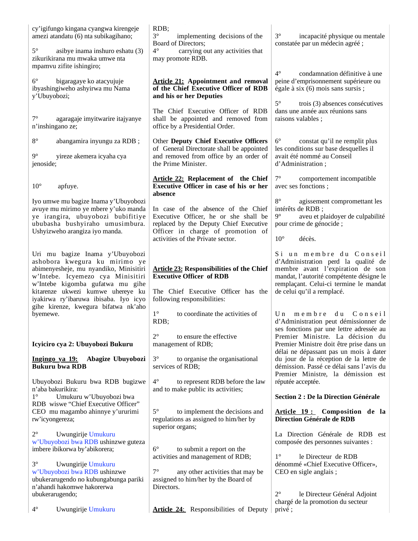| cy'igifungo kingana cyangwa kirengeje<br>amezi atandatu (6) nta subikagihano;                                                                                                                                                                                                                             | RDB;<br>$3^{\circ}$<br>implementing decisions of the                                                                                                                                             | $3^\circ$<br>incapacité physique ou mentale                                                                                                                                                                            |
|-----------------------------------------------------------------------------------------------------------------------------------------------------------------------------------------------------------------------------------------------------------------------------------------------------------|--------------------------------------------------------------------------------------------------------------------------------------------------------------------------------------------------|------------------------------------------------------------------------------------------------------------------------------------------------------------------------------------------------------------------------|
| $5^{\circ}$<br>asibye inama inshuro eshatu (3)<br>zikurikirana mu mwaka umwe nta<br>mpamvu zifite ishingiro;                                                                                                                                                                                              | <b>Board of Directors;</b><br>$4^\circ$<br>carrying out any activities that<br>may promote RDB.                                                                                                  | constatée par un médecin agréé;                                                                                                                                                                                        |
| $6^{\circ}$<br>bigaragaye ko atacyujuje<br>ibyashingiweho ashyirwa mu Nama<br>y'Ubuyobozi;                                                                                                                                                                                                                | <b>Article 21:</b> Appointment and removal<br>of the Chief Executive Officer of RDB<br>and his or her Deputies                                                                                   | $4^\circ$<br>condamnation définitive à une<br>peine d'emprisonnement supérieure ou<br>égale à six $(6)$ mois sans sursis;<br>$5^{\circ}$<br>trois (3) absences consécutives                                            |
| $7^\circ$<br>agaragaje imyitwarire itajyanye<br>n'inshingano ze;                                                                                                                                                                                                                                          | The Chief Executive Officer of RDB<br>shall be appointed and removed from<br>office by a Presidential Order.                                                                                     | dans une année aux réunions sans<br>raisons valables;                                                                                                                                                                  |
| $8^{\circ}$<br>abangamira inyungu za RDB;<br>$9^{\circ}$<br>yireze akemera icyaha cya<br>jenoside;                                                                                                                                                                                                        | Other Deputy Chief Executive Officers<br>of General Directorate shall be appointed<br>and removed from office by an order of<br>the Prime Minister.                                              | $6^{\circ}$<br>constat qu'il ne remplit plus<br>les conditions sur base desquelles il<br>avait été nommé au Conseil<br>d'Administration;                                                                               |
| $10^{\circ}$<br>apfuye.                                                                                                                                                                                                                                                                                   | <b>Article 22: Replacement of the Chief</b><br>Executive Officer in case of his or her<br>absence                                                                                                | $7^{\circ}$<br>comportement incompatible<br>avec ses fonctions;                                                                                                                                                        |
| Iyo umwe mu bagize Inama y'Ubuyobozi<br>avuye mu mirimo ye mbere y'uko manda<br>ye irangira, ubuyobozi bubifitiye<br>ububasha bushyiraho umusimbura.<br>Ushyizweho arangiza iyo manda.                                                                                                                    | In case of the absence of the Chief<br>Executive Officer, he or she shall be<br>replaced by the Deputy Chief Executive<br>Officer in charge of promotion of<br>activities of the Private sector. | $8^{\circ}$<br>agissement compromettant les<br>intérêts de RDB;<br>$9^{\circ}$<br>aveu et plaidoyer de culpabilité<br>pour crime de génocide;<br>$10^{\circ}$<br>décès.                                                |
| Uri mu bagize Inama y'Ubuyobozi<br>ashobora kwegura ku mirimo ye<br>abimenyesheje, mu nyandiko, Minisitiri<br>w'Intebe. Icyemezo cya Minisitiri<br>w'Intebe kigomba gufatwa mu gihe<br>kitarenze ukwezi kumwe uhereye ku<br>iyakirwa ry'ibaruwa ibisaba. Iyo icyo<br>gihe kirenze, kwegura bifatwa nk'aho | <b>Article 23: Responsibilities of the Chief</b><br><b>Executive Officer of RDB</b><br>The Chief Executive Officer has the<br>following responsibilities:                                        | Si un membre du Conseil<br>d'Administration perd la qualité de<br>membre avant l'expiration de son<br>mandat, l'autorité compétente désigne le<br>remplaçant. Celui-ci termine le mandat<br>de celui qu'il a remplacé. |
| byemewe.                                                                                                                                                                                                                                                                                                  | $1^{\circ}$<br>to coordinate the activities of<br>RDB;<br>$2^{\circ}$<br>to ensure the effective                                                                                                 | membre<br>$C$ on seil<br>U <sub>n</sub><br>d u<br>d'Administration peut démissionner de<br>ses fonctions par une lettre adressée au<br>Premier Ministre. La décision du                                                |
| Icyiciro cya 2: Ubuyobozi Bukuru                                                                                                                                                                                                                                                                          | management of RDB;                                                                                                                                                                               | Premier Ministre doit être prise dans un<br>délai ne dépassant pas un mois à dater                                                                                                                                     |
| Ingingo ya 19: Abagize Ubuyobozi<br><b>Bukuru bwa RDB</b>                                                                                                                                                                                                                                                 | $3^{\circ}$<br>to organise the organisational<br>services of RDB;                                                                                                                                | du jour de la réception de la lettre de<br>démission. Passé ce délai sans l'avis du<br>Premier Ministre, la démission est                                                                                              |
| Ubuyobozi Bukuru bwa RDB bugizwe<br>n'aba bakurikira:<br>$1^{\circ}$<br>Umukuru w'Ubuyobozi bwa<br>RDB wiswe "Chief Executive Officer"                                                                                                                                                                    | $4^{\circ}$<br>to represent RDB before the law<br>and to make public its activities;                                                                                                             | réputée acceptée.<br><b>Section 2 : De la Direction Générale</b>                                                                                                                                                       |
| CEO mu magambo ahinnye y'ururimi<br>rw'icyongereza;                                                                                                                                                                                                                                                       | $5^{\circ}$<br>to implement the decisions and<br>regulations as assigned to him/her by<br>superior organs;                                                                                       | Article 19: Composition de la<br>Direction Générale de RDB                                                                                                                                                             |
| $2^{\circ}$<br>Uwungirije Umukuru<br>w'Ubuyobozi bwa RDB ushinzwe guteza<br>imbere ibikorwa by'abikorera;                                                                                                                                                                                                 | $6^{\circ}$<br>to submit a report on the                                                                                                                                                         | La Direction Générale de RDB est<br>composée des personnes suivantes :<br>$1^{\circ}$                                                                                                                                  |
| $3^\circ$<br>Uwungirije Umukuru<br>w'Ubuyobozi bwa RDB ushinzwe<br>ubukerarugendo no kubungabunga pariki<br>n'ahandi hakomwe hakorerwa                                                                                                                                                                    | activities and management of RDB;<br>$7^{\circ}$<br>any other activities that may be<br>assigned to him/her by the Board of<br>Directors.                                                        | le Directeur de RDB<br>dénommé «Chief Executive Officer»,<br>CEO en sigle anglais;                                                                                                                                     |
| ubukerarugendo;<br>$4^{\circ}$<br>Uwungirije Umukuru                                                                                                                                                                                                                                                      | <b>Article 24:</b> Responsibilities of Deputy                                                                                                                                                    | $2^{\circ}$<br>le Directeur Général Adjoint<br>chargé de la promotion du secteur<br>privé;                                                                                                                             |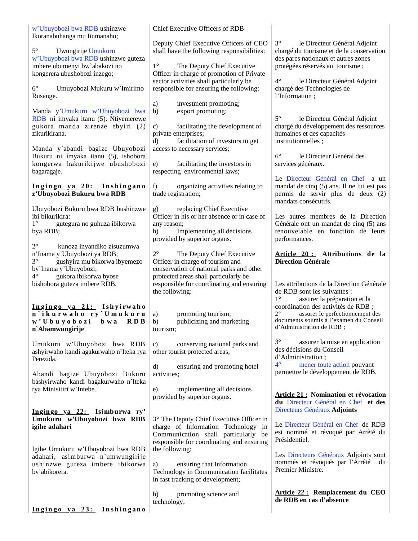| w'Ubuyobozi bwa RDB ushinzwe<br>Ikoranabuhanga mu Itumanaho;                                                                | Chief Executive Officers of RDB                                                                                                                                     |                                                                                                                                                                                                           |
|-----------------------------------------------------------------------------------------------------------------------------|---------------------------------------------------------------------------------------------------------------------------------------------------------------------|-----------------------------------------------------------------------------------------------------------------------------------------------------------------------------------------------------------|
| $5^{\circ}$<br>Uwungirije Umukuru<br>w'Ubuyobozi bwa RDB ushinzwe guteza                                                    | Deputy Chief Executive Officers of CEO<br>shall have the following responsibilities:                                                                                | $3^\circ$<br>le Directeur Général Adjoint<br>chargé du tourisme et de la conservation<br>des parcs nationaux et autres zones                                                                              |
| imbere ubumenyi bw'abakozi no<br>kongerera ubushobozi inzego;                                                               | $1^{\circ}$<br>The Deputy Chief Executive<br>Officer in charge of promotion of Private<br>sector activities shall particularly be                                   | protégées réservés au tourisme ;<br>$4^\circ$<br>le Directeur Général Adjoint                                                                                                                             |
| $6^{\circ}$<br>Umuyobozi Mukuru w`Imirimo<br>Rusange.                                                                       | responsible for ensuring the following:                                                                                                                             | chargé des Technologies de<br>l'Information;                                                                                                                                                              |
| Manda y'Umukuru w'Ubuyobozi bwa<br>RDB ni imyaka itanu (5). Ntiyemerewe<br>gukora manda zirenze ebyiri (2)<br>zikurikirana. | investment promoting;<br>a)<br>b)<br>export promoting;<br>facilitating the development of<br>c)<br>private enterprises;                                             | $5^{\circ}$<br>le Directeur Général Adjoint<br>chargé du développement des ressources<br>humaines et des capacités                                                                                        |
| Manda y`abandi bagize Ubuyobozi<br>Bukuru ni imyaka itanu (5), ishobora<br>kongerwa hakurikijwe ubushobozi                  | facilitation of investors to get<br>d)<br>access to necessary services;<br>e)<br>facilitating the investors in                                                      | institutionnelles;<br>$6^\circ$<br>le Directeur Général des<br>services généraux.                                                                                                                         |
| bagaragaje.                                                                                                                 | respecting environmental laws;                                                                                                                                      | Le Directeur Général en Chef a un                                                                                                                                                                         |
| Ingingo ya 20: Inshingano<br>z'Ubuyobozi Bukuru bwa RDB                                                                     | organizing activities relating to<br>f)<br>trade registration;                                                                                                      | mandat de cinq (5) ans. Il ne lui est pas<br>permis de servir plus de deux (2)<br>mandats consécutifs.                                                                                                    |
| Ubuyobozi Bukuru bwa RDB bushinzwe<br>ibi bikurikira:<br>$1^{\circ}$<br>gutegura no guhuza ibikorwa<br>bya RDB;             | replacing Chief Executive<br>g)<br>Officer in his or her absence or in case of<br>any reason;<br>Implementing all decisions<br>h)<br>provided by superior organs.   | Les autres membres de la Direction<br>Générale ont un mandat de cinq (5) ans<br>renouvelable en fonction de leurs<br>performances.                                                                        |
| $2^{\circ}$<br>kunoza inyandiko zisuzumwa<br>n'Inama y'Ubuyobozi ya RDB;<br>$3^{\circ}$<br>gushyira mu bikorwa ibyemezo     | $2^{\circ}$<br>The Deputy Chief Executive<br>Officer in charge of tourism and                                                                                       | Article 20: Attributions de la<br><b>Direction Générale</b>                                                                                                                                               |
| by'Inama y'Ubuyobozi;<br>$4^\circ$<br>gukora ibikorwa byose                                                                 | conservation of national parks and other<br>protected areas shall particularly be                                                                                   |                                                                                                                                                                                                           |
| bishobora guteza imbere RDB.                                                                                                | responsible for coordinating and ensuring<br>the following:                                                                                                         | Les attributions de la Direction Générale<br>de RDB sont les suivantes :                                                                                                                                  |
| Ingingo ya 21: Ishyirwaho<br>n'ikurwaho ry'Umukuru<br>w'Ubuyobozi bwa<br>RDB<br>n'Abamwungirije                             | promoting tourism;<br>a)<br>publicizing and marketing<br>b)<br>tourism;                                                                                             | $1^{\circ}$<br>assurer la préparation et la<br>coordination des activités de RDB;<br>$2^{\circ}$<br>assurer le perfectionnement des<br>documents soumis à l'examen du Conseil<br>d'Administration de RDB; |
| Umukuru w'Ubuyobozi bwa RDB<br>ashyirwaho kandi agakurwaho n'Iteka rya                                                      | conserving national parks and<br>C)<br>other tourist protected areas;                                                                                               | $3^\circ$<br>assurer la mise en application<br>des décisions du Conseil                                                                                                                                   |
| Perezida.<br>Abandi bagize Ubuyobozi Bukuru                                                                                 | d)<br>ensuring and promoting hotel<br>activities;                                                                                                                   | d'Administration;<br>$4^\circ$<br>mener toute action pouvant<br>permettre le développement de RDB.                                                                                                        |
| bashyirwaho kandi bagakurwaho n'Iteka<br>rya Minisitiri w'Intebe.                                                           | implementing all decisions<br>e)<br>provided by superior organs.                                                                                                    | <b>Article 21: Nomination et révocation</b><br>du Directeur Général en Chef et des                                                                                                                        |
| <u>Ingingo ya 22:</u> Isimburwa ry'<br>Umukuru w'Ubuyobozi bwa RDB<br>igihe adahari                                         | 3° The Deputy Chief Executive Officer in<br>charge of Information Technology in<br>Communication shall particularly be<br>responsible for coordinating and ensuring | Directeurs Généraux Adjoints<br>Le Directeur Général en Chef de RDB<br>est nommé et révoqué par Arrêté du<br>Présidentiel.                                                                                |
| Igihe Umukuru w'Ubuyobozi bwa RDB<br>adahari, asimburwa n'umwungirije<br>ushinzwe guteza imbere ibikorwa<br>by'abikorera.   | the following:<br>ensuring that Information<br>a)<br>Technology in Communication facilitates<br>in fast tracking of development;                                    | Les Directeurs Généraux Adjoints sont<br>nommés et révoqués par l'Arrêté du<br>Premier Ministre.                                                                                                          |
| Ingingo ya 23: Inshingano                                                                                                   | promoting science and<br>b)<br>technology;                                                                                                                          | Article 22: Remplacement du CEO<br>de RDB en cas d'absence                                                                                                                                                |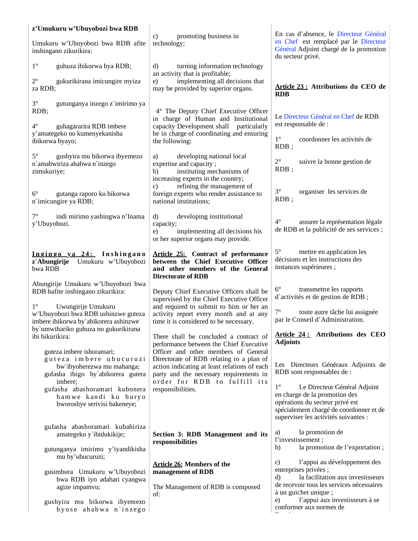| z'Umukuru w'Ubuyobozi bwa RDB                                                                                                                             |                                                                                                                                                                         |                                                                                                                                                                                                    |
|-----------------------------------------------------------------------------------------------------------------------------------------------------------|-------------------------------------------------------------------------------------------------------------------------------------------------------------------------|----------------------------------------------------------------------------------------------------------------------------------------------------------------------------------------------------|
| Umukuru w'Ubuyobozi bwa RDB afite<br>inshingano zikurikira:                                                                                               | promoting business in<br>c)<br>technology;                                                                                                                              | En cas d'absence, le Directeur Général<br>en Chef est remplacé par le Directeur<br>Général Adjoint chargé de la promotion<br>du secteur privé.                                                     |
| $1^{\circ}$<br>guhuza ibikorwa bya RDB;                                                                                                                   | turning information technology<br>$\mathbf{d}$<br>an activity that is profitable;                                                                                       |                                                                                                                                                                                                    |
| $2^{\circ}$<br>gukurikirana imicungire myiza<br>za RDB;                                                                                                   | implementing all decisions that<br>e)<br>may be provided by superior organs.                                                                                            | Article 23 : Attributions du CEO de<br><b>RDB</b>                                                                                                                                                  |
| $3^\circ$<br>gutunganya inzego z'imirimo ya<br>RDB;                                                                                                       | 4° The Deputy Chief Executive Officer<br>in charge of Human and Institutional                                                                                           | Le Directeur Général en Chef de RDB                                                                                                                                                                |
| $4^\circ$<br>guhagararira RDB imbere<br>y'amategeko no kumenyekanisha<br>ibikorwa byayo;                                                                  | capacity Development shall particularly<br>be in charge of coordinating and ensuring<br>the following:                                                                  | est responsable de :<br>$1^{\circ}$<br>coordonner les activités de<br>$RDB$ ;                                                                                                                      |
| $5^{\circ}$<br>gushyira mu bikorwa ibyemezo<br>n'amabwiriza ahabwa n'inzego<br>zimukuriye;                                                                | developing national local<br>a)<br>expertise and capacity;<br>instituting mechanisms of<br>b)<br>increasing experts in the country;<br>refining the management of<br>c) | $2^{\circ}$<br>suivre la bonne gestion de<br>$RDB$ ;                                                                                                                                               |
| $6^{\circ}$<br>gutanga raporo ku bikorwa<br>n'imicungire ya RDB;                                                                                          | foreign experts who render assistance to<br>national institutions;                                                                                                      | $3^\circ$<br>organiser les services de<br>$RDB$ ;                                                                                                                                                  |
| $7^{\circ}$<br>indi mirimo yashingwa n'Inama<br>y'Ubuyobozi.                                                                                              | d)<br>developing institutional<br>capacity;<br>implementing all decisions his<br>e)<br>or her superior organs may provide.                                              | $4^{\circ}$<br>assurer la représentation légale<br>de RDB et la publicité de ses services ;                                                                                                        |
| Ingingo ya 24: Inshingano<br>z`Abungirije<br>Umukuru w'Ubuyobozi<br>bwa RDB                                                                               | <b>Article 25:</b> Contract of performance<br>between the Chief Executive Officer<br>and other members of the General<br><b>Directorate of RDB</b>                      | $5^\circ$<br>mettre en application les<br>décisions et les instructions des<br>instances supérieures ;                                                                                             |
| Abungirije Umukuru w'Ubuyobozi bwa<br>RDB bafite inshingano zikurikira:                                                                                   | Deputy Chief Executive Officers shall be<br>supervised by the Chief Executive Officer                                                                                   | $6^{\circ}$<br>transmettre les rapports<br>d'activités et de gestion de RDB ;                                                                                                                      |
| $1^{\circ}$<br>Uwungirije Umukuru<br>w'Ubuyobozi bwa RDB ushinzwe guteza<br>imbere ibikorwa by`abikorera ashinzwe<br>by'umwihariko guhuza no gukurikirana | and required to submit to him or her an<br>activity report every month and at any<br>time it is considered to be necessary.                                             | $7^\circ$<br>toute autre tâche lui assignée<br>par le Conseil d'Administration.                                                                                                                    |
| ibi bikurikira:<br>guteza imbere ishoramari;                                                                                                              | There shall be concluded a contract of<br>performance between the Chief Executive<br>Officer and other members of General                                               | Article 24: Attributions des CEO<br><b>Adjoints</b>                                                                                                                                                |
| guteza imbere ubucuruzi<br>bw'ibyoherezwa mu mahanga;<br>gufasha ibigo by`abikorera gutera                                                                | Directorate of RDB relating to a plan of<br>action indicating at least relations of each<br>party and the necessary requirements in                                     | Les Directeurs Généraux Adjoints de<br>RDB sont responsables de :                                                                                                                                  |
| imbere;<br>gufasha abashoramari kubonera<br>hamwe kandi ku buryo<br>bworoshye serivisi bakeneye;                                                          | order for RDB to fulfill its<br>responsibilities.                                                                                                                       | $1^{\circ}$<br>Le Directeur Général Adjoint<br>en charge de la promotion des<br>opérations du secteur privé est<br>spécialement chargé de coordonner et de<br>superviser les activités suivantes : |
| gufasha abashoramari kubahiriza<br>amategeko y'ibidukikije;                                                                                               | Section 3: RDB Management and its<br>responsibilities                                                                                                                   | a)<br>la promotion de<br>l'investissement;                                                                                                                                                         |
| gutunganya imirimo y'iyandikisha<br>mu by'ubucuruzi;                                                                                                      |                                                                                                                                                                         | la promotion de l'exportation;<br>b)                                                                                                                                                               |
| gusimbura Umukuru w'Ubuyobozi<br>bwa RDB iyo adahari cyangwa                                                                                              | <b>Article 26: Members of the</b><br>management of RDB                                                                                                                  | l'appui au développement des<br>C)<br>entreprises privées ;<br>la facilitation aux investisseurs<br>d)                                                                                             |
| agize impamvu;                                                                                                                                            | The Management of RDB is composed<br>of:                                                                                                                                | de recevoir tous les services nécessaires<br>à un guichet unique;                                                                                                                                  |
| gushyira mu bikorwa ibyemezo<br>byose ahabwa n'inzego                                                                                                     |                                                                                                                                                                         | l'appui aux investisseurs à se<br>e)<br>conformer aux normes de                                                                                                                                    |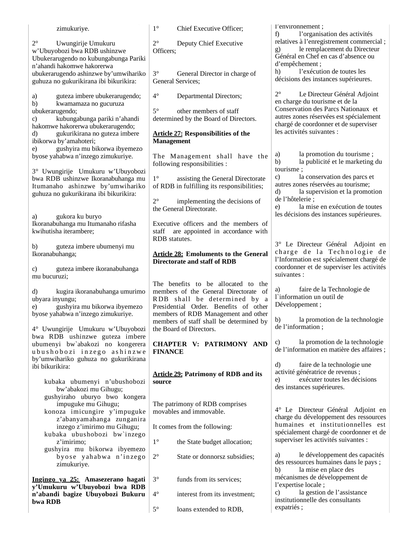| zimukuriye.                                                                                                                              | $1^{\circ}$<br>Chief Executive Officer;                                                                                                               | l'environnement;<br>l'organisation des activités<br>f)                                                                                                     |
|------------------------------------------------------------------------------------------------------------------------------------------|-------------------------------------------------------------------------------------------------------------------------------------------------------|------------------------------------------------------------------------------------------------------------------------------------------------------------|
| $2^{\circ}$<br>Uwungirije Umukuru<br>w'Ubuyobozi bwa RDB ushinzwe<br>Ubukerarugendo no kubungabunga Pariki<br>n'ahandi hakomwe hakorerwa | $2^{\circ}$<br>Deputy Chief Executive<br>Officers;                                                                                                    | relatives à l'enregistrement commercial;<br>le remplacement du Directeur<br>g)<br>Général en Chef en cas d'absence ou<br>d'empêchement;                    |
| ubukerarugendo ashinzwe by'umwihariko<br>guhuza no gukurikirana ibi bikurikira:                                                          | $3^\circ$<br>General Director in charge of<br>General Services;                                                                                       | l'exécution de toutes les<br>h)<br>décisions des instances supérieures.                                                                                    |
| guteza imbere ubukerarugendo;<br>a)<br>b)<br>kwamamaza no gucuruza                                                                       | $4^\circ$<br>Departmental Directors;                                                                                                                  | $2^{\circ}$<br>Le Directeur Général Adjoint<br>en charge du tourisme et de la                                                                              |
| ubukerarugendo;<br>kubungabunga pariki n'ahandi<br>$\mathbf{c})$<br>hakomwe hakorerwa ubukerarugendo;                                    | $5^{\circ}$<br>other members of staff<br>determined by the Board of Directors.                                                                        | Conservation des Parcs Nationaux et<br>autres zones réservées est spécialement<br>chargé de coordonner et de superviser                                    |
| gukurikirana no guteza imbere<br>$\rm d$<br>ibikorwa by'amahoteri;<br>gushyira mu bikorwa ibyemezo<br>e)                                 | <b>Article 27: Responsibilities of the</b><br><b>Management</b>                                                                                       | les activités suivantes :                                                                                                                                  |
| byose yahabwa n'inzego zimukuriye.<br>3° Uwungirije Umukuru w'Ubuyobozi                                                                  | The Management shall have the<br>following responsibilities :                                                                                         | la promotion du tourisme;<br>a)<br>la publicité et le marketing du<br>b)<br>tourisme;                                                                      |
| bwa RDB ushinzwe Ikoranabuhanga mu<br>Itumanaho ashinzwe by'umwihariko<br>guhuza no gukurikirana ibi bikurikira:                         | $1^{\circ}$<br>assisting the General Directorate<br>of RDB in fulfilling its responsibilities;                                                        | la conservation des parcs et<br>$\mathbf{c})$<br>autres zones réservées au tourisme;<br>la supervision et la promotion<br>d)                               |
| gukora ku buryo<br>a)                                                                                                                    | $2^{\circ}$<br>implementing the decisions of<br>the General Directorate.                                                                              | de l'hôtelerie ;<br>la mise en exécution de toutes<br>e)<br>les décisions des instances supérieures.                                                       |
| Ikoranabuhanga mu Itumanaho rifasha<br>kwihutisha iterambere;                                                                            | Executive officers and the members of<br>are appointed in accordance with<br>staff<br>RDB statutes.                                                   |                                                                                                                                                            |
| guteza imbere ubumenyi mu<br>b)<br>Ikoranabuhanga;                                                                                       | <b>Article 28: Emoluments to the General</b><br><b>Directorate and staff of RDB</b>                                                                   | 3° Le Directeur Général Adjoint en<br>charge de la Technologie de<br>l'Information est spécialement chargé de<br>coordonner et de superviser les activités |
| guteza imbere ikoranabuhanga<br>C)<br>mu bucuruzi;                                                                                       | The benefits to be allocated to the                                                                                                                   | suivantes :                                                                                                                                                |
| kugira ikoranabuhanga umurimo<br>d)<br>ubyara inyungu;<br>gushyira mu bikorwa ibyemezo<br>e)<br>byose yahabwa n'inzego zimukuriye.       | members of the General Directorate of<br>RDB shall be determined by a<br>Presidential Order. Benefits of other<br>members of RDB Management and other | faire de la Technologie de<br>a)<br>l'information un outil de<br>Développement;                                                                            |
| 4° Uwungirije Umukuru w'Ubuyobozi                                                                                                        | members of staff shall be determined by<br>the Board of Directors.                                                                                    | la promotion de la technologie<br>b)<br>de l'information;                                                                                                  |
| bwa RDB ushinzwe guteza imbere<br>ubumenyi bw'abakozi no kongerera<br>ubushobozi inzego ashinzwe                                         | <b>CHAPTER V: PATRIMONY AND</b><br><b>FINANCE</b>                                                                                                     | la promotion de la technologie<br>C)<br>de l'information en matière des affaires ;                                                                         |
| by'umwihariko guhuza no gukurikirana<br>ibi bikurikira:                                                                                  | <b>Article 29: Patrimony of RDB and its</b>                                                                                                           | $\mathbf{d}$<br>faire de la technologie une<br>activité génératrice de revenus ;<br>exécuter toutes les décisions<br>e)                                    |
| kubaka ubumenyi n'ubushobozi<br>bw'abakozi mu Gihugu;<br>gushyiraho uburyo bwo kongera                                                   | source                                                                                                                                                | des instances supérieures.                                                                                                                                 |
| impuguke mu Gihugu;<br>konoza imicungire y'impuguke<br>z'abanyamahanga zunganira                                                         | The patrimony of RDB comprises<br>movables and immovable.                                                                                             | 4° Le Directeur Général Adjoint en<br>charge du développement des ressources                                                                               |
| inzego z'imirimo mu Gihugu;<br>kubaka ubushobozi bw'inzego                                                                               | It comes from the following:                                                                                                                          | humaines et institutionnelles est<br>spécialement chargé de coordonner et de                                                                               |
| z'imirimo;<br>gushyira mu bikorwa ibyemezo                                                                                               | $1^{\circ}$<br>the State budget allocation;                                                                                                           | superviser les activités suivantes :                                                                                                                       |
| byose yahabwa n'inzego<br>zimukuriye.                                                                                                    | $2^{\circ}$<br>State or donnorsz subsidies;                                                                                                           | le développement des capacités<br>a)<br>des ressources humaines dans le pays;<br>la mise en place des<br>b)                                                |
| Ingingo ya 25: Amasezerano hagati<br>y'Umukuru w'Ubuyobozi bwa RDB                                                                       | $3^\circ$<br>funds from its services;                                                                                                                 | mécanismes de développement de<br>l'expertise locale;                                                                                                      |
| n'abandi bagize Ubuyobozi Bukuru<br>bwa RDB                                                                                              | $4^{\circ}$<br>interest from its investment;                                                                                                          | la gestion de l'assistance<br>C)<br>institutionnelle des consultants                                                                                       |
|                                                                                                                                          | $5^{\circ}$<br>loans extended to RDB,                                                                                                                 | expatriés;                                                                                                                                                 |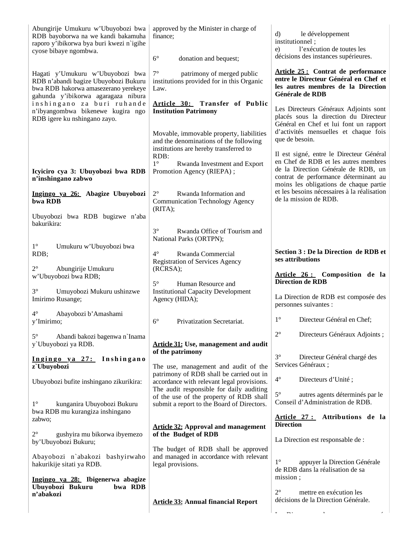| Abungirije Umukuru w'Ubuyobozi bwa<br>RDB bayoborwa na we kandi bakamuha<br>raporo y'ibikorwa bya buri kwezi n'igihe<br>cyose bibaye ngombwa.           | approved by the Minister in charge of<br>finance:                                                                                    | d)<br>le développement<br>institutionnel;<br>l'exécution de toutes les<br>e)                                                                                   |
|---------------------------------------------------------------------------------------------------------------------------------------------------------|--------------------------------------------------------------------------------------------------------------------------------------|----------------------------------------------------------------------------------------------------------------------------------------------------------------|
|                                                                                                                                                         | $6^{\circ}$<br>donation and bequest;                                                                                                 | décisions des instances supérieures.                                                                                                                           |
| Hagati y'Umukuru w'Ubuyobozi bwa<br>RDB n'abandi bagize Ubuyobozi Bukuru<br>bwa RDB hakorwa amasezerano yerekeye<br>gahunda y'ibikorwa agaragaza nibura | $7^{\circ}$<br>patrimony of merged public<br>institutions provided for in this Organic<br>Law.                                       | Article 25 : Contrat de performance<br>entre le Directeur Général en Chef et<br>les autres membres de la Direction<br>Générale de RDB                          |
| inshingano za buri ruhande<br>n'ibyangombwa bikenewe kugira ngo<br>RDB igere ku nshingano zayo.                                                         | Article 30: Transfer of Public<br><b>Institution Patrimony</b>                                                                       | Les Directeurs Généraux Adjoints sont<br>placés sous la direction du Directeur<br>Général en Chef et lui font un rapport                                       |
|                                                                                                                                                         | Movable, immovable property, liabilities<br>and the denominations of the following<br>institutions are hereby transferred to<br>RDB: | d'activités mensuelles et chaque fois<br>que de besoin.<br>Il est signé, entre le Directeur Général                                                            |
| Icyiciro cya 3: Ubuyobozi bwa RDB<br>n'inshingano zabwo                                                                                                 | $1^{\circ}$<br>Rwanda Investment and Export<br>Promotion Agency (RIEPA);                                                             | en Chef de RDB et les autres membres<br>de la Direction Générale de RDB, un<br>contrat de performance déterminant au<br>moins les obligations de chaque partie |
| Ingingo ya 26: Abagize Ubuyobozi<br>bwa RDB                                                                                                             | $2^{\circ}$<br>Rwanda Information and<br><b>Communication Technology Agency</b><br>(RITA);                                           | et les besoins nécessaires à la réalisation<br>de la mission de RDB.                                                                                           |
| Ubuyobozi bwa RDB bugizwe n'aba<br>bakurikira:                                                                                                          | $3^\circ$<br>Rwanda Office of Tourism and                                                                                            |                                                                                                                                                                |
| $1^{\circ}$<br>Umukuru w'Ubuyobozi bwa                                                                                                                  | National Parks (ORTPN);                                                                                                              |                                                                                                                                                                |
| RDB;                                                                                                                                                    | $4^{\circ}$<br>Rwanda Commercial<br><b>Registration of Services Agency</b>                                                           | Section 3 : De la Direction de RDB et<br>ses attributions                                                                                                      |
| $2^{\circ}$<br>Abungirije Umukuru<br>w'Ubuyobozi bwa RDB;                                                                                               | (RCRSA);                                                                                                                             | Article 26 : Composition de la                                                                                                                                 |
|                                                                                                                                                         |                                                                                                                                      |                                                                                                                                                                |
| $3^\circ$<br>Umuyobozi Mukuru ushinzwe<br>Imirimo Rusange;                                                                                              | $5^{\circ}$<br>Human Resource and<br><b>Institutional Capacity Development</b><br>Agency (HIDA);                                     | <b>Direction de RDB</b><br>La Direction de RDB est composée des<br>personnes suivantes :                                                                       |
| $4^\circ$<br>Abayobozi b'Amashami<br>y'Imirimo;                                                                                                         | $6^\circ$<br>Privatization Secretariat.                                                                                              | $1^{\circ}$<br>Directeur Général en Chef;                                                                                                                      |
| $5^\circ$<br>Abandi bakozi bagenwa n'Inama<br>y'Ubuyobozi ya RDB.                                                                                       | <b>Article 31: Use, management and audit</b>                                                                                         | $2^{\circ}$<br>Directeurs Généraux Adjoints;                                                                                                                   |
| Ingingo ya 27: Inshingano<br>z' Ubuyobozi                                                                                                               | of the patrimony<br>The use, management and audit of the                                                                             | $3^\circ$<br>Directeur Général chargé des<br>Services Généraux ;                                                                                               |
| Ubuyobozi bufite inshingano zikurikira:                                                                                                                 | patrimony of RDB shall be carried out in<br>accordance with relevant legal provisions.                                               | $4^{\circ}$<br>Directeurs d'Unité;                                                                                                                             |
| kunganira Ubuyobozi Bukuru<br>$1^{\circ}$                                                                                                               | The audit responsible for daily auditing<br>of the use of the property of RDB shall<br>submit a report to the Board of Directors.    | $5^\circ$<br>autres agents déterminés par le<br>Conseil d'Administration de RDB.                                                                               |
| bwa RDB mu kurangiza inshingano<br>zabwo;                                                                                                               | <b>Article 32: Approval and management</b>                                                                                           | Article 27: Attributions de la<br><b>Direction</b>                                                                                                             |
| $2^{\circ}$<br>gushyira mu bikorwa ibyemezo<br>by'Ubuyobozi Bukuru;                                                                                     | of the Budget of RDB                                                                                                                 | La Direction est responsable de :                                                                                                                              |
| Abayobozi n'abakozi bashyirwaho<br>hakurikije sitati ya RDB.                                                                                            | The budget of RDB shall be approved<br>and managed in accordance with relevant<br>legal provisions.                                  | $1^{\circ}$<br>appuyer la Direction Générale<br>de RDB dans la réalisation de sa                                                                               |
| Ingingo ya 28: Ibigenerwa abagize<br>Ubuyobozi Bukuru<br>bwa RDB                                                                                        |                                                                                                                                      | mission;                                                                                                                                                       |
| n'abakozi                                                                                                                                               | <b>Article 33: Annual financial Report</b>                                                                                           | $2^{\circ}$<br>mettre en exécution les<br>décisions de la Direction Générale.                                                                                  |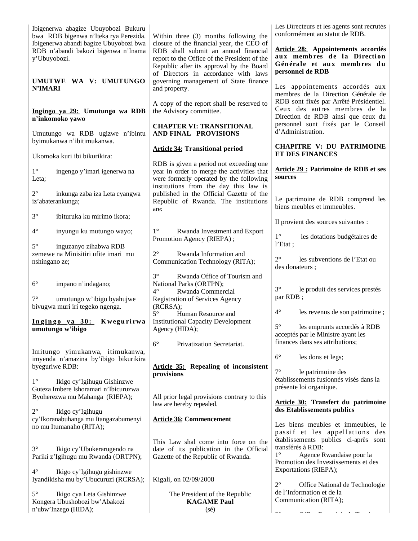| Ibigenerwa abagize Ubuyobozi Bukuru<br>bwa RDB bigenwa n'Iteka rya Perezida.                                   | Within three (3) months following the                                                                                                                                                                                 | Les Directeurs et les agents sont recrutés<br>conformément au statut de RDB.                                                                 |
|----------------------------------------------------------------------------------------------------------------|-----------------------------------------------------------------------------------------------------------------------------------------------------------------------------------------------------------------------|----------------------------------------------------------------------------------------------------------------------------------------------|
| Ibigenerwa abandi bagize Ubuyobozi bwa<br>RDB n'abandi bakozi bigenwa n'Inama<br>y'Ubuyobozi.                  | closure of the financial year, the CEO of<br>RDB shall submit an annual financial<br>report to the Office of the President of the<br>Republic after its approval by the Board<br>of Directors in accordance with laws | <b>Article 28:</b> Appointements accordés<br>aux membres de la Direction<br>Générale et aux membres du<br>personnel de RDB                   |
| UMUTWE WA V: UMUTUNGO<br><b>N'IMARI</b>                                                                        | governing management of State finance<br>and property.                                                                                                                                                                | Les appointements accordés aux<br>membres de la Direction Générale de                                                                        |
| Ingingo ya 29: Umutungo wa RDB<br>n'inkomoko yawo                                                              | A copy of the report shall be reserved to<br>the Advisory committee.                                                                                                                                                  | RDB sont fixés par Arrêté Présidentiel.<br>Ceux des autres membres de la<br>Direction de RDB ainsi que ceux du                               |
| Umutungo wa RDB ugizwe n'ibintu<br>byimukanwa n'ibitimukanwa.                                                  | <b>CHAPTER VI: TRANSITIONAL</b><br>AND FINAL PROVISIONS                                                                                                                                                               | personnel sont fixés par le Conseil<br>d'Administration.                                                                                     |
| Ukomoka kuri ibi bikurikira:                                                                                   | <b>Article 34: Transitional period</b>                                                                                                                                                                                | <b>CHAPITRE V: DU PATRIMOINE</b><br>ET DES FINANCES                                                                                          |
| $1^{\circ}$<br>ingengo y'imari igenerwa na<br>Leta:                                                            | RDB is given a period not exceeding one<br>year in order to merge the activities that<br>were formerly operated by the following<br>institutions from the day this law is                                             | Article 29 : Patrimoine de RDB et ses<br>sources                                                                                             |
| $2^{\circ}$<br>inkunga zaba iza Leta cyangwa<br>iz'abaterankunga;                                              | published in the Official Gazette of the<br>Republic of Rwanda. The institutions<br>are:                                                                                                                              | Le patrimoine de RDB comprend les<br>biens meubles et immeubles.                                                                             |
| $3^\circ$<br>ibituruka ku mirimo ikora;                                                                        |                                                                                                                                                                                                                       | Il provient des sources suivantes :                                                                                                          |
| $4^\circ$<br>inyungu ku mutungo wayo;                                                                          | $1^{\circ}$<br>Rwanda Investment and Export<br>Promotion Agency (RIEPA);                                                                                                                                              | $1^{\circ}$<br>les dotations budgétaires de<br>l'Etat;                                                                                       |
| $5^\circ$<br>inguzanyo zihabwa RDB<br>zemewe na Minisitiri ufite imari mu<br>nshingano ze;                     | $2^{\circ}$<br>Rwanda Information and<br>Communication Technology (RITA);                                                                                                                                             | $2^{\circ}$<br>les subventions de l'Etat ou<br>des donateurs ;                                                                               |
| $6^{\circ}$<br>impano n'indagano;<br>$7^\circ$<br>umutungo w'ibigo byahujwe<br>bivugwa muri iri tegeko ngenga. | $3^\circ$<br>Rwanda Office of Tourism and<br>National Parks (ORTPN);<br>Rwanda Commercial<br>$4^\circ$<br>Registration of Services Agency<br>(RCRSA);                                                                 | $3^\circ$<br>le produit des services prestés<br>par RDB;                                                                                     |
| Ingingo ya 30: Kwegurirwa<br>umutungo w'ibigo                                                                  | $5^\circ$<br>Human Resource and<br><b>Institutional Capacity Development</b><br>Agency (HIDA);                                                                                                                        | $4^{\circ}$<br>les revenus de son patrimoine;<br>$5^\circ$<br>les emprunts accordés à RDB<br>acceptés par le Ministre ayant les              |
|                                                                                                                | $6^{\circ}$<br>Privatization Secretariat.                                                                                                                                                                             | finances dans ses attributions;                                                                                                              |
| Imitungo yimukanwa, itimukanwa,<br>imyenda n'amazina by'ibigo bikurikira<br>byeguriwe RDB:                     | <b>Article 35: Repealing of inconsistent</b>                                                                                                                                                                          | $6^{\circ}$<br>les dons et legs;<br>$7^\circ$<br>le patrimoine des                                                                           |
| $1^{\circ}$<br>Ikigo cy'Igihugu Gishinzwe<br>Guteza Imbere Ishoramari n'Ibicuruzwa                             | provisions                                                                                                                                                                                                            | établissements fusionnés visés dans la<br>présente loi organique.                                                                            |
| Byoherezwa mu Mahanga (RIEPA);                                                                                 | All prior legal provisions contrary to this<br>law are hereby repealed.                                                                                                                                               | <b>Article 30:</b> Transfert du patrimoine<br>des Etablissements publics                                                                     |
| $2^{\circ}$<br>Ikigo cy'Igihugu<br>cy'lkoranabuhanga mu Itangazabumenyi<br>no mu Itumanaho (RITA);             | <b>Article 36: Commencement</b>                                                                                                                                                                                       | Les biens meubles et immeubles, le<br>passif et les appellations des                                                                         |
| $3^\circ$<br>Ikigo cy'Ubukerarugendo na<br>Pariki z'Igihugu mu Rwanda (ORTPN);                                 | This Law shal come into force on the<br>date of its publication in the Official<br>Gazette of the Republic of Rwanda.                                                                                                 | établissements publics ci-après sont<br>transférés à RDB:<br>$1^{\circ}$<br>Agence Rwandaise pour la<br>Promotion des Investissements et des |
| $4^\circ$<br>Ikigo cy'Igihugu gishinzwe<br>Iyandikisha mu by'Ubucuruzi (RCRSA);                                | Kigali, on 02/09/2008                                                                                                                                                                                                 | Exportations (RIEPA);<br>$2^{\circ}$                                                                                                         |
| $5^{\circ}$<br>Ikigo cya Leta Gishinzwe<br>Kongera Ubushobozi bw'Abakozi<br>n'ubw'Inzego (HIDA);               | The President of the Republic<br><b>KAGAME Paul</b><br>$(s\acute{e})$                                                                                                                                                 | Office National de Technologie<br>de l'Information et de la<br>Communication (RITA);<br>$\sim$ $\sim$                                        |
|                                                                                                                |                                                                                                                                                                                                                       |                                                                                                                                              |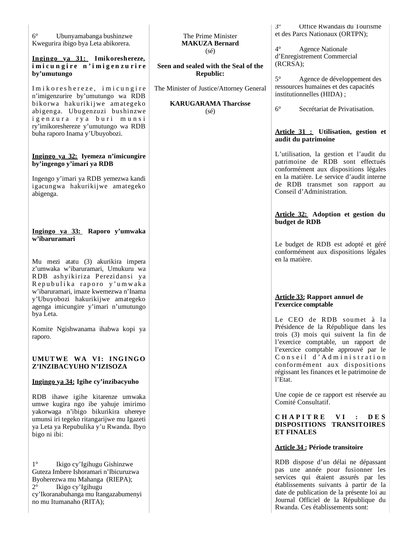**Ingingo ya 31: Imikoreshereze,**  imicungire n'imigenzurire **by'umutungo**

I m i k o r e s h e r e z e, i m i c u n g i r e n'imigenzurire by'umutungo wa RDB bikorwa hakurikijwe amategeko abigenga. Ubugenzuzi bushinzwe igenzura rya buri munsi ry'imikoreshereze y'umutungo wa RDB buha raporo Inama y'Ubuyobozi.

#### **Ingingo ya 32: Iyemeza n'imicungire by'ingengo y'imari ya RDB**

Ingengo y'imari ya RDB yemezwa kandi igacungwa hakurikijwe amategeko abigenga.

### **Ingingo ya 33: Raporo y'umwaka w'ibaruramari**

Mu mezi atatu (3) akurikira impera z'umwaka w'ibaruramari, Umukuru wa R DB ashyikiriza P erezidansi ya Repubulika raporo y'umwaka w'ibaruramari, imaze kwemezwa n'Inama y'Ubuyobozi hakurikijwe amategeko agenga imicungire y'imari n'umutungo bya Leta.

Komite Ngishwanama ihabwa kopi ya raporo.

### **UMUT WE WA VI: ING ING O Z'INZIBACYUHO N'IZISOZA**

### **Ingingo ya 34: Igihe cy'inzibacyuho**

RDB ihawe igihe kitarenze umwaka umwe kugira ngo ibe yahuje imirimo yakorwaga n'ibigo bikurikira uhereye umunsi iri tegeko ritangarijwe mu Igazeti ya Leta ya Repubulika y'u Rwanda. Ibyo bigo ni ibi:

1° Ikigo cy'Igihugu Gishinzwe Guteza Imbere Ishoramari n'Ibicuruzwa Byoherezwa mu Mahanga (RIEPA); 2° Ikigo cy'Igihugu cy'Ikoranabuhanga mu Itangazabumenyi no mu Itumanaho (RITA);

#### The Prime Minister **MAKUZA Bernard** (sé)

**Seen and sealed with the Seal of the Republic:**

> **KARUGARAMA Tharcisse**  $(sé)$

The Minister of Justice/Attorney General

3° Office Rwandais du Tourisme et des Parcs Nationaux (ORTPN);

4° Agence Nationale d'Enregistrement Commercial (RCRSA);

5° Agence de développement des ressources humaines et des capacités institutionnelles (HIDA) ;

6° Secrétariat de Privatisation.

### **Article 31 : Utilisation, gestion et audit du patrimoine**

L'utilisation, la gestion et l'audit du patrimoine de RDB sont effectués conformément aux dispositions légales en la matière. Le service d'audit interne de RDB transmet son rapport au Conseil d'Administration.

### **Article 32: Adoption et gestion du budget de RDB**

Le budget de RDB est adopté et géré conformément aux dispositions légales en la matière.

### **Article 33: Rapport annuel de l'exercice comptable**

Le CEO de RDB soumet à la Présidence de la République dans les trois (3) mois qui suivent la fin de l'exercice comptable, un rapport de l'exercice comptable approuvé par le  $\overline{C}$  on s e i  $\overline{C}$  d'Administration conformément aux dispositions régissant les finances et le patrimoine de l'Etat.

Une copie de ce rapport est réservée au Comité Consultatif.

### **C H A P I T R E V I : D E S DISPOSITIONS TRANSITOIRES ET FINALES**

### **Article 34 : Période transitoire**

RDB dispose d'un délai ne dépassant pas une année pour fusionner les services qui étaient assurés par les établissements suivants à partir de la date de publication de la présente loi au Journal Officiel de la République du Rwanda. Ces établissements sont: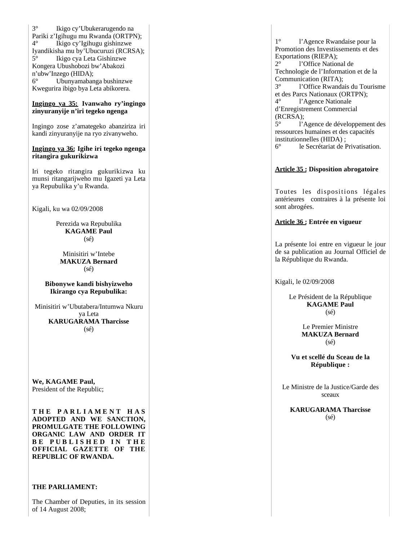3° Ikigo cy'Ubukerarugendo na Pariki z'Igihugu mu Rwanda (ORTPN); 4° Ikigo cy'Igihugu gishinzwe Iyandikisha mu by'Ubucuruzi (RCRSA); 5° Ikigo cya Leta Gishinzwe Kongera Ubushobozi bw'Abakozi n'ubw'Inzego (HIDA); 6° Ubunyamabanga bushinzwe Kwegurira ibigo bya Leta abikorera.

### **Ingingo ya 35: Ivanwaho ry'ingingo zinyuranyije n'iri tegeko ngenga**

Ingingo zose z'amategeko abanziriza iri kandi zinyuranyije na ryo zivanyweho.

#### **Ingingo ya 36: Igihe iri tegeko ngenga ritangira gukurikizwa**

Iri tegeko ritangira gukurikizwa ku munsi ritangarijweho mu Igazeti ya Leta ya Repubulika y'u Rwanda.

Kigali, ku wa 02/09/2008

Perezida wa Repubulika **KAGAME Paul** (sé)

Minisitiri w'Intebe **MAKUZA Bernard** (sé)

#### **Bibonywe kandi bishyizweho Ikirango cya Repubulika:**

Minisitiri w'Ubutabera/Intumwa Nkuru ya Leta **KARUGARAMA Tharcisse** (sé)

**We, KAGAME Paul,**  President of the Republic;

**T H E P A R L I A M E N T H A S ADOPTED AND WE SANCTION, PROMULGATE THE FOLLOWING ORGANIC LAW AND ORDER IT B E P U B L I S H E D I N T H E OFFICIAL GAZETTE OF THE REPUBLIC OF RWANDA.**

### **THE PARLIAMENT:**

The Chamber of Deputies, in its session of 14 August 2008;

1° l'Agence Rwandaise pour la Promotion des Investissements et des Exportations (RIEPA);<br>2° 1'Office Nation 2° l'Office National de Technologie de l'Information et de la Communication (RITA);<br>3° l'Office Rwanda l'Office Rwandais du Tourisme et des Parcs Nationaux (ORTPN); 4° l'Agence Nationale d'Enregistrement Commercial (RCRSA); 5° l'Agence de développement des ressources humaines et des capacités institutionnelles (HIDA) ;

6° le Secrétariat de Privatisation.

### **Article 35 : Disposition abrogatoire**

Toutes les dispositions légales antérieures contraires à la présente loi sont abrogées.

#### **Article 36 : Entrée en vigueur**

La présente loi entre en vigueur le jour de sa publication au Journal Officiel de la République du Rwanda.

Kigali, le 02/09/2008

Le Président de la République **KAGAME Paul** (sé)

> Le Premier Ministre **MAKUZA Bernard** (sé)

**Vu et scellé du Sceau de la République :**

Le Ministre de la Justice/Garde des sceaux

**KARUGARAMA Tharcisse** (sé)